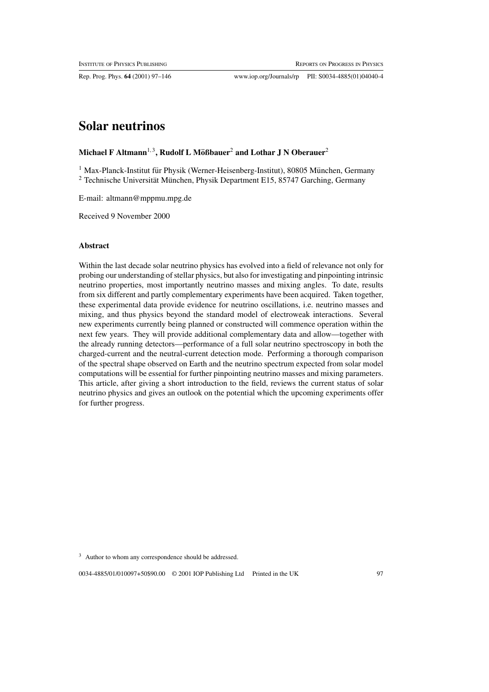Rep. Prog. Phys. **64** (2001) 97–146 www.iop.org/Journals/rp PII: S0034-4885(01)04040-4

# **Solar neutrinos**

# **Michael F Altmann**<sup>1,3</sup>, Rudolf L Mößbauer<sup>2</sup> and Lothar J N Oberauer<sup>2</sup>

 $1$  Max-Planck-Institut für Physik (Werner-Heisenberg-Institut), 80805 München, Germany  $2$  Technische Universität München, Physik Department E15, 85747 Garching, Germany

E-mail: altmann@mppmu.mpg.de

Received 9 November 2000

# **Abstract**

Within the last decade solar neutrino physics has evolved into a field of relevance not only for probing our understanding of stellar physics, but also for investigating and pinpointing intrinsic neutrino properties, most importantly neutrino masses and mixing angles. To date, results from six different and partly complementary experiments have been acquired. Taken together, these experimental data provide evidence for neutrino oscillations, i.e. neutrino masses and mixing, and thus physics beyond the standard model of electroweak interactions. Several new experiments currently being planned or constructed will commence operation within the next few years. They will provide additional complementary data and allow—together with the already running detectors—performance of a full solar neutrino spectroscopy in both the charged-current and the neutral-current detection mode. Performing a thorough comparison of the spectral shape observed on Earth and the neutrino spectrum expected from solar model computations will be essential for further pinpointing neutrino masses and mixing parameters. This article, after giving a short introduction to the field, reviews the current status of solar neutrino physics and gives an outlook on the potential which the upcoming experiments offer for further progress.

<sup>3</sup> Author to whom any correspondence should be addressed.

0034-4885/01/010097+50\$90.00 © 2001 IOP Publishing Ltd Printed in the UK 97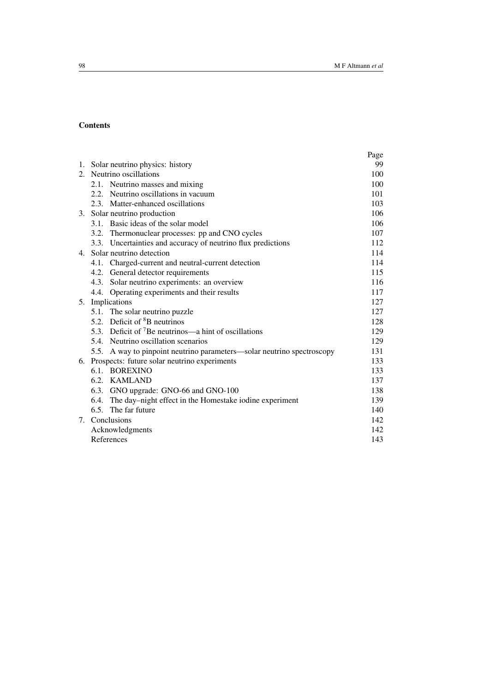# **Contents**

|                                                                        | Page |
|------------------------------------------------------------------------|------|
| 1. Solar neutrino physics: history                                     | 99   |
| 2. Neutrino oscillations                                               | 100  |
| 2.1. Neutrino masses and mixing                                        | 100  |
| 2.2. Neutrino oscillations in vacuum                                   | 101  |
| 2.3. Matter-enhanced oscillations                                      | 103  |
| 3. Solar neutrino production                                           | 106  |
| 3.1. Basic ideas of the solar model                                    | 106  |
| 3.2. Thermonuclear processes: pp and CNO cycles                        | 107  |
| 3.3. Uncertainties and accuracy of neutrino flux predictions           | 112  |
| 4. Solar neutrino detection                                            | 114  |
| 4.1. Charged-current and neutral-current detection                     | 114  |
| 4.2. General detector requirements                                     | 115  |
| 4.3. Solar neutrino experiments: an overview                           | 116  |
| Operating experiments and their results<br>4.4.                        | 117  |
| 5. Implications                                                        | 127  |
| 5.1. The solar neutrino puzzle                                         | 127  |
| 5.2. Deficit of ${}^{8}B$ neutrinos                                    | 128  |
| 5.3. Deficit of ${}^{7}$ Be neutrinos—a hint of oscillations           | 129  |
| 5.4. Neutrino oscillation scenarios                                    | 129  |
| 5.5. A way to pinpoint neutrino parameters—solar neutrino spectroscopy | 131  |
| 6. Prospects: future solar neutrino experiments                        | 133  |
| 6.1. BOREXINO                                                          | 133  |
| 6.2. KAMLAND                                                           | 137  |
| 6.3. GNO upgrade: GNO-66 and GNO-100                                   | 138  |
| 6.4. The day–night effect in the Homestake iodine experiment           | 139  |
| 6.5. The far future                                                    | 140  |
| 7. Conclusions                                                         | 142  |
| Acknowledgments                                                        | 142  |
| References                                                             | 143  |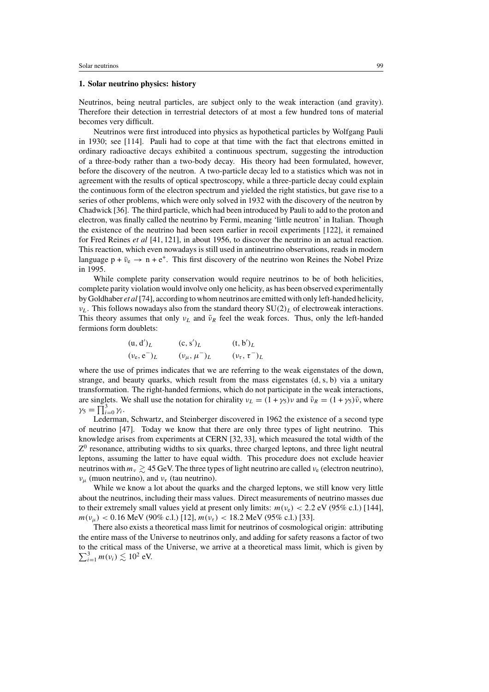## **1. Solar neutrino physics: history**

Neutrinos, being neutral particles, are subject only to the weak interaction (and gravity). Therefore their detection in terrestrial detectors of at most a few hundred tons of material becomes very difficult.

Neutrinos were first introduced into physics as hypothetical particles by Wolfgang Pauli in 1930; see [114]. Pauli had to cope at that time with the fact that electrons emitted in ordinary radioactive decays exhibited a continuous spectrum, suggesting the introduction of a three-body rather than a two-body decay. His theory had been formulated, however, before the discovery of the neutron. A two-particle decay led to a statistics which was not in agreement with the results of optical spectroscopy, while a three-particle decay could explain the continuous form of the electron spectrum and yielded the right statistics, but gave rise to a series of other problems, which were only solved in 1932 with the discovery of the neutron by Chadwick [36]. The third particle, which had been introduced by Pauli to add to the proton and electron, was finally called the neutrino by Fermi, meaning 'little neutron' in Italian. Though the existence of the neutrino had been seen earlier in recoil experiments [122], it remained for Fred Reines *et al* [41, 121], in about 1956, to discover the neutrino in an actual reaction. This reaction, which even nowadays is still used in antineutrino observations, reads in modern language  $p + \bar{\nu}_e \rightarrow n + e^+$ . This first discovery of the neutrino won Reines the Nobel Prize in 1995.

While complete parity conservation would require neutrinos to be of both helicities, complete parity violation would involve only one helicity, as has been observed experimentally by Goldhaber *et al* [74], according to whom neutrinos are emitted with only left-handed helicity,  $v_L$ . This follows nowadays also from the standard theory  $SU(2)_L$  of electroweak interactions. This theory assumes that only  $v_L$  and  $\bar{v}_R$  feel the weak forces. Thus, only the left-handed fermions form doublets:

$$
(u, d')L \t\t (c, s')L \t\t (t, b')L
$$
  
\n
$$
(ve, e-)L \t\t (vµ,  $\mu$ <sup>-</sup>)<sub>L</sub> \t\t (v<sub>τ</sub>,  $\tau$ <sup>-</sup>)<sub>L</sub>
$$

where the use of primes indicates that we are referring to the weak eigenstates of the down, strange, and beauty quarks, which result from the mass eigenstates  $(d, s, b)$  via a unitary transformation. The right-handed fermions, which do not participate in the weak interactions, are singlets. We shall use the notation for chirality  $v_L = (1 + \gamma_5)v$  and  $\bar{v}_R = (1 + \gamma_5)\bar{v}$ , where  $\gamma_5 = \prod_{i=0}^3 \gamma_i$ .

Lederman, Schwartz, and Steinberger discovered in 1962 the existence of a second type of neutrino [47]. Today we know that there are only three types of light neutrino. This knowledge arises from experiments at CERN [32, 33], which measured the total width of the  $Z<sup>0</sup>$  resonance, attributing widths to six quarks, three charged leptons, and three light neutral leptons, assuming the latter to have equal width. This procedure does not exclude heavier neutrinos with  $m_v \gtrsim 45$  GeV. The three types of light neutrino are called  $v_e$  (electron neutrino),  $v_{\mu}$  (muon neutrino), and  $v_{\tau}$  (tau neutrino).

While we know a lot about the quarks and the charged leptons, we still know very little about the neutrinos, including their mass values. Direct measurements of neutrino masses due to their extremely small values yield at present only limits:  $m(v_e) < 2.2$  eV (95% c.l.) [144],  $m(v_\mu)$  < 0.16 MeV (90% c.l.) [12],  $m(v_\tau)$  < 18.2 MeV (95% c.l.) [33].

There also exists a theoretical mass limit for neutrinos of cosmological origin: attributing the entire mass of the Universe to neutrinos only, and adding for safety reasons a factor of two to the critical mass of the Universe, we arrive at a theoretical mass limit, which is given by  $\sum_{i=1}^{3} m(v_i) \lesssim 10^2$  eV.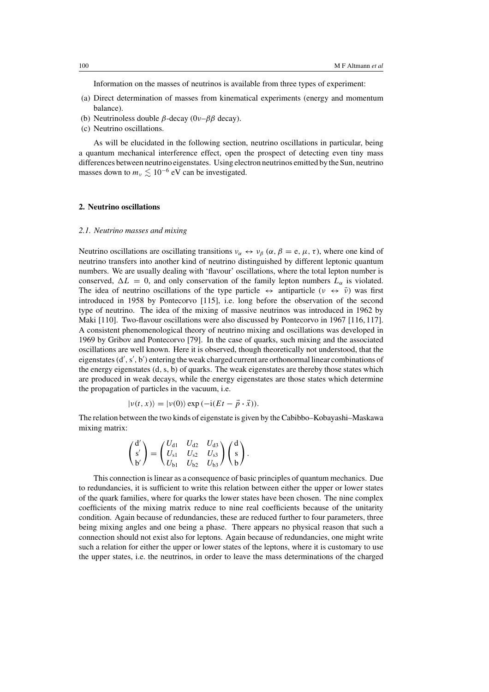Information on the masses of neutrinos is available from three types of experiment:

- (a) Direct determination of masses from kinematical experiments (energy and momentum balance).
- (b) Neutrinoless double  $\beta$ -decay (0ν– $\beta\beta$  decay).
- (c) Neutrino oscillations.

As will be elucidated in the following section, neutrino oscillations in particular, being a quantum mechanical interference effect, open the prospect of detecting even tiny mass differences between neutrino eigenstates. Using electron neutrinos emitted by the Sun, neutrino masses down to  $m_v \lesssim 10^{-6}$  eV can be investigated.

#### **2. Neutrino oscillations**

#### *2.1. Neutrino masses and mixing*

Neutrino oscillations are oscillating transitions  $v_{\alpha} \leftrightarrow v_{\beta}$  ( $\alpha$ ,  $\beta = e, \mu, \tau$ ), where one kind of neutrino transfers into another kind of neutrino distinguished by different leptonic quantum numbers. We are usually dealing with 'flavour' oscillations, where the total lepton number is conserved,  $\Delta L = 0$ , and only conservation of the family lepton numbers  $L_{\alpha}$  is violated. The idea of neutrino oscillations of the type particle  $\leftrightarrow$  antiparticle ( $\nu \leftrightarrow \bar{\nu}$ ) was first introduced in 1958 by Pontecorvo [115], i.e. long before the observation of the second type of neutrino. The idea of the mixing of massive neutrinos was introduced in 1962 by Maki [110]. Two-flavour oscillations were also discussed by Pontecorvo in 1967 [116, 117]. A consistent phenomenological theory of neutrino mixing and oscillations was developed in 1969 by Gribov and Pontecorvo [79]. In the case of quarks, such mixing and the associated oscillations are well known. Here it is observed, though theoretically not understood, that the eigenstates (d', s', b') entering the weak charged current are orthonormal linear combinations of the energy eigenstates  $(d, s, b)$  of quarks. The weak eigenstates are thereby those states which are produced in weak decays, while the energy eigenstates are those states which determine the propagation of particles in the vacuum, i.e.

$$
|\nu(t, x)\rangle = |\nu(0)\rangle \exp(-i(Et - \vec{p} \cdot \vec{x})).
$$

The relation between the two kinds of eigenstate is given by the Cabibbo–Kobayashi–Maskawa mixing matrix:

$$
\begin{pmatrix} d' \\ s' \\ b' \end{pmatrix} = \begin{pmatrix} U_{d1} & U_{d2} & U_{d3} \\ U_{s1} & U_{s2} & U_{s3} \\ U_{b1} & U_{b2} & U_{b3} \end{pmatrix} \begin{pmatrix} d \\ s \\ b \end{pmatrix}.
$$

This connection is linear as a consequence of basic principles of quantum mechanics. Due to redundancies, it is sufficient to write this relation between either the upper or lower states of the quark families, where for quarks the lower states have been chosen. The nine complex coefficients of the mixing matrix reduce to nine real coefficients because of the unitarity condition. Again because of redundancies, these are reduced further to four parameters, three being mixing angles and one being a phase. There appears no physical reason that such a connection should not exist also for leptons. Again because of redundancies, one might write such a relation for either the upper or lower states of the leptons, where it is customary to use the upper states, i.e. the neutrinos, in order to leave the mass determinations of the charged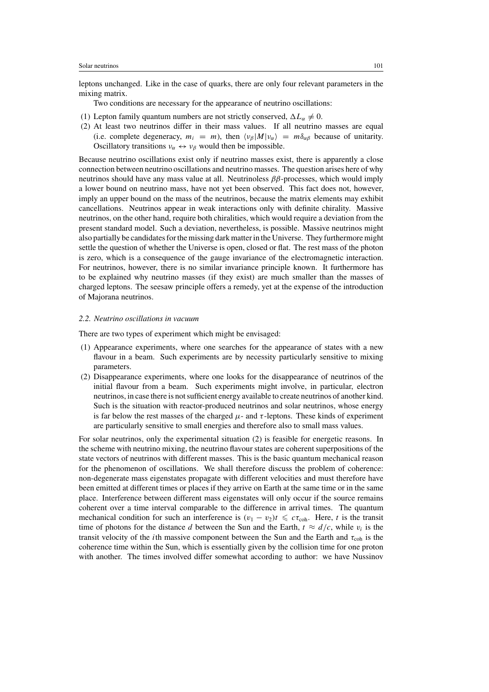leptons unchanged. Like in the case of quarks, there are only four relevant parameters in the mixing matrix.

Two conditions are necessary for the appearance of neutrino oscillations:

- (1) Lepton family quantum numbers are not strictly conserved,  $\Delta L_{\alpha} \neq 0$ .
- (2) At least two neutrinos differ in their mass values. If all neutrino masses are equal (i.e. complete degeneracy,  $m_i = m$ ), then  $\langle v_\beta | M | v_\alpha \rangle = m \delta_{\alpha\beta}$  because of unitarity. Oscillatory transitions  $v_{\alpha} \leftrightarrow v_{\beta}$  would then be impossible.

Because neutrino oscillations exist only if neutrino masses exist, there is apparently a close connection between neutrino oscillations and neutrino masses. The question arises here of why neutrinos should have any mass value at all. Neutrinoless  $\beta\beta$ -processes, which would imply a lower bound on neutrino mass, have not yet been observed. This fact does not, however, imply an upper bound on the mass of the neutrinos, because the matrix elements may exhibit cancellations. Neutrinos appear in weak interactions only with definite chirality. Massive neutrinos, on the other hand, require both chiralities, which would require a deviation from the present standard model. Such a deviation, nevertheless, is possible. Massive neutrinos might also partially be candidates for the missing dark matter in the Universe. They furthermore might settle the question of whether the Universe is open, closed or flat. The rest mass of the photon is zero, which is a consequence of the gauge invariance of the electromagnetic interaction. For neutrinos, however, there is no similar invariance principle known. It furthermore has to be explained why neutrino masses (if they exist) are much smaller than the masses of charged leptons. The seesaw principle offers a remedy, yet at the expense of the introduction of Majorana neutrinos.

#### *2.2. Neutrino oscillations in vacuum*

There are two types of experiment which might be envisaged:

- (1) Appearance experiments, where one searches for the appearance of states with a new flavour in a beam. Such experiments are by necessity particularly sensitive to mixing parameters.
- (2) Disappearance experiments, where one looks for the disappearance of neutrinos of the initial flavour from a beam. Such experiments might involve, in particular, electron neutrinos, in case there is not sufficient energy available to create neutrinos of another kind. Such is the situation with reactor-produced neutrinos and solar neutrinos, whose energy is far below the rest masses of the charged  $\mu$ - and  $\tau$ -leptons. These kinds of experiment are particularly sensitive to small energies and therefore also to small mass values.

For solar neutrinos, only the experimental situation (2) is feasible for energetic reasons. In the scheme with neutrino mixing, the neutrino flavour states are coherent superpositions of the state vectors of neutrinos with different masses. This is the basic quantum mechanical reason for the phenomenon of oscillations. We shall therefore discuss the problem of coherence: non-degenerate mass eigenstates propagate with different velocities and must therefore have been emitted at different times or places if they arrive on Earth at the same time or in the same place. Interference between different mass eigenstates will only occur if the source remains coherent over a time interval comparable to the difference in arrival times. The quantum mechanical condition for such an interference is  $(v_1 - v_2)t \leq c\tau_{coh}$ . Here, t is the transit time of photons for the distance d between the Sun and the Earth,  $t \approx d/c$ , while  $v_i$  is the transit velocity of the *i*th massive component between the Sun and the Earth and  $\tau_{coh}$  is the coherence time within the Sun, which is essentially given by the collision time for one proton with another. The times involved differ somewhat according to author: we have Nussinov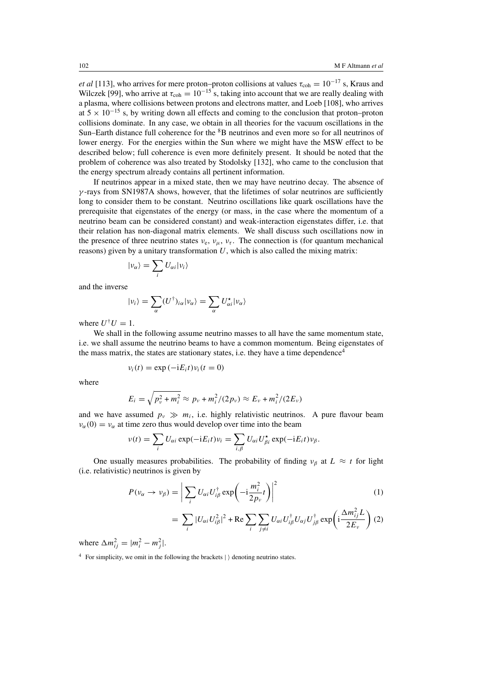*et al* [113], who arrives for mere proton–proton collisions at values  $\tau_{\text{coh}} = 10^{-17}$  s, Kraus and Wilczek [99], who arrive at  $\tau_{coh} = 10^{-15}$  s, taking into account that we are really dealing with a plasma, where collisions between protons and electrons matter, and Loeb [108], who arrives at  $5 \times 10^{-15}$  s, by writing down all effects and coming to the conclusion that proton–proton collisions dominate. In any case, we obtain in all theories for the vacuum oscillations in the Sun–Earth distance full coherence for the <sup>8</sup>B neutrinos and even more so for all neutrinos of lower energy. For the energies within the Sun where we might have the MSW effect to be described below; full coherence is even more definitely present. It should be noted that the problem of coherence was also treated by Stodolsky [132], who came to the conclusion that the energy spectrum already contains all pertinent information.

If neutrinos appear in a mixed state, then we may have neutrino decay. The absence of  $\gamma$ -rays from SN1987A shows, however, that the lifetimes of solar neutrinos are sufficiently long to consider them to be constant. Neutrino oscillations like quark oscillations have the prerequisite that eigenstates of the energy (or mass, in the case where the momentum of a neutrino beam can be considered constant) and weak-interaction eigenstates differ, i.e. that their relation has non-diagonal matrix elements. We shall discuss such oscillations now in the presence of three neutrino states  $v_e$ ,  $v_\mu$ ,  $v_\tau$ . The connection is (for quantum mechanical reasons) given by a unitary transformation  $U$ , which is also called the mixing matrix:

$$
|\nu_{\alpha}\rangle = \sum_{i} U_{\alpha i} |\nu_{i}\rangle
$$

and the inverse

$$
|\nu_i\rangle = \sum_{\alpha} (U^{\dagger})_{i\alpha} |\nu_{\alpha}\rangle = \sum_{\alpha} U^{\star}_{\alpha i} |\nu_{\alpha}\rangle
$$

where  $U^{\dagger}U = 1$ .

We shall in the following assume neutrino masses to all have the same momentum state, i.e. we shall assume the neutrino beams to have a common momentum. Being eigenstates of the mass matrix, the states are stationary states, i.e. they have a time dependence<sup>4</sup>

$$
v_i(t) = \exp(-iE_i t)v_i(t=0)
$$

where

$$
E_i = \sqrt{p_v^2 + m_i^2} \approx p_v + m_i^2/(2p_v) \approx E_v + m_i^2/(2E_v)
$$

and we have assumed  $p_v \gg m_i$ , i.e. highly relativistic neutrinos. A pure flavour beam  $\nu_{\alpha}(0) = \nu_{\alpha}$  at time zero thus would develop over time into the beam

$$
v(t) = \sum_{i} U_{\alpha i} \exp(-iE_i t) v_i = \sum_{i,\beta} U_{\alpha i} U_{\beta i}^* \exp(-iE_i t) v_{\beta}.
$$

One usually measures probabilities. The probability of finding  $\nu_\beta$  at  $L \approx t$  for light (i.e. relativistic) neutrinos is given by

$$
P(\nu_{\alpha} \to \nu_{\beta}) = \left| \sum_{i} U_{\alpha i} U_{i\beta}^{\dagger} \exp\left(-i\frac{m_{i}^{2}}{2p_{\nu}}t\right) \right|^{2}
$$
(1)  

$$
= \sum_{i} |U_{\alpha i} U_{i\beta}^{2}|^{2} + \text{Re} \sum_{i} \sum_{j \neq i} U_{\alpha i} U_{i\beta}^{\dagger} U_{\alpha j} U_{j\beta}^{\dagger} \exp\left(i\frac{\Delta m_{ij}^{2} L}{2E_{\nu}}\right)
$$
(2)

 $i \quad j \neq i$ 

where  $\Delta m_{ij}^2 = |m_i^2 - m_j^2|$ .

 $4$  For simplicity, we omit in the following the brackets  $|\rangle$  denoting neutrino states.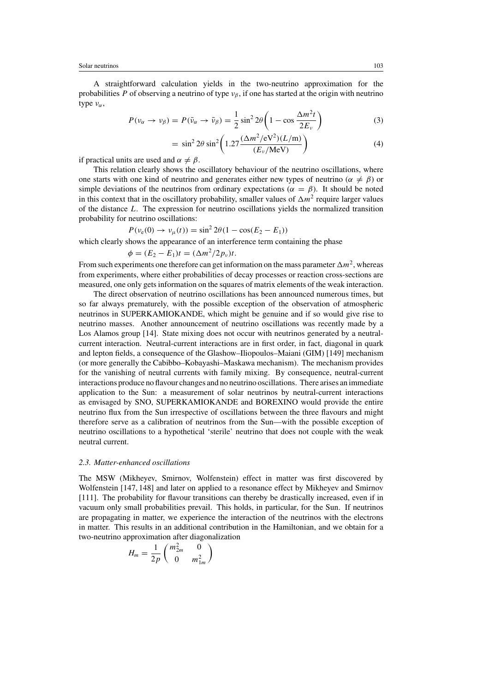A straightforward calculation yields in the two-neutrino approximation for the probabilities P of observing a neutrino of type  $v_\beta$ , if one has started at the origin with neutrino type  $v_{\alpha}$ ,

$$
P(\nu_{\alpha} \to \nu_{\beta}) = P(\bar{\nu}_{\alpha} \to \bar{\nu}_{\beta}) = \frac{1}{2} \sin^2 2\theta \left(1 - \cos \frac{\Delta m^2 t}{2E_{\nu}}\right)
$$
(3)

$$
= \sin^2 2\theta \sin^2 \left( 1.27 \frac{(\Delta m^2 / \text{eV}^2)(L/\text{m})}{(E_\nu / \text{MeV})} \right) \tag{4}
$$

if practical units are used and  $\alpha \neq \beta$ .

This relation clearly shows the oscillatory behaviour of the neutrino oscillations, where one starts with one kind of neutrino and generates either new types of neutrino ( $\alpha \neq \beta$ ) or simple deviations of the neutrinos from ordinary expectations ( $\alpha = \beta$ ). It should be noted in this context that in the oscillatory probability, smaller values of  $\Delta m^2$  require larger values of the distance L. The expression for neutrino oscillations yields the normalized transition probability for neutrino oscillations:

$$
P(v_e(0) \to v_\mu(t)) = \sin^2 2\theta (1 - \cos(E_2 - E_1))
$$

which clearly shows the appearance of an interference term containing the phase

$$
\phi = (E_2 - E_1)t = (\Delta m^2 / 2p_v)t.
$$

From such experiments one therefore can get information on the mass parameter  $\Delta m^2$ , whereas from experiments, where either probabilities of decay processes or reaction cross-sections are measured, one only gets information on the squares of matrix elements of the weak interaction.

The direct observation of neutrino oscillations has been announced numerous times, but so far always prematurely, with the possible exception of the observation of atmospheric neutrinos in SUPERKAMIOKANDE, which might be genuine and if so would give rise to neutrino masses. Another announcement of neutrino oscillations was recently made by a Los Alamos group [14]. State mixing does not occur with neutrinos generated by a neutralcurrent interaction. Neutral-current interactions are in first order, in fact, diagonal in quark and lepton fields, a consequence of the Glashow–Iliopoulos–Maiani (GIM) [149] mechanism (or more generally the Cabibbo–Kobayashi–Maskawa mechanism). The mechanism provides for the vanishing of neutral currents with family mixing. By consequence, neutral-current interactions produce no flavour changes and no neutrino oscillations. There arises an immediate application to the Sun: a measurement of solar neutrinos by neutral-current interactions as envisaged by SNO, SUPERKAMIOKANDE and BOREXINO would provide the entire neutrino flux from the Sun irrespective of oscillations between the three flavours and might therefore serve as a calibration of neutrinos from the Sun—with the possible exception of neutrino oscillations to a hypothetical 'sterile' neutrino that does not couple with the weak neutral current.

#### *2.3. Matter-enhanced oscillations*

The MSW (Mikheyev, Smirnov, Wolfenstein) effect in matter was first discovered by Wolfenstein [147, 148] and later on applied to a resonance effect by Mikheyev and Smirnov [111]. The probability for flavour transitions can thereby be drastically increased, even if in vacuum only small probabilities prevail. This holds, in particular, for the Sun. If neutrinos are propagating in matter, we experience the interaction of the neutrinos with the electrons in matter. This results in an additional contribution in the Hamiltonian, and we obtain for a two-neutrino approximation after diagonalization

$$
H_m = \frac{1}{2p} \begin{pmatrix} m_{2m}^2 & 0 \\ 0 & m_{1m}^2 \end{pmatrix}
$$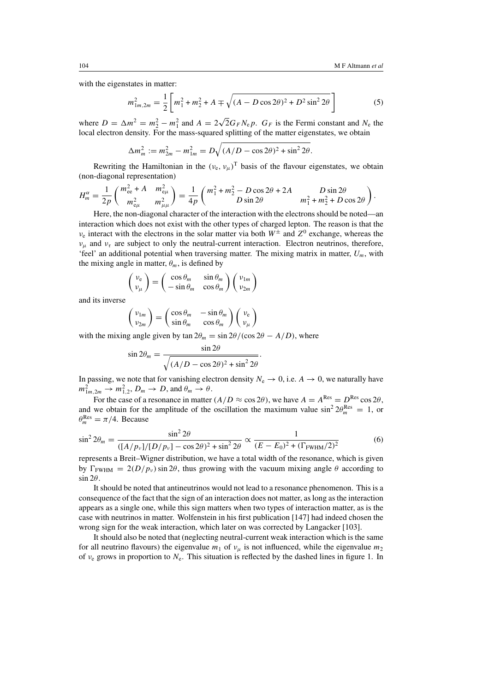with the eigenstates in matter:

$$
m_{1m,2m}^2 = \frac{1}{2} \left[ m_1^2 + m_2^2 + A \mp \sqrt{(A - D\cos 2\theta)^2 + D^2 \sin^2 2\theta} \right]
$$
 (5)

where  $D = \Delta m^2 = m_2^2 - m_1^2$  and  $A = 2\sqrt{2}G_F N_e p$ .  $G_F$  is the Fermi constant and  $N_e$  the local electron density. For the mass-squared splitting of the matter eigenstates, we obtain

$$
\Delta m_m^2 := m_{2m}^2 - m_{1m}^2 = D\sqrt{(A/D - \cos 2\theta)^2 + \sin^2 2\theta}.
$$

Rewriting the Hamiltonian in the  $(v_e, v_u)$ <sup>T</sup> basis of the flavour eigenstates, we obtain (non-diagonal representation)

$$
H_m^{\alpha} = \frac{1}{2p} \begin{pmatrix} m_{ee}^2 + A & m_{e\mu}^2 \\ m_{e\mu}^2 & m_{\mu\mu}^2 \end{pmatrix} = \frac{1}{4p} \begin{pmatrix} m_1^2 + m_2^2 - D\cos 2\theta + 2A & D\sin 2\theta \\ D\sin 2\theta & m_1^2 + m_2^2 + D\cos 2\theta \end{pmatrix}.
$$

Here, the non-diagonal character of the interaction with the electrons should be noted—an interaction which does not exist with the other types of charged lepton. The reason is that the  $v_e$  interact with the electrons in the solar matter via both  $W^{\pm}$  and  $Z^0$  exchange, whereas the  $\nu_{\mu}$  and  $\nu_{\tau}$  are subject to only the neutral-current interaction. Electron neutrinos, therefore, 'feel' an additional potential when traversing matter. The mixing matrix in matter,  $U_m$ , with the mixing angle in matter,  $\theta_m$ , is defined by

$$
\begin{pmatrix}\nv_{e} \\
v_{\mu}\n\end{pmatrix} = \begin{pmatrix}\n\cos \theta_{m} & \sin \theta_{m} \\
-\sin \theta_{m} & \cos \theta_{m}\n\end{pmatrix} \begin{pmatrix}\nv_{1m} \\
v_{2m}\n\end{pmatrix}
$$

and its inverse

$$
\begin{pmatrix} v_{1m} \\ v_{2m} \end{pmatrix} = \begin{pmatrix} \cos \theta_m & -\sin \theta_m \\ \sin \theta_m & \cos \theta_m \end{pmatrix} \begin{pmatrix} v_e \\ v_\mu \end{pmatrix}
$$

with the mixing angle given by tan  $2\theta_m = \frac{\sin 2\theta}{\cos 2\theta - A/D}$ , where

$$
\sin 2\theta_m = \frac{\sin 2\theta}{\sqrt{(A/D - \cos 2\theta)^2 + \sin^2 2\theta}}.
$$

In passing, we note that for vanishing electron density  $N_e \rightarrow 0$ , i.e.  $A \rightarrow 0$ , we naturally have  $m_{1m,2m}^2 \rightarrow m_{1,2}^2$ ,  $D_m \rightarrow D$ , and  $\theta_m \rightarrow \theta$ .

For the case of a resonance in matter  $(A/D \approx \cos 2\theta)$ , we have  $A = A^{Res} = D^{Res} \cos 2\theta$ , and we obtain for the amplitude of the oscillation the maximum value  $\sin^2 2\theta_m^{\text{Res}} = 1$ , or  $\theta_m^{\text{Res}} = \pi/4$ . Because

$$
\sin^2 2\theta_m = \frac{\sin^2 2\theta}{([A/p_v]/[D/p_v] - \cos 2\theta)^2 + \sin^2 2\theta} \propto \frac{1}{(E - E_0)^2 + (\Gamma_{\text{FWHM}}/2)^2}
$$
(6)

represents a Breit–Wigner distribution, we have a total width of the resonance, which is given by  $\Gamma_{\text{FWHM}} = 2(D/p_v) \sin 2\theta$ , thus growing with the vacuum mixing angle  $\theta$  according to  $\sin 2\theta$ .

It should be noted that antineutrinos would not lead to a resonance phenomenon. This is a consequence of the fact that the sign of an interaction does not matter, as long as the interaction appears as a single one, while this sign matters when two types of interaction matter, as is the case with neutrinos in matter. Wolfenstein in his first publication [147] had indeed chosen the wrong sign for the weak interaction, which later on was corrected by Langacker [103].

It should also be noted that (neglecting neutral-current weak interaction which is the same for all neutrino flavours) the eigenvalue  $m_1$  of  $v_\mu$  is not influenced, while the eigenvalue  $m_2$ of  $v_e$  grows in proportion to  $N_e$ . This situation is reflected by the dashed lines in figure 1. In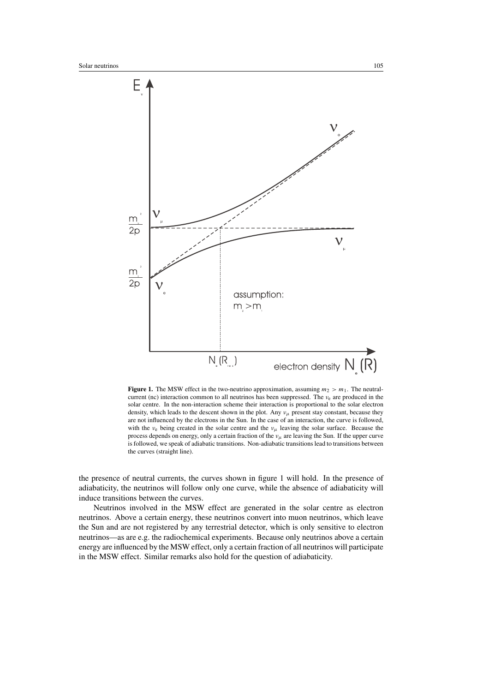

**Figure 1.** The MSW effect in the two-neutrino approximation, assuming  $m_2 > m_1$ . The neutralcurrent (nc) interaction common to all neutrinos has been suppressed. The  $v_e$  are produced in the solar centre. In the non-interaction scheme their interaction is proportional to the solar electron density, which leads to the descent shown in the plot. Any  $v_{\mu}$  present stay constant, because they are not influenced by the electrons in the Sun. In the case of an interaction, the curve is followed, with the  $v_e$  being created in the solar centre and the  $v_\mu$  leaving the solar surface. Because the process depends on energy, only a certain fraction of the  $v_{\mu}$  are leaving the Sun. If the upper curve is followed, we speak of adiabatic transitions. Non-adiabatic transitions lead to transitions between the curves (straight line).

the presence of neutral currents, the curves shown in figure 1 will hold. In the presence of adiabaticity, the neutrinos will follow only one curve, while the absence of adiabaticity will induce transitions between the curves.

Neutrinos involved in the MSW effect are generated in the solar centre as electron neutrinos. Above a certain energy, these neutrinos convert into muon neutrinos, which leave the Sun and are not registered by any terrestrial detector, which is only sensitive to electron neutrinos—as are e.g. the radiochemical experiments. Because only neutrinos above a certain energy are influenced by the MSW effect, only a certain fraction of all neutrinos will participate in the MSW effect. Similar remarks also hold for the question of adiabaticity.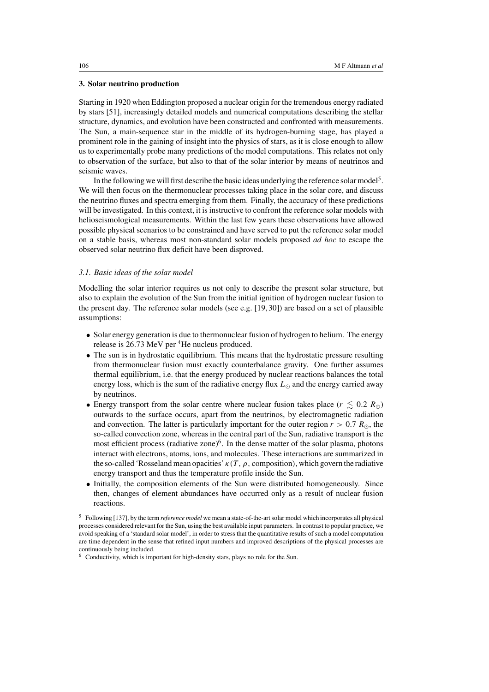## **3. Solar neutrino production**

Starting in 1920 when Eddington proposed a nuclear origin for the tremendous energy radiated by stars [51], increasingly detailed models and numerical computations describing the stellar structure, dynamics, and evolution have been constructed and confronted with measurements. The Sun, a main-sequence star in the middle of its hydrogen-burning stage, has played a prominent role in the gaining of insight into the physics of stars, as it is close enough to allow us to experimentally probe many predictions of the model computations. This relates not only to observation of the surface, but also to that of the solar interior by means of neutrinos and seismic waves.

In the following we will first describe the basic ideas underlying the reference solar model<sup>5</sup>. We will then focus on the thermonuclear processes taking place in the solar core, and discuss the neutrino fluxes and spectra emerging from them. Finally, the accuracy of these predictions will be investigated. In this context, it is instructive to confront the reference solar models with helioseismological measurements. Within the last few years these observations have allowed possible physical scenarios to be constrained and have served to put the reference solar model on a stable basis, whereas most non-standard solar models proposed *ad hoc* to escape the observed solar neutrino flux deficit have been disproved.

# *3.1. Basic ideas of the solar model*

Modelling the solar interior requires us not only to describe the present solar structure, but also to explain the evolution of the Sun from the initial ignition of hydrogen nuclear fusion to the present day. The reference solar models (see e.g. [19, 30]) are based on a set of plausible assumptions:

- Solar energy generation is due to thermonuclear fusion of hydrogen to helium. The energy release is 26.73 MeV per <sup>4</sup>He nucleus produced.
- The sun is in hydrostatic equilibrium. This means that the hydrostatic pressure resulting from thermonuclear fusion must exactly counterbalance gravity. One further assumes thermal equilibrium, i.e. that the energy produced by nuclear reactions balances the total energy loss, which is the sum of the radiative energy flux  $L_{\odot}$  and the energy carried away by neutrinos.
- Energy transport from the solar centre where nuclear fusion takes place ( $r \leq 0.2 R_{\odot}$ ) outwards to the surface occurs, apart from the neutrinos, by electromagnetic radiation and convection. The latter is particularly important for the outer region  $r > 0.7 R_{\odot}$ , the so-called convection zone, whereas in the central part of the Sun, radiative transport is the most efficient process (radiative zone)<sup>6</sup>. In the dense matter of the solar plasma, photons interact with electrons, atoms, ions, and molecules. These interactions are summarized in the so-called 'Rosseland mean opacities'  $\kappa(T, \rho)$ , composition), which govern the radiative energy transport and thus the temperature profile inside the Sun.
- Initially, the composition elements of the Sun were distributed homogeneously. Since then, changes of element abundances have occurred only as a result of nuclear fusion reactions.

<sup>5</sup> Following [137], by the term *reference model* we mean a state-of-the-art solar model which incorporates all physical processes considered relevant for the Sun, using the best available input parameters. In contrast to popular practice, we avoid speaking of a 'standard solar model', in order to stress that the quantitative results of such a model computation are time dependent in the sense that refined input numbers and improved descriptions of the physical processes are continuously being included.

<sup>6</sup> Conductivity, which is important for high-density stars, plays no role for the Sun.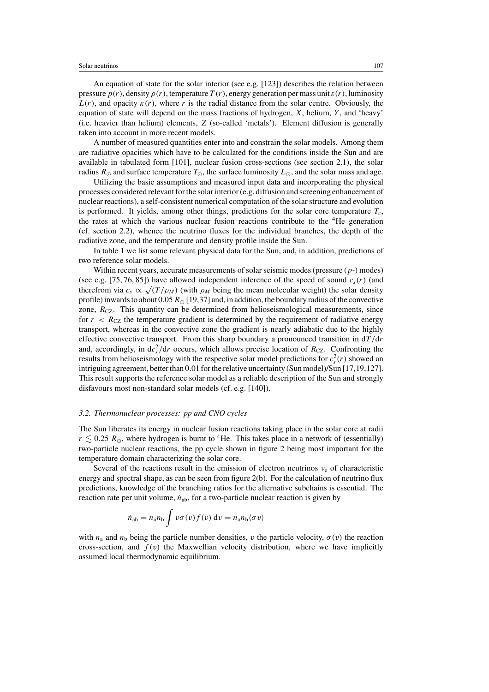An equation of state for the solar interior (see e.g. [123]) describes the relation between pressure  $p(r)$ , density  $\rho(r)$ , temperature  $T(r)$ , energy generation per mass unit  $\varepsilon(r)$ , luminosity  $L(r)$ , and opacity  $\kappa(r)$ , where r is the radial distance from the solar centre. Obviously, the equation of state will depend on the mass fractions of hydrogen,  $X$ , helium,  $Y$ , and 'heavy' (i.e. heavier than helium) elements, Z (so-called 'metals'). Element diffusion is generally taken into account in more recent models.

A number of measured quantities enter into and constrain the solar models. Among them are radiative opacities which have to be calculated for the conditions inside the Sun and are available in tabulated form [101], nuclear fusion cross-sections (see section 2.1), the solar radius  $R_{\odot}$  and surface temperature  $T_{\odot}$ , the surface luminosity  $L_{\odot}$ , and the solar mass and age.

Utilizing the basic assumptions and measured input data and incorporating the physical processes considered relevant for the solar interior (e.g. diffusion and screening enhancement of nuclear reactions), a self-consistent numerical computation of the solar structure and evolution is performed. It yields, among other things, predictions for the solar core temperature  $T_c$ , the rates at which the various nuclear fusion reactions contribute to the  ${}^{4}$ He generation (cf. section 2.2), whence the neutrino fluxes for the individual branches, the depth of the radiative zone, and the temperature and density profile inside the Sun.

In table 1 we list some relevant physical data for the Sun, and, in addition, predictions of two reference solar models.

Within recent years, accurate measurements of solar seismic modes (pressure  $(p-)$  modes) (see e.g. [75, 76, 85]) have allowed independent inference of the speed of sound  $c_s(r)$  (and therefrom via  $c_s \propto \sqrt{T/\rho_M}$ ) (with  $\rho_M$  being the mean molecular weight) the solar density profile) inwards to about 0.05  $R_{\odot}$  [19,37] and, in addition, the boundary radius of the convective zone,  $R_{CZ}$ . This quantity can be determined from helioseismological measurements, since for  $r < R_{CZ}$  the temperature gradient is determined by the requirement of radiative energy transport, whereas in the convective zone the gradient is nearly adiabatic due to the highly effective convective transport. From this sharp boundary a pronounced transition in  $d/dr$ and, accordingly, in  $dc_s^2/dr$  occurs, which allows precise location of  $R_{CZ}$ . Confronting the results from helioseismology with the respective solar model predictions for  $c_s^2(r)$  showed an intriguing agreement, better than 0.01 for the relative uncertainty (Sun model)/Sun [17,19,127]. This result supports the reference solar model as a reliable description of the Sun and strongly disfavours most non-standard solar models (cf. e.g. [140]).

#### *3.2. Thermonuclear processes: pp and CNO cycles*

The Sun liberates its energy in nuclear fusion reactions taking place in the solar core at radii  $r \lesssim 0.25 R_{\odot}$ , where hydrogen is burnt to <sup>4</sup>He. This takes place in a network of (essentially) two-particle nuclear reactions, the pp cycle shown in figure 2 being most important for the temperature domain characterizing the solar core.

Several of the reactions result in the emission of electron neutrinos  $v_e$  of characteristic energy and spectral shape, as can be seen from figure 2(b). For the calculation of neutrino flux predictions, knowledge of the branching ratios for the alternative subchains is essential. The reaction rate per unit volume,  $\dot{n}_{ab}$ , for a two-particle nuclear reaction is given by

$$
\dot{n}_{ab} = n_a n_b \int v \sigma(v) f(v) dv = n_a n_b \langle \sigma v \rangle
$$

with  $n_a$  and  $n_b$  being the particle number densities, v the particle velocity,  $\sigma(v)$  the reaction cross-section, and  $f(v)$  the Maxwellian velocity distribution, where we have implicitly assumed local thermodynamic equilibrium.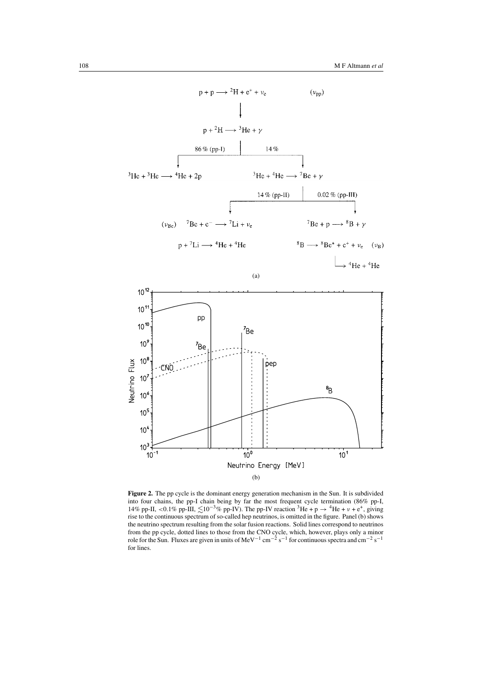

**Figure 2.** The pp cycle is the dominant energy generation mechanism in the Sun. It is subdivided into four chains, the pp-I chain being by far the most frequent cycle termination (86% pp-I, 14% pp-II, <0.1% pp-III,  $\leq 10^{-3}$ % pp-IV). The pp-IV reaction <sup>3</sup>He + p  $\rightarrow$  <sup>4</sup>He + v + e<sup>+</sup>, giving rise to the continuous spectrum of so-called hep neutrinos, is omitted in the figure. Panel (b) shows the neutrino spectrum resulting from the solar fusion reactions. Solid lines correspond to neutrinos from the pp cycle, dotted lines to those from the CNO cycle, which, however, plays only a minor role for the Sun. Fluxes are given in units of MeV<sup>-1</sup> cm<sup>-2</sup> s<sup>-1</sup> for continuous spectra and cm<sup>-2</sup> s<sup>-1</sup> for lines.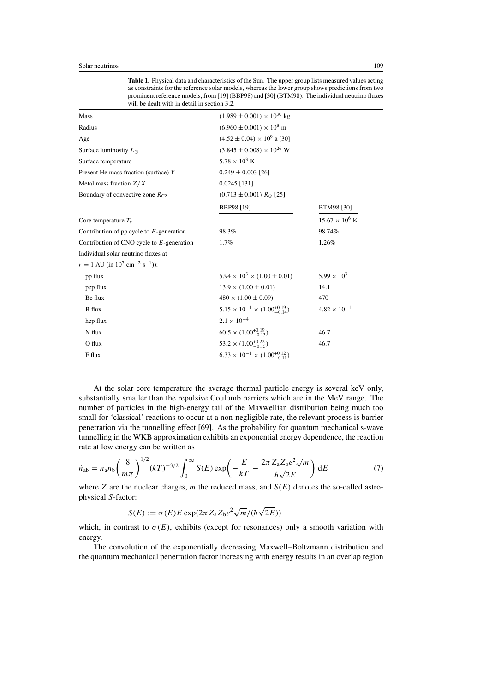**Table 1.** Physical data and characteristics of the Sun. The upper group lists measured values acting as constraints for the reference solar models, whereas the lower group shows predictions from two prominent reference models, from [19] (BBP98) and [30] (BTM98). The individual neutrino fluxes will be dealt with in detail in section 3.2.

| Mass                                                                | $(1.989 \pm 0.001) \times 10^{30}$ kg               |                       |
|---------------------------------------------------------------------|-----------------------------------------------------|-----------------------|
| Radius                                                              | $(6.960 \pm 0.001) \times 10^8$ m                   |                       |
| Age                                                                 | $(4.52 \pm 0.04) \times 10^9$ a [30]                |                       |
| Surface luminosity $L_{\odot}$                                      | $(3.845 \pm 0.008) \times 10^{26}$ W                |                       |
| Surface temperature                                                 | $5.78 \times 10^{3}$ K                              |                       |
| Present He mass fraction (surface) Y                                | $0.249 \pm 0.003$ [26]                              |                       |
| Metal mass fraction $Z/X$                                           | $0.0245$ [131]                                      |                       |
| Boundary of convective zone $R_{CZ}$                                | $(0.713 \pm 0.001) R_{\odot}$ [25]                  |                       |
|                                                                     | <b>BBP98 [19]</b>                                   | BTM98 [30]            |
| Core temperature $T_c$                                              |                                                     | $15.67 \times 10^6$ K |
| Contribution of pp cycle to $E$ -generation                         | 98.3%                                               | 98.74%                |
| Contribution of CNO cycle to $E$ -generation                        | 1.7%                                                | 1.26%                 |
| Individual solar neutrino fluxes at                                 |                                                     |                       |
| $r = 1$ AU (in 10 <sup>7</sup> cm <sup>-2</sup> s <sup>-1</sup> )): |                                                     |                       |
| pp flux                                                             | $5.94 \times 10^3 \times (1.00 \pm 0.01)$           | $5.99 \times 10^{3}$  |
| pep flux                                                            | $13.9 \times (1.00 \pm 0.01)$                       | 14.1                  |
| Be flux                                                             | $480 \times (1.00 \pm 0.09)$                        | 470                   |
| <b>B</b> flux                                                       | $5.15 \times 10^{-1} \times (1.00^{+0.19}_{-0.14})$ | $4.82 \times 10^{-1}$ |
| hep flux                                                            | $2.1 \times 10^{-4}$                                |                       |
| N flux                                                              | $60.5 \times (1.00^{+0.19}_{-0.13})$                | 46.7                  |
| O flux                                                              | $53.2 \times (1.00^{+0.22}_{-0.15})$                | 46.7                  |
| F flux                                                              | $6.33 \times 10^{-1} \times (1.00_{-0.11}^{+0.12})$ |                       |
|                                                                     |                                                     |                       |

At the solar core temperature the average thermal particle energy is several keV only, substantially smaller than the repulsive Coulomb barriers which are in the MeV range. The number of particles in the high-energy tail of the Maxwellian distribution being much too small for 'classical' reactions to occur at a non-negligible rate, the relevant process is barrier penetration via the tunnelling effect [69]. As the probability for quantum mechanical s-wave tunnelling in the WKB approximation exhibits an exponential energy dependence, the reaction rate at low energy can be written as

$$
\dot{n}_{ab} = n_a n_b \left(\frac{8}{m\pi}\right)^{1/2} (kT)^{-3/2} \int_0^\infty S(E) \exp\left(-\frac{E}{kT} - \frac{2\pi Z_a Z_b e^2 \sqrt{m}}{h\sqrt{2E}}\right) dE \tag{7}
$$

where  $Z$  are the nuclear charges,  $m$  the reduced mass, and  $S(E)$  denotes the so-called astrophysical S-factor:

$$
S(E) := \sigma(E)E \exp(2\pi Z_a Z_b e^2 \sqrt{m}/(\hbar \sqrt{2E}))
$$

which, in contrast to  $\sigma(E)$ , exhibits (except for resonances) only a smooth variation with energy.

The convolution of the exponentially decreasing Maxwell–Boltzmann distribution and the quantum mechanical penetration factor increasing with energy results in an overlap region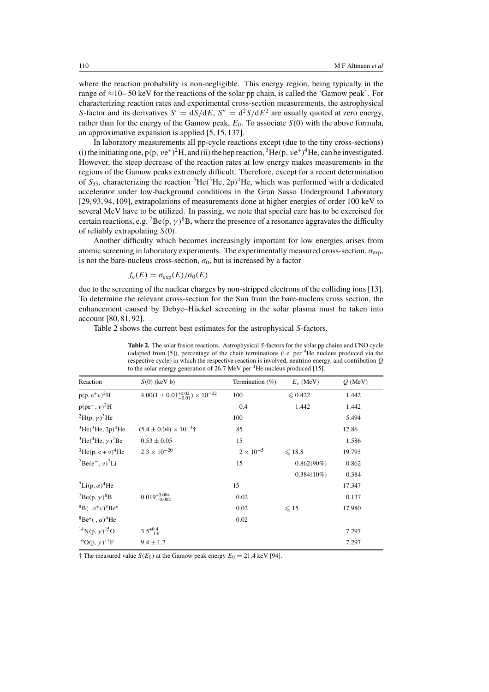where the reaction probability is non-negligible. This energy region, being typically in the range of ≈10– 50 keV for the reactions of the solar pp chain, is called the 'Gamow peak'. For characterizing reaction rates and experimental cross-section measurements, the astrophysical S-factor and its derivatives  $S' = dS/dE$ ,  $S'' = d^2S/dE^2$  are usually quoted at zero energy, rather than for the energy of the Gamow peak,  $E_0$ . To associate  $S(0)$  with the above formula, an approximative expansion is applied [5, 15, 137].

In laboratory measurements all pp-cycle reactions except (due to the tiny cross-sections) (i) the initiating one,  $p(p, v e^+)^2 H$ , and (ii) the hep reaction,  ${}^{3}He(p, v e^+)^4 He$ , can be investigated. However, the steep decrease of the reaction rates at low energy makes measurements in the regions of the Gamow peaks extremely difficult. Therefore, except for a recent determination of  $S_{33}$ , characterizing the reaction  ${}^{3}$ He( ${}^{3}$ He,  $2p$ )<sup>4</sup>He, which was performed with a dedicated accelerator under low-background conditions in the Gran Sasso Underground Laboratory [29, 93, 94, 109], extrapolations of measurements done at higher energies of order 100 keV to several MeV have to be utilized. In passing, we note that special care has to be exercised for certain reactions, e.g.  ${}^{7}Be(p, \gamma)^{8}B$ , where the presence of a resonance aggravates the difficulty of reliably extrapolating  $S(0)$ .

Another difficulty which becomes increasingly important for low energies arises from atomic screening in laboratory experiments. The experimentally measured cross-section,  $\sigma_{\text{exp}}$ , is not the bare-nucleus cross-section,  $\sigma_0$ , but is increased by a factor

$$
f_{\rm e}(E) = \sigma_{\rm exp}(E)/\sigma_0(E)
$$

due to the screening of the nuclear charges by non-stripped electrons of the colliding ions [13]. To determine the relevant cross-section for the Sun from the bare-nucleus cross section, the enhancement caused by Debye–Hückel screening in the solar plasma must be taken into account [80, 81, 92].

Table 2 shows the current best estimates for the astrophysical S-factors.

| to the solar energy generation of $26.7$ MeV per <sup>4</sup> He nucleus produced [15]. |                    |                |           |  |  |  |
|-----------------------------------------------------------------------------------------|--------------------|----------------|-----------|--|--|--|
| $S(0)$ (keV b)                                                                          | Termination $(\%)$ | $E_v$ (MeV)    | $Q$ (MeV) |  |  |  |
| $4.00(1 \pm 0.01^{+0.02}_{-0.01}) \times 10^{-22}$                                      | 100                | $\leq 0.422$   | 1.442     |  |  |  |
|                                                                                         | 0.4                | 1.442          | 1.442     |  |  |  |
|                                                                                         | 100                |                | 5.494     |  |  |  |
| $(5.4 \pm 0.04) \times 10^{-3}$ <sup>+</sup>                                            | 85                 |                | 12.86     |  |  |  |
| $0.53 \pm 0.05$                                                                         | 15                 |                | 1.586     |  |  |  |
| $2.3 \times 10^{-20}$                                                                   | $2 \times 10^{-5}$ | $\leq 18.8$    | 19.795    |  |  |  |
|                                                                                         | 15                 | $0.862(90\%)$  | 0.862     |  |  |  |
|                                                                                         |                    | $0.384(10\%)$  | 0.384     |  |  |  |
|                                                                                         | 15                 |                | 17.347    |  |  |  |
| $0.019_{-0.002}^{+0.004}$                                                               | 0.02               |                | 0.137     |  |  |  |
|                                                                                         | 0.02               | $\leqslant$ 15 | 17.980    |  |  |  |
|                                                                                         | 0.02               |                |           |  |  |  |
| $3.5^{+0.4}_{-1.6}$                                                                     |                    |                | 7.297     |  |  |  |
| $9.4 \pm 1.7$                                                                           |                    |                | 7.297     |  |  |  |
|                                                                                         |                    |                |           |  |  |  |

**Table 2.** The solar fusion reactions. Astrophysical S-factors for the solar pp chains and CNO cycle (adapted from [5]), percentage of the chain terminations (i.e. per 4He nucleus produced via the respective cycle) in which the respective reaction is involved, neutrino energy, and contribution Q

<sup>†</sup> The measured value  $S(E_0)$  at the Gamow peak energy  $E_0 = 21.4$  keV [94].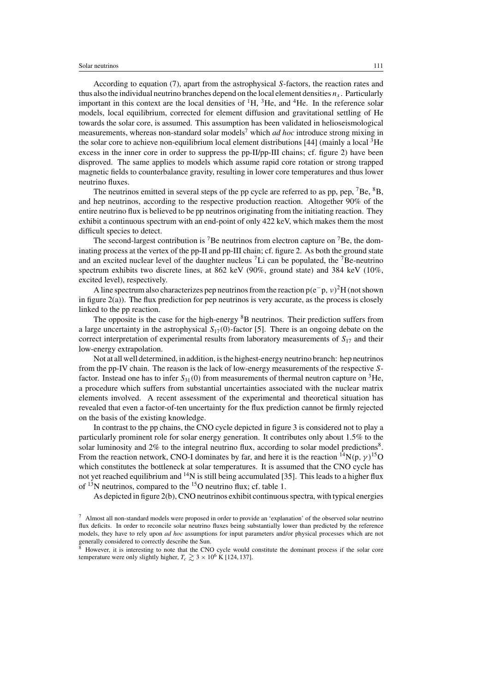According to equation (7), apart from the astrophysical S-factors, the reaction rates and thus also the individual neutrino branches depend on the local element densities  $n<sub>x</sub>$ . Particularly important in this context are the local densities of  ${}^{1}H$ ,  ${}^{3}He$ , and  ${}^{4}He$ . In the reference solar models, local equilibrium, corrected for element diffusion and gravitational settling of He towards the solar core, is assumed. This assumption has been validated in helioseismological measurements, whereas non-standard solar models<sup>7</sup> which *ad hoc* introduce strong mixing in the solar core to achieve non-equilibrium local element distributions [44] (mainly a local  ${}^{3}$ He excess in the inner core in order to suppress the pp-II/pp-III chains; cf. figure 2) have been disproved. The same applies to models which assume rapid core rotation or strong trapped magnetic fields to counterbalance gravity, resulting in lower core temperatures and thus lower neutrino fluxes.

The neutrinos emitted in several steps of the pp cycle are referred to as pp, pep,  $^7$ Be,  $^8$ B, and hep neutrinos, according to the respective production reaction. Altogether 90% of the entire neutrino flux is believed to be pp neutrinos originating from the initiating reaction. They exhibit a continuous spectrum with an end-point of only 422 keV, which makes them the most difficult species to detect.

The second-largest contribution is <sup>7</sup>Be neutrinos from electron capture on <sup>7</sup>Be, the dominating process at the vertex of the pp-II and pp-III chain; cf. figure 2. As both the ground state and an excited nuclear level of the daughter nucleus  $\ell$ Li can be populated, the  $\ell$ Be-neutrino spectrum exhibits two discrete lines, at 862 keV (90%, ground state) and 384 keV (10%, excited level), respectively.

A line spectrum also characterizes pep neutrinos from the reaction  $p(e^-p, v)^2H$  (not shown in figure  $2(a)$ ). The flux prediction for pep neutrinos is very accurate, as the process is closely linked to the pp reaction.

The opposite is the case for the high-energy  ${}^{8}B$  neutrinos. Their prediction suffers from a large uncertainty in the astrophysical  $S_{17}(0)$ -factor [5]. There is an ongoing debate on the correct interpretation of experimental results from laboratory measurements of  $S_{17}$  and their low-energy extrapolation.

Not at all well determined, in addition, is the highest-energy neutrino branch: hep neutrinos from the pp-IV chain. The reason is the lack of low-energy measurements of the respective Sfactor. Instead one has to infer  $S_{31}(0)$  from measurements of thermal neutron capture on <sup>3</sup>He, a procedure which suffers from substantial uncertainties associated with the nuclear matrix elements involved. A recent assessment of the experimental and theoretical situation has revealed that even a factor-of-ten uncertainty for the flux prediction cannot be firmly rejected on the basis of the existing knowledge.

In contrast to the pp chains, the CNO cycle depicted in figure 3 is considered not to play a particularly prominent role for solar energy generation. It contributes only about 1.5% to the solar luminosity and  $2\%$  to the integral neutrino flux, according to solar model predictions<sup>8</sup>. From the reaction network, CNO-I dominates by far, and here it is the reaction  ${}^{14}N(p, \gamma) {}^{15}O$ which constitutes the bottleneck at solar temperatures. It is assumed that the CNO cycle has not yet reached equilibrium and  $14N$  is still being accumulated [35]. This leads to a higher flux of  $13$ N neutrinos, compared to the  $15$ O neutrino flux; cf. table 1.

As depicted in figure 2(b), CNO neutrinos exhibit continuous spectra, with typical energies

<sup>7</sup> Almost all non-standard models were proposed in order to provide an 'explanation' of the observed solar neutrino flux deficits. In order to reconcile solar neutrino fluxes being substantially lower than predicted by the reference models, they have to rely upon *ad hoc* assumptions for input parameters and/or physical processes which are not generally considered to correctly describe the Sun.

<sup>8</sup> However, it is interesting to note that the CNO cycle would constitute the dominant process if the solar core temperature were only slightly higher,  $T_c \gtrsim 3 \times 10^6$  K [124, 137].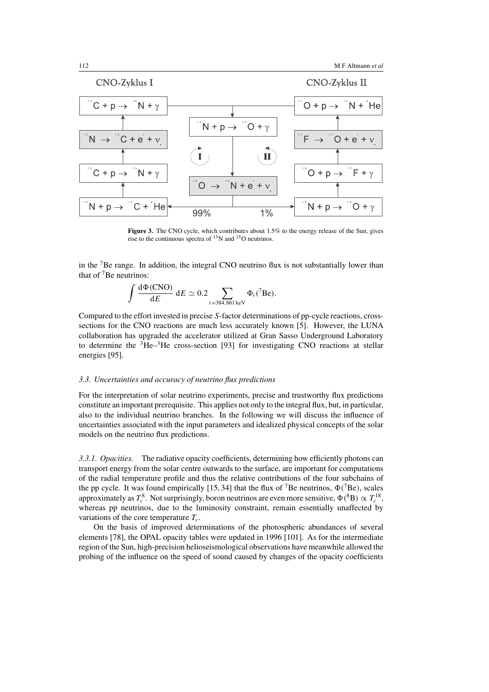

Figure 3. The CNO cycle, which contributes about 1.5% to the energy release of the Sun, gives rise to the continuous spectra of 13N and 15O neutrinos.

in the 7Be range. In addition, the integral CNO neutrino flux is not substantially lower than that of  $7$ Be neutrinos:

$$
\int \frac{\mathrm{d}\Phi(\mathrm{CNO})}{\mathrm{d}E} \mathrm{d}E \simeq 0.2 \sum_{i=384,861 \,\mathrm{keV}} \Phi_i(^{7}\mathrm{Be}).
$$

Compared to the effort invested in precise S-factor determinations of pp-cycle reactions, crosssections for the CNO reactions are much less accurately known [5]. However, the LUNA collaboration has upgraded the accelerator utilized at Gran Sasso Underground Laboratory to determine the <sup>3</sup>He–<sup>3</sup>He cross-section [93] for investigating CNO reactions at stellar energies [95].

## *3.3. Uncertainties and accuracy of neutrino flux predictions*

 $\overline{a}$ 

For the interpretation of solar neutrino experiments, precise and trustworthy flux predictions constitute an important prerequisite. This applies not only to the integral flux, but, in particular, also to the individual neutrino branches. In the following we will discuss the influence of uncertainties associated with the input parameters and idealized physical concepts of the solar models on the neutrino flux predictions.

*3.3.1. Opacities.* The radiative opacity coefficients, determining how efficiently photons can transport energy from the solar centre outwards to the surface, are important for computations of the radial temperature profile and thus the relative contributions of the four subchains of the pp cycle. It was found empirically [15, 34] that the flux of <sup>7</sup>Be neutrinos,  $\Phi$ <sup>(7</sup>Be), scales approximately as  $T_c^8$ . Not surprisingly, boron neutrinos are even more sensitive,  $\Phi(^8B) \propto T_c^{18}$ , whereas pp neutrinos, due to the luminosity constraint, remain essentially unaffected by variations of the core temperature  $T_c$ .

On the basis of improved determinations of the photospheric abundances of several elements [78], the OPAL opacity tables were updated in 1996 [101]. As for the intermediate region of the Sun, high-precision helioseismological observations have meanwhile allowed the probing of the influence on the speed of sound caused by changes of the opacity coefficients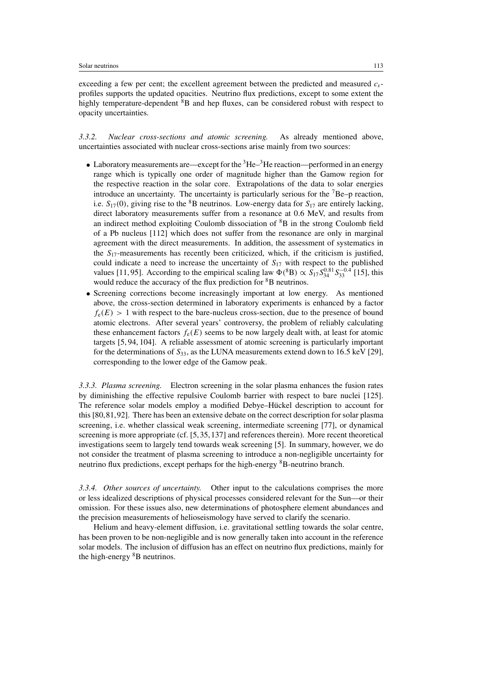exceeding a few per cent; the excellent agreement between the predicted and measured  $c_s$ profiles supports the updated opacities. Neutrino flux predictions, except to some extent the highly temperature-dependent  ${}^{8}B$  and hep fluxes, can be considered robust with respect to opacity uncertainties.

*3.3.2. Nuclear cross-sections and atomic screening.* As already mentioned above, uncertainties associated with nuclear cross-sections arise mainly from two sources:

- Laboratory measurements are—except for the  ${}^{3}\text{He}^{-3}\text{He}$  reaction—performed in an energy range which is typically one order of magnitude higher than the Gamow region for the respective reaction in the solar core. Extrapolations of the data to solar energies introduce an uncertainty. The uncertainty is particularly serious for the  ${}^{7}Be-$ p reaction, i.e.  $S_{17}(0)$ , giving rise to the <sup>8</sup>B neutrinos. Low-energy data for  $S_{17}$  are entirely lacking, direct laboratory measurements suffer from a resonance at 0.6 MeV, and results from an indirect method exploiting Coulomb dissociation of  ${}^{8}B$  in the strong Coulomb field of a Pb nucleus [112] which does not suffer from the resonance are only in marginal agreement with the direct measurements. In addition, the assessment of systematics in the  $S_{17}$ -measurements has recently been criticized, which, if the criticism is justified, could indicate a need to increase the uncertainty of  $S_{17}$  with respect to the published values [11, 95]. According to the empirical scaling law  $\Phi(^{8}B) \propto S_{17} S_{34}^{0.81} S_{33}^{-0.4}$  [15], this would reduce the accuracy of the flux prediction for <sup>8</sup>B neutrinos.
- Screening corrections become increasingly important at low energy. As mentioned above, the cross-section determined in laboratory experiments is enhanced by a factor  $f_e(E) > 1$  with respect to the bare-nucleus cross-section, due to the presence of bound atomic electrons. After several years' controversy, the problem of reliably calculating these enhancement factors  $f_e(E)$  seems to be now largely dealt with, at least for atomic targets [5, 94, 104]. A reliable assessment of atomic screening is particularly important for the determinations of  $S_{33}$ , as the LUNA measurements extend down to 16.5 keV [29], corresponding to the lower edge of the Gamow peak.

*3.3.3. Plasma screening.* Electron screening in the solar plasma enhances the fusion rates by diminishing the effective repulsive Coulomb barrier with respect to bare nuclei [125]. The reference solar models employ a modified Debye–Hückel description to account for this [80,81,92]. There has been an extensive debate on the correct description for solar plasma screening, i.e. whether classical weak screening, intermediate screening [77], or dynamical screening is more appropriate (cf. [5, 35, 137] and references therein). More recent theoretical investigations seem to largely tend towards weak screening [5]. In summary, however, we do not consider the treatment of plasma screening to introduce a non-negligible uncertainty for neutrino flux predictions, except perhaps for the high-energy <sup>8</sup>B-neutrino branch.

*3.3.4. Other sources of uncertainty.* Other input to the calculations comprises the more or less idealized descriptions of physical processes considered relevant for the Sun—or their omission. For these issues also, new determinations of photosphere element abundances and the precision measurements of helioseismology have served to clarify the scenario.

Helium and heavy-element diffusion, i.e. gravitational settling towards the solar centre, has been proven to be non-negligible and is now generally taken into account in the reference solar models. The inclusion of diffusion has an effect on neutrino flux predictions, mainly for the high-energy <sup>8</sup>B neutrinos.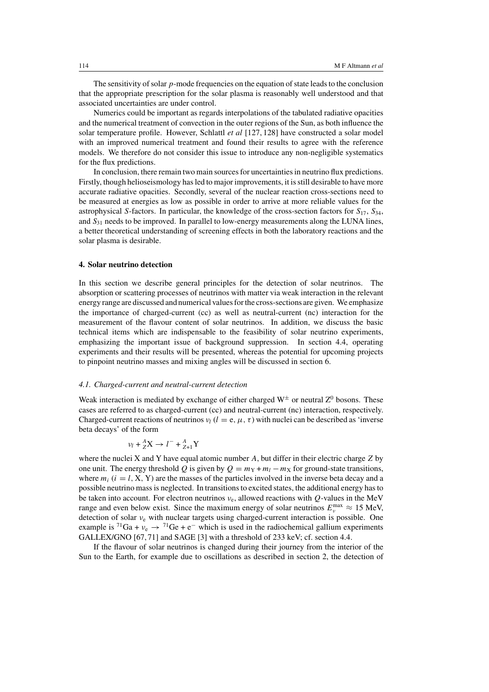The sensitivity of solar  $p$ -mode frequencies on the equation of state leads to the conclusion that the appropriate prescription for the solar plasma is reasonably well understood and that associated uncertainties are under control.

Numerics could be important as regards interpolations of the tabulated radiative opacities and the numerical treatment of convection in the outer regions of the Sun, as both influence the solar temperature profile. However, Schlattl *et al* [127, 128] have constructed a solar model with an improved numerical treatment and found their results to agree with the reference models. We therefore do not consider this issue to introduce any non-negligible systematics for the flux predictions.

In conclusion, there remain two main sources for uncertainties in neutrino flux predictions. Firstly, though helioseismology has led to major improvements, it is still desirable to have more accurate radiative opacities. Secondly, several of the nuclear reaction cross-sections need to be measured at energies as low as possible in order to arrive at more reliable values for the astrophysical S-factors. In particular, the knowledge of the cross-section factors for  $S_{17}$ ,  $S_{34}$ , and  $S_{31}$  needs to be improved. In parallel to low-energy measurements along the LUNA lines, a better theoretical understanding of screening effects in both the laboratory reactions and the solar plasma is desirable.

# **4. Solar neutrino detection**

In this section we describe general principles for the detection of solar neutrinos. The absorption or scattering processes of neutrinos with matter via weak interaction in the relevant energy range are discussed and numerical values for the cross-sections are given. We emphasize the importance of charged-current (cc) as well as neutral-current (nc) interaction for the measurement of the flavour content of solar neutrinos. In addition, we discuss the basic technical items which are indispensable to the feasibility of solar neutrino experiments, emphasizing the important issue of background suppression. In section 4.4, operating experiments and their results will be presented, whereas the potential for upcoming projects to pinpoint neutrino masses and mixing angles will be discussed in section 6.

#### *4.1. Charged-current and neutral-current detection*

Weak interaction is mediated by exchange of either charged  $W^{\pm}$  or neutral  $Z^{0}$  bosons. These cases are referred to as charged-current (cc) and neutral-current (nc) interaction, respectively. Charged-current reactions of neutrinos  $v_l$  ( $l = e, \mu, \tau$ ) with nuclei can be described as 'inverse beta decays' of the form

$$
v_l + {}^A_Z \mathbf{X} \to l^- + {}^A_{Z+1} \mathbf{Y}
$$

where the nuclei X and Y have equal atomic number  $A$ , but differ in their electric charge Z by one unit. The energy threshold Q is given by  $Q = m<sub>Y</sub> + m<sub>l</sub> - m<sub>X</sub>$  for ground-state transitions, where  $m_i$  ( $i = l$ , X, Y) are the masses of the particles involved in the inverse beta decay and a possible neutrino mass is neglected. In transitions to excited states, the additional energy has to be taken into account. For electron neutrinos  $v_e$ , allowed reactions with Q-values in the MeV range and even below exist. Since the maximum energy of solar neutrinos  $E_v^{\text{max}} \approx 15 \text{ MeV}$ , detection of solar  $v_e$  with nuclear targets using charged-current interaction is possible. One example is <sup>71</sup>Ga +  $v_e \rightarrow$  <sup>71</sup>Ge + e<sup>-</sup> which is used in the radiochemical gallium experiments GALLEX/GNO [67, 71] and SAGE [3] with a threshold of 233 keV; cf. section 4.4.

If the flavour of solar neutrinos is changed during their journey from the interior of the Sun to the Earth, for example due to oscillations as described in section 2, the detection of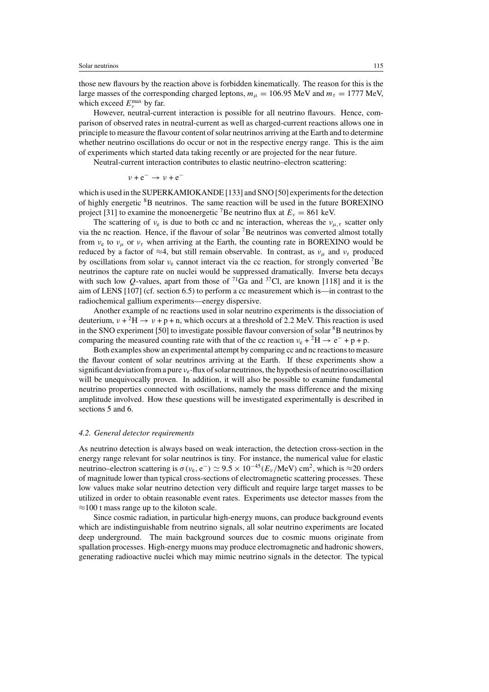those new flavours by the reaction above is forbidden kinematically. The reason for this is the large masses of the corresponding charged leptons,  $m_{\mu} = 106.95$  MeV and  $m_{\tau} = 1777$  MeV, which exceed  $E_v^{\text{max}}$  by far.

However, neutral-current interaction is possible for all neutrino flavours. Hence, comparison of observed rates in neutral-current as well as charged-current reactions allows one in principle to measure the flavour content of solar neutrinos arriving at the Earth and to determine whether neutrino oscillations do occur or not in the respective energy range. This is the aim of experiments which started data taking recently or are projected for the near future.

Neutral-current interaction contributes to elastic neutrino–electron scattering:

$$
v + e^- \to v + e^-
$$

which is used in the SUPERKAMIOKANDE [133] and SNO [50] experiments for the detection of highly energetic <sup>8</sup>B neutrinos. The same reaction will be used in the future BOREXINO project [31] to examine the monoenergetic <sup>7</sup>Be neutrino flux at  $E_v = 861$  keV.

The scattering of  $v_e$  is due to both cc and nc interaction, whereas the  $v_{\mu,\tau}$  scatter only via the nc reaction. Hence, if the flavour of solar  ${}^{7}$ Be neutrinos was converted almost totally from  $v_e$  to  $v_\mu$  or  $v_\tau$  when arriving at the Earth, the counting rate in BOREXINO would be reduced by a factor of  $\approx$ 4, but still remain observable. In contrast, as  $v_\mu$  and  $v_\tau$  produced by oscillations from solar  $v_e$  cannot interact via the cc reaction, for strongly converted <sup>7</sup>Be neutrinos the capture rate on nuclei would be suppressed dramatically. Inverse beta decays with such low Q-values, apart from those of  $^{71}Ga$  and  $^{37}Cl$ , are known [118] and it is the aim of LENS [107] (cf. section 6.5) to perform a cc measurement which is—in contrast to the radiochemical gallium experiments—energy dispersive.

Another example of nc reactions used in solar neutrino experiments is the dissociation of deuterium,  $v + {}^{2}H \rightarrow v + p + n$ , which occurs at a threshold of 2.2 MeV. This reaction is used in the SNO experiment [50] to investigate possible flavour conversion of solar <sup>8</sup>B neutrinos by comparing the measured counting rate with that of the cc reaction  $v_e + {}^2H \rightarrow e^- + p + p$ .

Both examples show an experimental attempt by comparing cc and nc reactions to measure the flavour content of solar neutrinos arriving at the Earth. If these experiments show a significant deviation from a pure  $v_e$ -flux of solar neutrinos, the hypothesis of neutrino oscillation will be unequivocally proven. In addition, it will also be possible to examine fundamental neutrino properties connected with oscillations, namely the mass difference and the mixing amplitude involved. How these questions will be investigated experimentally is described in sections 5 and 6.

#### *4.2. General detector requirements*

As neutrino detection is always based on weak interaction, the detection cross-section in the energy range relevant for solar neutrinos is tiny. For instance, the numerical value for elastic neutrino–electron scattering is  $\sigma(v_e, e^-) \simeq 9.5 \times 10^{-45} (E_v/\text{MeV}) \text{ cm}^2$ , which is ≈20 orders of magnitude lower than typical cross-sections of electromagnetic scattering processes. These low values make solar neutrino detection very difficult and require large target masses to be utilized in order to obtain reasonable event rates. Experiments use detector masses from the  $\approx$ 100 t mass range up to the kiloton scale.

Since cosmic radiation, in particular high-energy muons, can produce background events which are indistinguishable from neutrino signals, all solar neutrino experiments are located deep underground. The main background sources due to cosmic muons originate from spallation processes. High-energy muons may produce electromagnetic and hadronic showers, generating radioactive nuclei which may mimic neutrino signals in the detector. The typical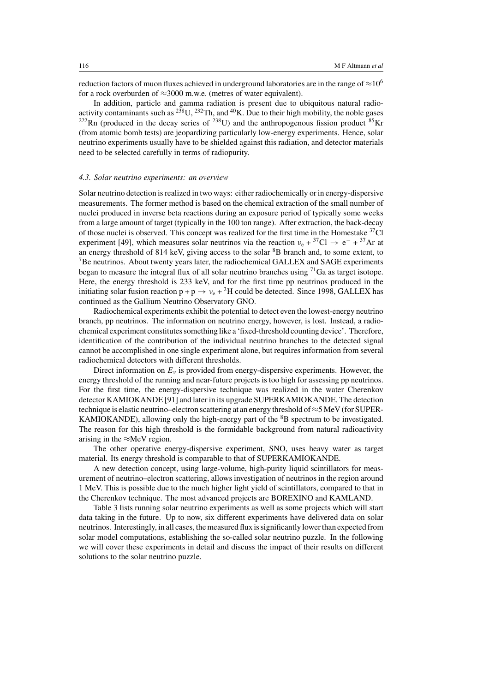reduction factors of muon fluxes achieved in underground laboratories are in the range of  $\approx$ 10<sup>6</sup> for a rock overburden of ≈3000 m.w.e. (metres of water equivalent).

In addition, particle and gamma radiation is present due to ubiquitous natural radioactivity contaminants such as  $^{238}$ U,  $^{232}$ Th, and  $^{40}$ K. Due to their high mobility, the noble gases  $^{222}$ Rn (produced in the decay series of  $^{238}$ U) and the anthropogenous fission product  $^{85}$ Kr (from atomic bomb tests) are jeopardizing particularly low-energy experiments. Hence, solar neutrino experiments usually have to be shielded against this radiation, and detector materials need to be selected carefully in terms of radiopurity.

#### *4.3. Solar neutrino experiments: an overview*

Solar neutrino detection is realized in two ways: either radiochemically or in energy-dispersive measurements. The former method is based on the chemical extraction of the small number of nuclei produced in inverse beta reactions during an exposure period of typically some weeks from a large amount of target (typically in the 100 ton range). After extraction, the back-decay of those nuclei is observed. This concept was realized for the first time in the Homestake <sup>37</sup>Cl experiment [49], which measures solar neutrinos via the reaction  $v_e + {}^{37}Cl \rightarrow e^- + {}^{37}Ar$  at an energy threshold of 814 keV, giving access to the solar  ${}^{8}B$  branch and, to some extent, to <sup>7</sup>Be neutrinos. About twenty years later, the radiochemical GALLEX and SAGE experiments began to measure the integral flux of all solar neutrino branches using 71Ga as target isotope. Here, the energy threshold is 233 keV, and for the first time pp neutrinos produced in the initiating solar fusion reaction  $p + p \rightarrow v_e + {}^2H$  could be detected. Since 1998, GALLEX has continued as the Gallium Neutrino Observatory GNO.

Radiochemical experiments exhibit the potential to detect even the lowest-energy neutrino branch, pp neutrinos. The information on neutrino energy, however, is lost. Instead, a radiochemical experiment constitutes something like a 'fixed-threshold counting device'. Therefore, identification of the contribution of the individual neutrino branches to the detected signal cannot be accomplished in one single experiment alone, but requires information from several radiochemical detectors with different thresholds.

Direct information on  $E<sub>v</sub>$  is provided from energy-dispersive experiments. However, the energy threshold of the running and near-future projects is too high for assessing pp neutrinos. For the first time, the energy-dispersive technique was realized in the water Cherenkov detector KAMIOKANDE [91] and later in its upgrade SUPERKAMIOKANDE. The detection technique is elastic neutrino–electron scattering at an energy threshold of≈5 MeV (for SUPER-KAMIOKANDE), allowing only the high-energy part of the  $8B$  spectrum to be investigated. The reason for this high threshold is the formidable background from natural radioactivity arising in the  $\approx$ MeV region.

The other operative energy-dispersive experiment, SNO, uses heavy water as target material. Its energy threshold is comparable to that of SUPERKAMIOKANDE.

A new detection concept, using large-volume, high-purity liquid scintillators for measurement of neutrino–electron scattering, allows investigation of neutrinos in the region around 1 MeV. This is possible due to the much higher light yield of scintillators, compared to that in the Cherenkov technique. The most advanced projects are BOREXINO and KAMLAND.

Table 3 lists running solar neutrino experiments as well as some projects which will start data taking in the future. Up to now, six different experiments have delivered data on solar neutrinos. Interestingly, in all cases, the measured flux is significantly lower than expected from solar model computations, establishing the so-called solar neutrino puzzle. In the following we will cover these experiments in detail and discuss the impact of their results on different solutions to the solar neutrino puzzle.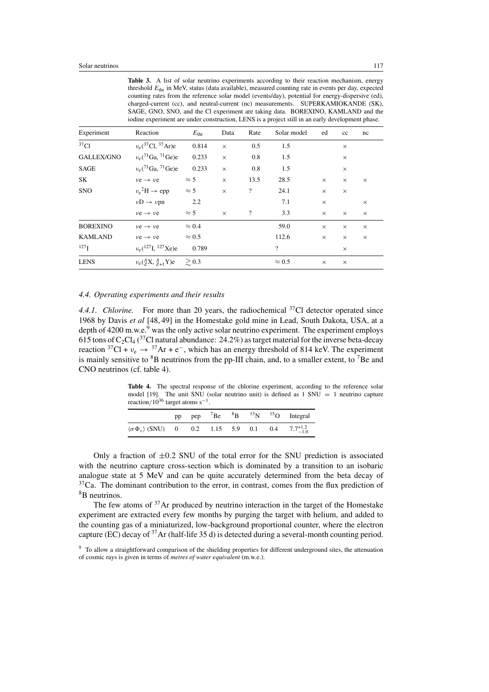Table 3. A list of solar neutrino experiments according to their reaction mechanism, energy threshold  $E_{thr}$  in MeV, status (data available), measured counting rate in events per day, expected counting rates from the reference solar model (events/day), potential for energy-dispersive (ed), charged-current (cc), and neutral-current (nc) measurements. SUPERKAMIOKANDE (SK), SAGE, GNO, SNO, and the Cl experiment are taking data. BOREXINO, KAMLAND and the iodine experiment are under construction, LENS is a project still in an early development phase.

| Experiment       | Reaction                                     | $E_{\rm thr}$ | Data     | Rate                     | Solar model              | ed       | $_{\rm cc}$ | nc       |
|------------------|----------------------------------------------|---------------|----------|--------------------------|--------------------------|----------|-------------|----------|
| 37 <sub>Cl</sub> | $v_e$ ( <sup>37</sup> Cl, <sup>37</sup> Ar)e | 0.814         | $\times$ | 0.5                      | 1.5                      |          | $\times$    |          |
| GALLEX/GNO       | $v_e$ ( <sup>71</sup> Ga, <sup>71</sup> Ge)e | 0.233         | $\times$ | 0.8                      | 1.5                      |          | $\times$    |          |
| <b>SAGE</b>      | $v_e$ ( <sup>71</sup> Ga, <sup>71</sup> Ge)e | 0.233         | $\times$ | 0.8                      | 1.5                      |          | $\times$    |          |
| SK               | $\nu e \rightarrow \nu e$                    | $\approx$ 5   | $\times$ | 13.5                     | 28.5                     | $\times$ | $\times$    | $\times$ |
| <b>SNO</b>       | $v_e^2 H \rightarrow epp$                    | $\approx$ 5   | $\times$ | $\overline{\mathcal{L}}$ | 24.1                     | $\times$ | $\times$    |          |
|                  | $vD \rightarrow vpn$                         | 2.2           |          |                          | 7.1                      | $\times$ |             | $\times$ |
|                  | $\nu e \rightarrow \nu e$                    | $\approx$ 5   | $\times$ | $\overline{?}$           | 3.3                      | $\times$ | $\times$    | $\times$ |
| <b>BOREXINO</b>  | $\nu e \rightarrow \nu e$                    | $\approx 0.4$ |          |                          | 59.0                     | $\times$ | $\times$    | $\times$ |
| <b>KAMLAND</b>   | $\nu e \rightarrow \nu e$                    | $\approx 0.5$ |          |                          | 112.6                    | $\times$ | $\times$    | $\times$ |
| 127 <sub>I</sub> | $v_e(^{127}I, ^{127}Xe)e$                    | 0.789         |          |                          | $\overline{\mathcal{L}}$ |          | $\times$    |          |
| <b>LENS</b>      | $v_e(\frac{A}{Z}X, \frac{A}{Z+1}Y)e \ge 0.3$ |               |          |                          | $\approx 0.5$            | $\times$ | $\times$    |          |

#### *4.4. Operating experiments and their results*

4.4.1. Chlorine. For more than 20 years, the radiochemical <sup>37</sup>Cl detector operated since 1968 by Davis *et al* [48, 49] in the Homestake gold mine in Lead, South Dakota, USA, at a depth of  $4200$  m.w.e.<sup>9</sup> was the only active solar neutrino experiment. The experiment employs 615 tons of C<sub>2</sub>Cl<sub>4</sub> (<sup>37</sup>Cl natural abundance: 24.2%) as target material for the inverse beta-decay reaction  ${}^{37}Cl + v_e \rightarrow {}^{37}Ar + e^-$ , which has an energy threshold of 814 keV. The experiment is mainly sensitive to  ${}^{8}B$  neutrinos from the pp-III chain, and, to a smaller extent, to  ${}^{7}Be$  and CNO neutrinos (cf. table 4).

**Table 4.** The spectral response of the chlorine experiment, according to the reference solar model [19]. The unit SNU (solar neutrino unit) is defined as 1 SNU = 1 neutrino capture reaction/10<sup>36</sup> target atoms s<sup>-1</sup>.

|                                                                                      | pp |  |  | pep ${}^{7}$ Be ${}^{8}$ B ${}^{13}$ N ${}^{15}$ O Integral |
|--------------------------------------------------------------------------------------|----|--|--|-------------------------------------------------------------|
| $\langle \sigma \Phi_{\nu} \rangle$ (SNU) 0 0.2 1.15 5.9 0.1 0.4 7.7 <sup>+1.2</sup> |    |  |  |                                                             |

Only a fraction of  $\pm 0.2$  SNU of the total error for the SNU prediction is associated with the neutrino capture cross-section which is dominated by a transition to an isobaric analogue state at 5 MeV and can be quite accurately determined from the beta decay of  $37$ Ca. The dominant contribution to the error, in contrast, comes from the flux prediction of 8B neutrinos.

The few atoms of  $37$ Ar produced by neutrino interaction in the target of the Homestake experiment are extracted every few months by purging the target with helium, and added to the counting gas of a miniaturized, low-background proportional counter, where the electron capture (EC) decay of 37Ar (half-life 35 d) is detected during a several-month counting period.

<sup>&</sup>lt;sup>9</sup> To allow a straightforward comparison of the shielding properties for different underground sites, the attenuation of cosmic rays is given in terms of *metres of water equivalent* (m.w.e.).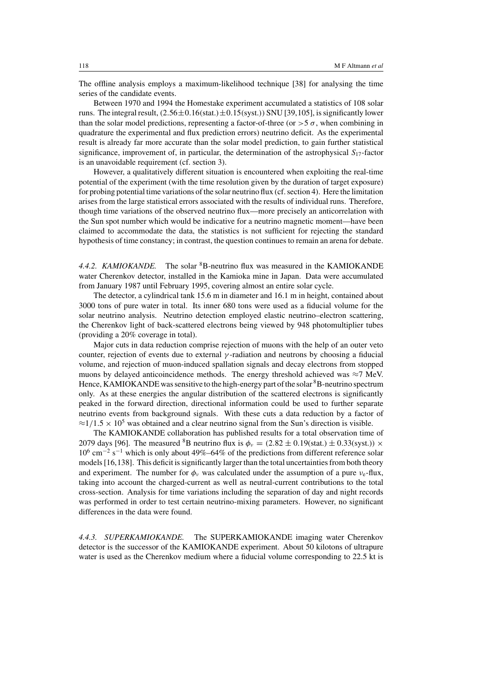The offline analysis employs a maximum-likelihood technique [38] for analysing the time series of the candidate events.

Between 1970 and 1994 the Homestake experiment accumulated a statistics of 108 solar runs. The integral result,  $(2.56\pm0.16(stat.)\pm0.15(syst.))$  SNU [39,105], is significantly lower than the solar model predictions, representing a factor-of-three (or  $>$  5  $\sigma$ , when combining in quadrature the experimental and flux prediction errors) neutrino deficit. As the experimental result is already far more accurate than the solar model prediction, to gain further statistical significance, improvement of, in particular, the determination of the astrophysical  $S_{17}$ -factor is an unavoidable requirement (cf. section 3).

However, a qualitatively different situation is encountered when exploiting the real-time potential of the experiment (with the time resolution given by the duration of target exposure) for probing potential time variations of the solar neutrino flux (cf. section 4). Here the limitation arises from the large statistical errors associated with the results of individual runs. Therefore, though time variations of the observed neutrino flux—more precisely an anticorrelation with the Sun spot number which would be indicative for a neutrino magnetic moment—have been claimed to accommodate the data, the statistics is not sufficient for rejecting the standard hypothesis of time constancy; in contrast, the question continues to remain an arena for debate.

4.4.2. *KAMIOKANDE*. The solar <sup>8</sup>B-neutrino flux was measured in the KAMIOKANDE water Cherenkov detector, installed in the Kamioka mine in Japan. Data were accumulated from January 1987 until February 1995, covering almost an entire solar cycle.

The detector, a cylindrical tank 15.6 m in diameter and 16.1 m in height, contained about 3000 tons of pure water in total. Its inner 680 tons were used as a fiducial volume for the solar neutrino analysis. Neutrino detection employed elastic neutrino–electron scattering, the Cherenkov light of back-scattered electrons being viewed by 948 photomultiplier tubes (providing a 20% coverage in total).

Major cuts in data reduction comprise rejection of muons with the help of an outer veto counter, rejection of events due to external γ -radiation and neutrons by choosing a fiducial volume, and rejection of muon-induced spallation signals and decay electrons from stopped muons by delayed anticoincidence methods. The energy threshold achieved was  $\approx$ 7 MeV. Hence, KAMIOKANDE was sensitive to the high-energy part of the solar <sup>8</sup>B-neutrino spectrum only. As at these energies the angular distribution of the scattered electrons is significantly peaked in the forward direction, directional information could be used to further separate neutrino events from background signals. With these cuts a data reduction by a factor of  $\approx$ 1/1.5  $\times$  10<sup>5</sup> was obtained and a clear neutrino signal from the Sun's direction is visible.

The KAMIOKANDE collaboration has published results for a total observation time of 2079 days [96]. The measured <sup>8</sup>B neutrino flux is  $\phi_v = (2.82 \pm 0.19 \text{(stat.)} \pm 0.33 \text{(syst.)}) \times$  $10^6$  cm<sup>-2</sup> s<sup>-1</sup> which is only about 49%–64% of the predictions from different reference solar models [16,138]. This deficit is significantly larger than the total uncertainties from both theory and experiment. The number for  $\phi_{\nu}$  was calculated under the assumption of a pure  $\nu_{e}$ -flux, taking into account the charged-current as well as neutral-current contributions to the total cross-section. Analysis for time variations including the separation of day and night records was performed in order to test certain neutrino-mixing parameters. However, no significant differences in the data were found.

*4.4.3. SUPERKAMIOKANDE.* The SUPERKAMIOKANDE imaging water Cherenkov detector is the successor of the KAMIOKANDE experiment. About 50 kilotons of ultrapure water is used as the Cherenkov medium where a fiducial volume corresponding to 22.5 kt is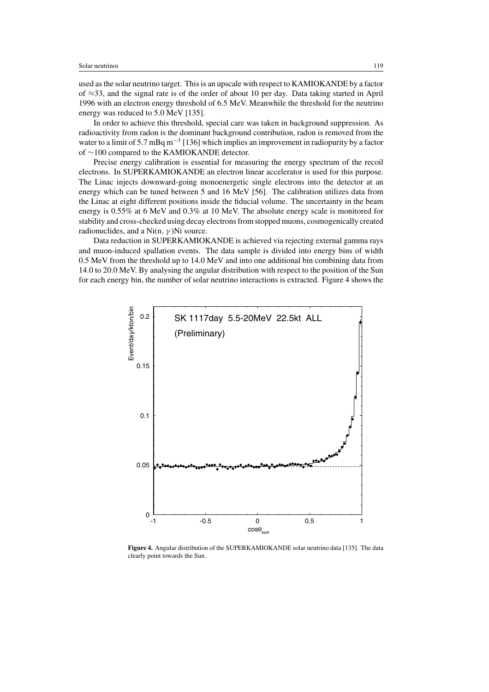used as the solar neutrino target. This is an upscale with respect to KAMIOKANDE by a factor of ≈33, and the signal rate is of the order of about 10 per day. Data taking started in April 1996 with an electron energy threshold of 6.5 MeV. Meanwhile the threshold for the neutrino energy was reduced to 5.0 MeV [135].

In order to achieve this threshold, special care was taken in background suppression. As radioactivity from radon is the dominant background contribution, radon is removed from the water to a limit of 5.7 mBq  $m^{-3}$  [136] which implies an improvement in radiopurity by a factor of ∼100 compared to the KAMIOKANDE detector.

Precise energy calibration is essential for measuring the energy spectrum of the recoil electrons. In SUPERKAMIOKANDE an electron linear accelerator is used for this purpose. The Linac injects downward-going monoenergetic single electrons into the detector at an energy which can be tuned between 5 and 16 MeV [56]. The calibration utilizes data from the Linac at eight different positions inside the fiducial volume. The uncertainty in the beam energy is 0.55% at 6 MeV and 0.3% at 10 MeV. The absolute energy scale is monitored for stability and cross-checked using decay electrons from stopped muons, cosmogenically created radionuclides, and a Ni $(n, \gamma)$ Ni source.

Data reduction in SUPERKAMIOKANDE is achieved via rejecting external gamma rays and muon-induced spallation events. The data sample is divided into energy bins of width 0.5 MeV from the threshold up to 14.0 MeV and into one additional bin combining data from 14.0 to 20.0 MeV. By analysing the angular distribution with respect to the position of the Sun for each energy bin, the number of solar neutrino interactions is extracted. Figure 4 shows the



**Figure 4.** Angular distribution of the SUPERKAMIOKANDE solar neutrino data [135]. The data clearly point towards the Sun.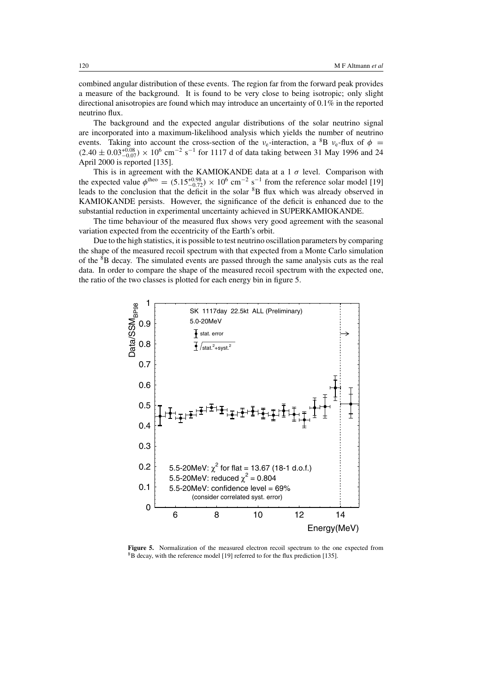combined angular distribution of these events. The region far from the forward peak provides a measure of the background. It is found to be very close to being isotropic; only slight directional anisotropies are found which may introduce an uncertainty of 0.1% in the reported neutrino flux.

The background and the expected angular distributions of the solar neutrino signal are incorporated into a maximum-likelihood analysis which yields the number of neutrino events. Taking into account the cross-section of the  $v_e$ -interaction, a <sup>8</sup>B  $v_e$ -flux of  $\phi$  =  $(2.40 \pm 0.03_{-0.07}^{+0.08}) \times 10^6$  cm<sup>-2</sup> s<sup>-1</sup> for 1117 d of data taking between 31 May 1996 and 24 April 2000 is reported [135].

This is in agreement with the KAMIOKANDE data at a 1  $\sigma$  level. Comparison with the expected value  $\phi^{\text{theo}} = (5.15_{-0.72}^{+0.98}) \times 10^6$  cm<sup>-2</sup> s<sup>-1</sup> from the reference solar model [19] leads to the conclusion that the deficit in the solar <sup>8</sup>B flux which was already observed in KAMIOKANDE persists. However, the significance of the deficit is enhanced due to the substantial reduction in experimental uncertainty achieved in SUPERKAMIOKANDE.

The time behaviour of the measured flux shows very good agreement with the seasonal variation expected from the eccentricity of the Earth's orbit.

Due to the high statistics, it is possible to test neutrino oscillation parameters by comparing the shape of the measured recoil spectrum with that expected from a Monte Carlo simulation of the 8B decay. The simulated events are passed through the same analysis cuts as the real data. In order to compare the shape of the measured recoil spectrum with the expected one, the ratio of the two classes is plotted for each energy bin in figure 5.



**Figure 5.** Normalization of the measured electron recoil spectrum to the one expected from <sup>8</sup>B decay, with the reference model [19] referred to for the flux prediction [135].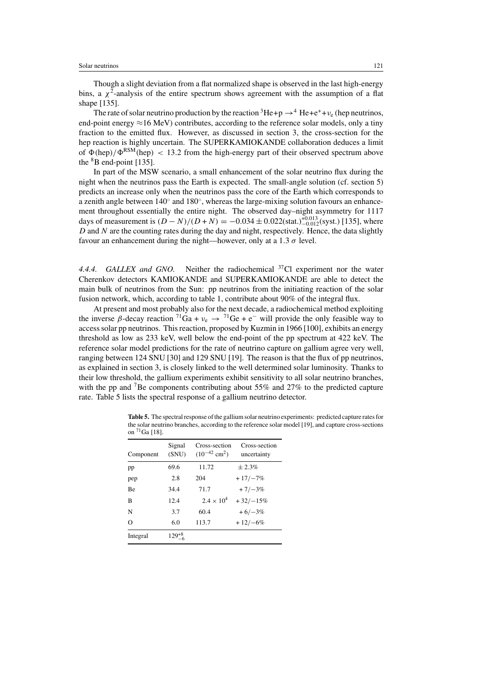Though a slight deviation from a flat normalized shape is observed in the last high-energy bins, a  $\chi^2$ -analysis of the entire spectrum shows agreement with the assumption of a flat shape [135].

The rate of solar neutrino production by the reaction  ${}^{3}He+p \rightarrow {}^{4}He+e^{+}+\nu_{e}$  (hep neutrinos, end-point energy  $\approx$ 16 MeV) contributes, according to the reference solar models, only a tiny fraction to the emitted flux. However, as discussed in section 3, the cross-section for the hep reaction is highly uncertain. The SUPERKAMIOKANDE collaboration deduces a limit of  $\Phi(\text{hep})/\Phi^{\text{RSM}}(\text{hep}) < 13.2$  from the high-energy part of their observed spectrum above the  ${}^{8}B$  end-point [135].

In part of the MSW scenario, a small enhancement of the solar neutrino flux during the night when the neutrinos pass the Earth is expected. The small-angle solution (cf. section 5) predicts an increase only when the neutrinos pass the core of the Earth which corresponds to a zenith angle between 140◦ and 180◦, whereas the large-mixing solution favours an enhancement throughout essentially the entire night. The observed day–night asymmetry for 1117 days of measurement is  $(D - N)/(D + N) = -0.034 \pm 0.022$ (stat.) $_{-0.012}^{+0.013}$ (syst.) [135], where  $D$  and  $N$  are the counting rates during the day and night, respectively. Hence, the data slightly favour an enhancement during the night—however, only at a 1.3  $\sigma$  level.

*4.4.4. GALLEX and GNO.* Neither the radiochemical 37Cl experiment nor the water Cherenkov detectors KAMIOKANDE and SUPERKAMIOKANDE are able to detect the main bulk of neutrinos from the Sun: pp neutrinos from the initiating reaction of the solar fusion network, which, according to table 1, contribute about 90% of the integral flux.

At present and most probably also for the next decade, a radiochemical method exploiting the inverse  $\beta$ -decay reaction <sup>71</sup>Ga +  $v_e \rightarrow$  <sup>71</sup>Ge + e<sup>-</sup> will provide the only feasible way to access solar pp neutrinos. This reaction, proposed by Kuzmin in 1966 [100], exhibits an energy threshold as low as 233 keV, well below the end-point of the pp spectrum at 422 keV. The reference solar model predictions for the rate of neutrino capture on gallium agree very well, ranging between 124 SNU [30] and 129 SNU [19]. The reason is that the flux of pp neutrinos, as explained in section 3, is closely linked to the well determined solar luminosity. Thanks to their low threshold, the gallium experiments exhibit sensitivity to all solar neutrino branches, with the pp and <sup>7</sup>Be components contributing about 55% and 27% to the predicted capture rate. Table 5 lists the spectral response of a gallium neutrino detector.

**Table 5.** The spectral response of the gallium solar neutrino experiments: predicted capture rates for the solar neutrino branches, according to the reference solar model [19], and capture cross-sections on  ${}^{71}$ Ga [18].

| Component | Signal<br>(SNU) | Cross-section<br>$(10^{-42}$ cm <sup>2</sup> ) | Cross-section<br>uncertainty |
|-----------|-----------------|------------------------------------------------|------------------------------|
| pp        | 69.6            | 11.72                                          | $+2.3%$                      |
| pep       | 2.8             | 204                                            | $+17/-7%$                    |
| <b>Be</b> | 34.4            | 71.7                                           | $+7/-3%$                     |
| в         | 12.4            | $2.4 \times 10^{4}$                            | $+32/-15%$                   |
| N         | 3.7             | 60.4                                           | $+6/-3%$                     |
| $\Omega$  | 6.0             | 113.7                                          | $+12/-6%$                    |
| Integral  | $129^{+8}_{-6}$ |                                                |                              |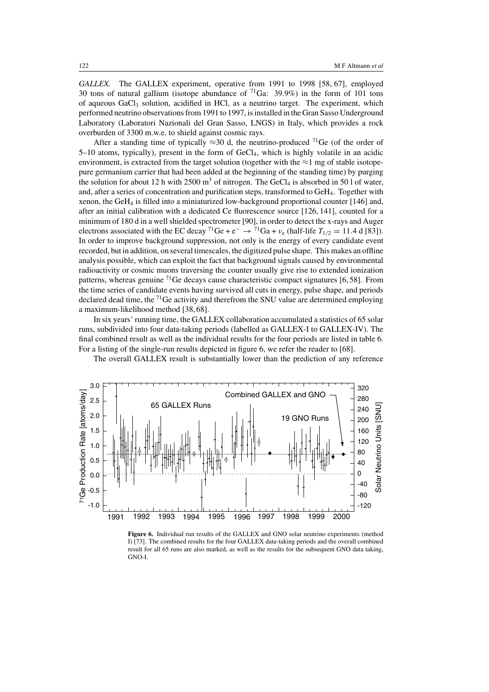*GALLEX.* The GALLEX experiment, operative from 1991 to 1998 [58, 67], employed 30 tons of natural gallium (isotope abundance of  $71\text{Ga}$ : 39.9%) in the form of 101 tons of aqueous  $GaCl<sub>3</sub>$  solution, acidified in HCl, as a neutrino target. The experiment, which performed neutrino observations from 1991 to 1997, is installed in the Gran Sasso Underground Laboratory (Laboratori Nazionali del Gran Sasso, LNGS) in Italy, which provides a rock overburden of 3300 m.w.e. to shield against cosmic rays.

After a standing time of typically  $\approx$ 30 d, the neutrino-produced <sup>71</sup>Ge (of the order of 5–10 atoms, typically), present in the form of GeCl4, which is highly volatile in an acidic environment, is extracted from the target solution (together with the  $\approx$ 1 mg of stable isotopepure germanium carrier that had been added at the beginning of the standing time) by purging the solution for about 12 h with 2500  $m<sup>3</sup>$  of nitrogen. The GeCl<sub>4</sub> is absorbed in 50 l of water, and, after a series of concentration and purification steps, transformed to GeH4. Together with xenon, the GeH<sub>4</sub> is filled into a miniaturized low-background proportional counter  $[146]$  and, after an initial calibration with a dedicated Ce fluorescence source [126, 141], counted for a minimum of 180 d in a well shielded spectrometer [90], in order to detect the x-rays and Auger electrons associated with the EC decay <sup>71</sup>Ge + e<sup>-</sup> →  $\frac{71}{1}$ Ga +  $\nu_e$  (half-life  $T_{1/2} = 11.4$  d [83]). In order to improve background suppression, not only is the energy of every candidate event recorded, but in addition, on several timescales, the digitized pulse shape. This makes an offline analysis possible, which can exploit the fact that background signals caused by environmental radioactivity or cosmic muons traversing the counter usually give rise to extended ionization patterns, whereas genuine  ${}^{71}$ Ge decays cause characteristic compact signatures [6,58]. From the time series of candidate events having survived all cuts in energy, pulse shape, and periods declared dead time, the  ${}^{71}$ Ge activity and therefrom the SNU value are determined employing a maximum-likelihood method [38, 68].

In six years' running time, the GALLEX collaboration accumulated a statistics of 65 solar runs, subdivided into four data-taking periods (labelled as GALLEX-I to GALLEX-IV). The final combined result as well as the individual results for the four periods are listed in table 6. For a listing of the single-run results depicted in figure 6, we refer the reader to [68].

The overall GALLEX result is substantially lower than the prediction of any reference



**Figure 6.** Individual run results of the GALLEX and GNO solar neutrino experiments (method I) [73]. The combined results for the four GALLEX data-taking periods and the overall combined result for all 65 runs are also marked, as well as the results for the subsequent GNO data taking, GNO-I.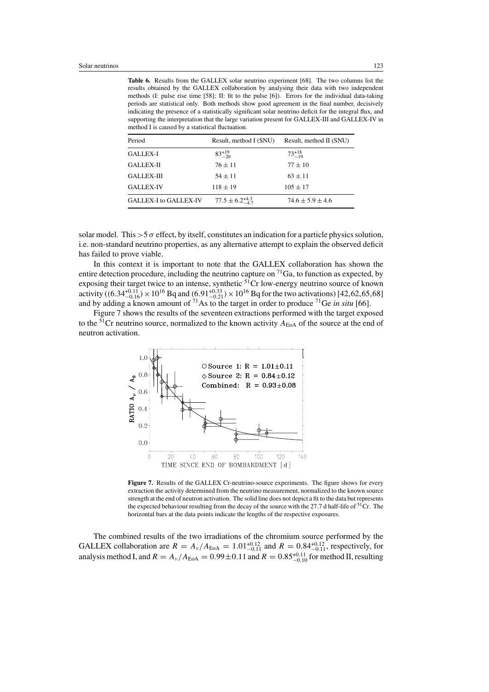**Table 6.** Results from the GALLEX solar neutrino experiment [68]. The two columns list the results obtained by the GALLEX collaboration by analysing their data with two independent methods (I: pulse rise time [58]; II: fit to the pulse [6]). Errors for the individual data-taking periods are statistical only. Both methods show good agreement in the final number, decisively indicating the presence of a statistically significant solar neutrino deficit for the integral flux, and supporting the interpretation that the large variation present for GALLEX-III and GALLEX-IV in method I is caused by a statistical fluctuation.

| Period                | Result, method I (SNU)       | Result, method II (SNU) |
|-----------------------|------------------------------|-------------------------|
| <b>GALLEX-I</b>       | $83^{+19}_{-20}$             | $73^{+18}_{-19}$        |
| <b>GALLEX-II</b>      | $76 + 11$                    | $77 \pm 10$             |
| <b>GALLEX-III</b>     | $54 + 11$                    | $63 \pm 11$             |
| <b>GALLEX-IV</b>      | $118 \pm 19$                 | $105 \pm 17$            |
| GALLEX-I to GALLEX-IV | $77.5 \pm 6.2_{-4.7}^{+4.3}$ | $74.6 \pm 5.9 \pm 4.6$  |

solar model. This  $>5\sigma$  effect, by itself, constitutes an indication for a particle physics solution, i.e. non-standard neutrino properties, as any alternative attempt to explain the observed deficit has failed to prove viable.

In this context it is important to note that the GALLEX collaboration has shown the entire detection procedure, including the neutrino capture on  ${}^{71}Ga$ , to function as expected, by exposing their target twice to an intense, synthetic <sup>51</sup>Cr low-energy neutrino source of known activity ((6.34<sup>+0.11</sup><sub>0</sub>) × 10<sup>16</sup> Bq and (6.91<sup>+0.33</sup>) × 10<sup>16</sup> Bq for the two activations) [42,62,65,68] and by adding a known amount of <sup>71</sup>As to the target in order to produce <sup>71</sup>Ge *in situ* [66].

Figure 7 shows the results of the seventeen extractions performed with the target exposed to the <sup>51</sup>Cr neutrino source, normalized to the known activity  $A_{\text{EoA}}$  of the source at the end of neutron activation.



Figure 7. Results of the GALLEX Cr-neutrino-source experiments. The figure shows for every extraction the activity determined from the neutrino measurement, normalized to the known source strength at the end of neutron activation. The solid line does not depict a fit to the data but represents the expected behaviour resulting from the decay of the source with the 27.7 d half-life of  $51^{\circ}$ Cr. The horizontal bars at the data points indicate the lengths of the respective exposures.

The combined results of the two irradiations of the chromium source performed by the GALLEX collaboration are  $R = A_v / A_{\text{EoA}} = 1.01_{-0.11}^{+0.12}$  and  $R = 0.84_{-0.11}^{+0.12}$ , respectively, for analysis method I, and  $R = A_v / A_{EoA} = 0.99 \pm 0.11$  and  $R = 0.85^{+0.11}_{-0.10}$  for method II, resulting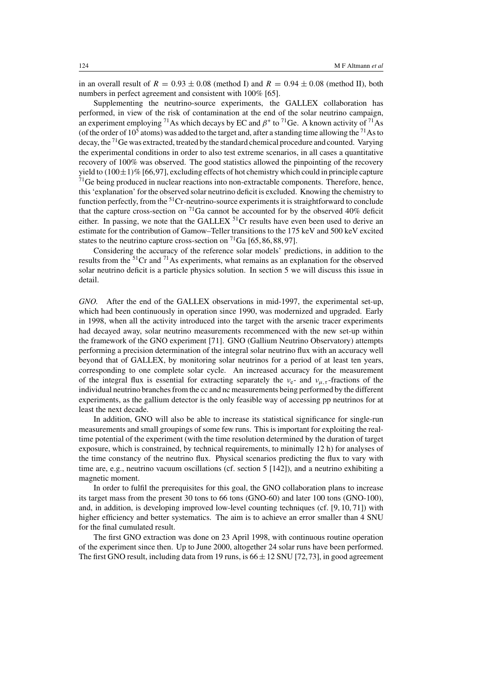in an overall result of  $R = 0.93 \pm 0.08$  (method I) and  $R = 0.94 \pm 0.08$  (method II), both numbers in perfect agreement and consistent with 100% [65].

Supplementing the neutrino-source experiments, the GALLEX collaboration has performed, in view of the risk of contamination at the end of the solar neutrino campaign, an experiment employing <sup>71</sup>As which decays by EC and  $\beta^+$  to <sup>71</sup>Ge. A known activity of <sup>71</sup>As (of the order of  $10^5$  atoms) was added to the target and, after a standing time allowing the <sup>71</sup>As to decay, the <sup>71</sup>Ge was extracted, treated by the standard chemical procedure and counted. Varying the experimental conditions in order to also test extreme scenarios, in all cases a quantitative recovery of 100% was observed. The good statistics allowed the pinpointing of the recovery yield to  $(100\pm1)\%$  [66,97], excluding effects of hot chemistry which could in principle capture  $71$ Ge being produced in nuclear reactions into non-extractable components. Therefore, hence, this'explanation' for the observed solar neutrino deficit is excluded. Knowing the chemistry to function perfectly, from the  $51$ Cr-neutrino-source experiments it is straightforward to conclude that the capture cross-section on  $^{71}$ Ga cannot be accounted for by the observed 40% deficit either. In passing, we note that the GALLEX  $5^{1}$ Cr results have even been used to derive an estimate for the contribution of Gamow–Teller transitions to the 175 keV and 500 keV excited states to the neutrino capture cross-section on  ${}^{71}Ga$  [65, 86, 88, 97].

Considering the accuracy of the reference solar models' predictions, in addition to the results from the 51Cr and 71As experiments, what remains as an explanation for the observed solar neutrino deficit is a particle physics solution. In section 5 we will discuss this issue in detail.

*GNO.* After the end of the GALLEX observations in mid-1997, the experimental set-up, which had been continuously in operation since 1990, was modernized and upgraded. Early in 1998, when all the activity introduced into the target with the arsenic tracer experiments had decayed away, solar neutrino measurements recommenced with the new set-up within the framework of the GNO experiment [71]. GNO (Gallium Neutrino Observatory) attempts performing a precision determination of the integral solar neutrino flux with an accuracy well beyond that of GALLEX, by monitoring solar neutrinos for a period of at least ten years, corresponding to one complete solar cycle. An increased accuracy for the measurement of the integral flux is essential for extracting separately the  $v_{e^-}$  and  $v_{\mu,\tau}$ -fractions of the individual neutrino branches from the cc and nc measurements being performed by the different experiments, as the gallium detector is the only feasible way of accessing pp neutrinos for at least the next decade.

In addition, GNO will also be able to increase its statistical significance for single-run measurements and small groupings of some few runs. This is important for exploiting the realtime potential of the experiment (with the time resolution determined by the duration of target exposure, which is constrained, by technical requirements, to minimally 12 h) for analyses of the time constancy of the neutrino flux. Physical scenarios predicting the flux to vary with time are, e.g., neutrino vacuum oscillations (cf. section 5 [142]), and a neutrino exhibiting a magnetic moment.

In order to fulfil the prerequisites for this goal, the GNO collaboration plans to increase its target mass from the present 30 tons to 66 tons (GNO-60) and later 100 tons (GNO-100), and, in addition, is developing improved low-level counting techniques (cf. [9, 10, 71]) with higher efficiency and better systematics. The aim is to achieve an error smaller than 4 SNU for the final cumulated result.

The first GNO extraction was done on 23 April 1998, with continuous routine operation of the experiment since then. Up to June 2000, altogether 24 solar runs have been performed. The first GNO result, including data from 19 runs, is  $66 \pm 12$  SNU [72,73], in good agreement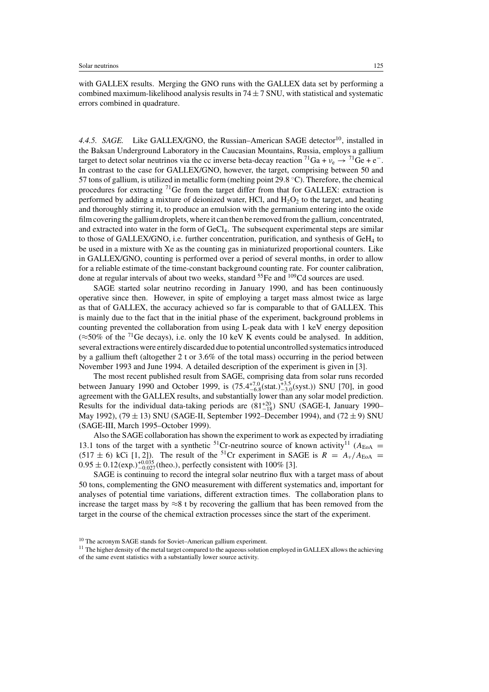with GALLEX results. Merging the GNO runs with the GALLEX data set by performing a combined maximum-likelihood analysis results in  $74 \pm 7$  SNU, with statistical and systematic errors combined in quadrature.

4.4.5. SAGE. Like GALLEX/GNO, the Russian–American SAGE detector<sup>10</sup>, installed in the Baksan Underground Laboratory in the Caucasian Mountains, Russia, employs a gallium target to detect solar neutrinos via the cc inverse beta-decay reaction  ${}^{71}Ga + v_e \rightarrow {}^{71}Ge + e^-$ . In contrast to the case for GALLEX/GNO, however, the target, comprising between 50 and 57 tons of gallium, is utilized in metallic form (melting point  $29.8 \degree C$ ). Therefore, the chemical procedures for extracting 71Ge from the target differ from that for GALLEX: extraction is performed by adding a mixture of deionized water, HCl, and  $H_2O_2$  to the target, and heating and thoroughly stirring it, to produce an emulsion with the germanium entering into the oxide film covering the gallium droplets, where it can then be removed from the gallium, concentrated, and extracted into water in the form of  $GeC<sub>4</sub>$ . The subsequent experimental steps are similar to those of GALLEX/GNO, i.e. further concentration, purification, and synthesis of  $GEH_4$  to be used in a mixture with Xe as the counting gas in miniaturized proportional counters. Like in GALLEX/GNO, counting is performed over a period of several months, in order to allow for a reliable estimate of the time-constant background counting rate. For counter calibration, done at regular intervals of about two weeks, standard  $^{55}$ Fe and  $^{109}$ Cd sources are used.

SAGE started solar neutrino recording in January 1990, and has been continuously operative since then. However, in spite of employing a target mass almost twice as large as that of GALLEX, the accuracy achieved so far is comparable to that of GALLEX. This is mainly due to the fact that in the initial phase of the experiment, background problems in counting prevented the collaboration from using L-peak data with 1 keV energy deposition (≈50% of the <sup>71</sup>Ge decays), i.e. only the 10 keV K events could be analysed. In addition, several extractions were entirely discarded due to potential uncontrolled systematics introduced by a gallium theft (altogether 2 t or 3.6% of the total mass) occurring in the period between November 1993 and June 1994. A detailed description of the experiment is given in [3].

The most recent published result from SAGE, comprising data from solar runs recorded between January 1990 and October 1999, is  $(75.4^{+7.0}_{-6.8}(\text{stat.})^{+3.5}_{-3.0}(\text{syst.}))$  SNU [70], in good agreement with the GALLEX results, and substantially lower than any solar model prediction. Results for the individual data-taking periods are  $(81^{+20}_{-18})$  SNU (SAGE-I, January 1990– May 1992), (79  $\pm$  13) SNU (SAGE-II, September 1992–December 1994), and (72  $\pm$  9) SNU (SAGE-III, March 1995–October 1999).

Also the SAGE collaboration has shown the experiment to work as expected by irradiating 13.1 tons of the target with a synthetic <sup>51</sup>Cr-neutrino source of known activity<sup>11</sup> ( $A_{\text{EoA}}$  =  $(517 \pm 6)$  kCi [1, 2]). The result of the <sup>51</sup>Cr experiment in SAGE is  $R = A_v / A_{EoA}$  $0.95 \pm 0.12$  (exp.) $^{+0.035}_{-0.027}$  (theo.), perfectly consistent with 100% [3].

SAGE is continuing to record the integral solar neutrino flux with a target mass of about 50 tons, complementing the GNO measurement with different systematics and, important for analyses of potential time variations, different extraction times. The collaboration plans to increase the target mass by  $\approx 8$  t by recovering the gallium that has been removed from the target in the course of the chemical extraction processes since the start of the experiment.

<sup>10</sup> The acronym SAGE stands for Soviet–American gallium experiment.

<sup>&</sup>lt;sup>11</sup> The higher density of the metal target compared to the aqueous solution employed in GALLEX allows the achieving of the same event statistics with a substantially lower source activity.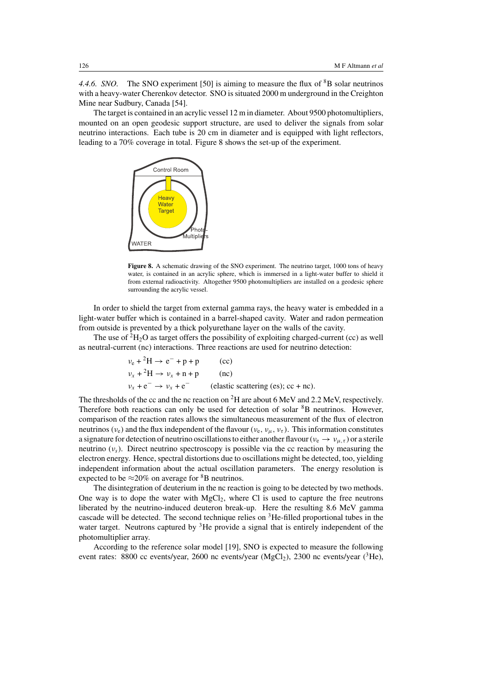*4.4.6. SNO.* The SNO experiment [50] is aiming to measure the flux of <sup>8</sup>B solar neutrinos with a heavy-water Cherenkov detector. SNO is situated 2000 m underground in the Creighton Mine near Sudbury, Canada [54].

The target is contained in an acrylic vessel 12 m in diameter. About 9500 photomultipliers, mounted on an open geodesic support structure, are used to deliver the signals from solar neutrino interactions. Each tube is 20 cm in diameter and is equipped with light reflectors, leading to a 70% coverage in total. Figure 8 shows the set-up of the experiment.



**Figure 8.** A schematic drawing of the SNO experiment. The neutrino target, 1000 tons of heavy water, is contained in an acrylic sphere, which is immersed in a light-water buffer to shield it from external radioactivity. Altogether 9500 photomultipliers are installed on a geodesic sphere surrounding the acrylic vessel.

In order to shield the target from external gamma rays, the heavy water is embedded in a light-water buffer which is contained in a barrel-shaped cavity. Water and radon permeation from outside is prevented by a thick polyurethane layer on the walls of the cavity.

The use of  ${}^{2}H_{2}O$  as target offers the possibility of exploiting charged-current (cc) as well as neutral-current (nc) interactions. Three reactions are used for neutrino detection:

$$
\nu_e + {}^2H \to e^- + p + p \qquad (cc)
$$
  
\n
$$
\nu_x + {}^2H \to \nu_x + n + p \qquad (nc)
$$
  
\n
$$
\nu_x + e^- \to \nu_x + e^- \qquad (elastic scattering (es); cc + nc).
$$

The thresholds of the cc and the nc reaction on <sup>2</sup>H are about 6 MeV and 2.2 MeV, respectively. Therefore both reactions can only be used for detection of solar <sup>8</sup>B neutrinos. However, comparison of the reaction rates allows the simultaneous measurement of the flux of electron neutrinos ( $v_e$ ) and the flux independent of the flavour ( $v_e$ ,  $v_\mu$ ,  $v_\tau$ ). This information constitutes a signature for detection of neutrino oscillations to either another flavour ( $v_e \to v_{\mu,\tau}$ ) or a sterile neutrino  $(v_s)$ . Direct neutrino spectroscopy is possible via the cc reaction by measuring the electron energy. Hence, spectral distortions due to oscillations might be detected, too, yielding independent information about the actual oscillation parameters. The energy resolution is expected to be  $\approx$  20% on average for  ${}^{8}B$  neutrinos.

The disintegration of deuterium in the nc reaction is going to be detected by two methods. One way is to dope the water with  $MgCl<sub>2</sub>$ , where Cl is used to capture the free neutrons liberated by the neutrino-induced deuteron break-up. Here the resulting 8.6 MeV gamma cascade will be detected. The second technique relies on  ${}^{3}$ He-filled proportional tubes in the water target. Neutrons captured by <sup>3</sup>He provide a signal that is entirely independent of the photomultiplier array.

According to the reference solar model [19], SNO is expected to measure the following event rates: 8800 cc events/year, 2600 nc events/year ( $MgCl<sub>2</sub>$ ), 2300 nc events/year ( ${}^{3}He$ ),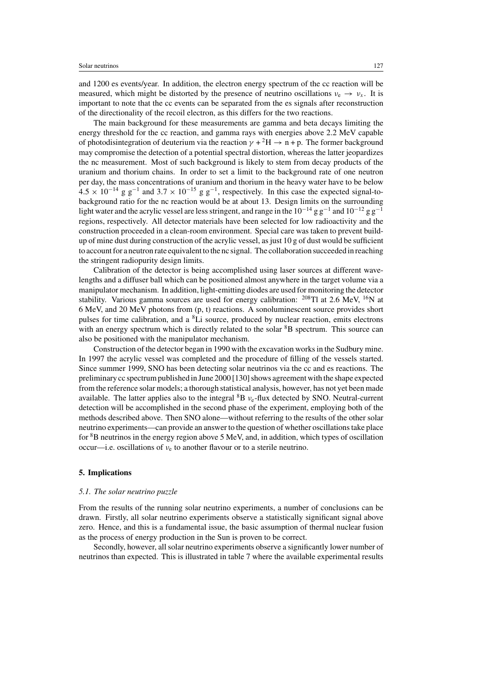and 1200 es events/year. In addition, the electron energy spectrum of the cc reaction will be measured, which might be distorted by the presence of neutrino oscillations  $v_e \rightarrow v_x$ . It is important to note that the cc events can be separated from the es signals after reconstruction of the directionality of the recoil electron, as this differs for the two reactions.

The main background for these measurements are gamma and beta decays limiting the energy threshold for the cc reaction, and gamma rays with energies above 2.2 MeV capable of photodisintegration of deuterium via the reaction  $\gamma + {}^2H \rightarrow n + p$ . The former background may compromise the detection of a potential spectral distortion, whereas the latter jeopardizes the nc measurement. Most of such background is likely to stem from decay products of the uranium and thorium chains. In order to set a limit to the background rate of one neutron per day, the mass concentrations of uranium and thorium in the heavy water have to be below  $4.5 \times 10^{-14}$  g g<sup>-1</sup> and  $3.7 \times 10^{-15}$  g g<sup>-1</sup>, respectively. In this case the expected signal-tobackground ratio for the nc reaction would be at about 13. Design limits on the surrounding light water and the acrylic vessel are less stringent, and range in the  $10^{-14}$  g g<sup>-1</sup> and  $10^{-12}$  g g<sup>-1</sup> regions, respectively. All detector materials have been selected for low radioactivity and the construction proceeded in a clean-room environment. Special care was taken to prevent buildup of mine dust during construction of the acrylic vessel, as just  $10 \text{ g}$  of dust would be sufficient to account for a neutron rate equivalent to the nc signal. The collaboration succeeded in reaching the stringent radiopurity design limits.

Calibration of the detector is being accomplished using laser sources at different wavelengths and a diffuser ball which can be positioned almost anywhere in the target volume via a manipulator mechanism. In addition, light-emitting diodes are used for monitoring the detector stability. Various gamma sources are used for energy calibration:  $^{208}$ Tl at 2.6 MeV, <sup>16</sup>N at 6 MeV, and 20 MeV photons from (p, t) reactions. A sonoluminescent source provides short pulses for time calibration, and a  ${}^{8}$ Li source, produced by nuclear reaction, emits electrons with an energy spectrum which is directly related to the solar <sup>8</sup>B spectrum. This source can also be positioned with the manipulator mechanism.

Construction of the detector began in 1990 with the excavation works in the Sudbury mine. In 1997 the acrylic vessel was completed and the procedure of filling of the vessels started. Since summer 1999, SNO has been detecting solar neutrinos via the cc and es reactions. The preliminary cc spectrum published in June 2000 [130] shows agreement with the shape expected from the reference solar models; a thorough statistical analysis, however, has not yet been made available. The latter applies also to the integral  ${}^{8}B$   $v_{e}$ -flux detected by SNO. Neutral-current detection will be accomplished in the second phase of the experiment, employing both of the methods described above. Then SNO alone—without referring to the results of the other solar neutrino experiments—can provide an answer to the question of whether oscillations take place for 8B neutrinos in the energy region above 5 MeV, and, in addition, which types of oscillation occur—i.e. oscillations of  $v_e$  to another flavour or to a sterile neutrino.

### **5. Implications**

## *5.1. The solar neutrino puzzle*

From the results of the running solar neutrino experiments, a number of conclusions can be drawn. Firstly, all solar neutrino experiments observe a statistically significant signal above zero. Hence, and this is a fundamental issue, the basic assumption of thermal nuclear fusion as the process of energy production in the Sun is proven to be correct.

Secondly, however, all solar neutrino experiments observe a significantly lower number of neutrinos than expected. This is illustrated in table 7 where the available experimental results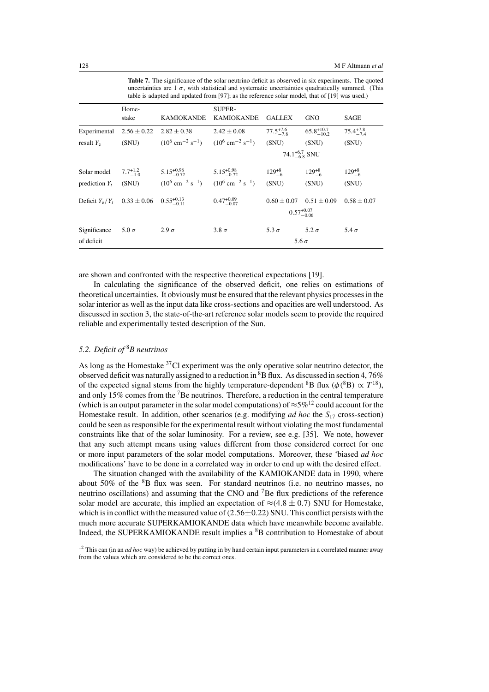**Table 7.** The significance of the solar neutrino deficit as observed in six experiments. The quoted uncertainties are  $1 \sigma$ , with statistical and systematic uncertainties quadratically summed. (This table is adapted and updated from [97]; as the reference solar model, that of [19] was used.)

|                                                     | Home-<br>stake      | <b>KAMIOKANDE</b>                                                               | <b>SUPER-</b><br><b>KAMIOKANDE</b> | <b>GALLEX</b>                            | <b>GNO</b>             | SAGE                 |
|-----------------------------------------------------|---------------------|---------------------------------------------------------------------------------|------------------------------------|------------------------------------------|------------------------|----------------------|
| Experimental                                        | $2.56 \pm 0.22$     | $2.82 \pm 0.38$                                                                 | $2.42 \pm 0.08$                    | $77.5^{+7.6}_{-7.8}$                     | $65.8^{+10.7}_{-10.2}$ | $75.4^{+7.8}_{-7.4}$ |
| result $Y_e$                                        | (SNU)               | $(10^6 \text{ cm}^{-2} \text{ s}^{-1})$ $(10^6 \text{ cm}^{-2} \text{ s}^{-1})$ |                                    | (SNU)                                    | (SNU)                  | (SNU)                |
|                                                     |                     |                                                                                 |                                    | 74.1 <sup>+6.7</sup> <sub>-6.8</sub> SNU |                        |                      |
| Solar model                                         | $7.7^{+1.2}_{-1.0}$ | $5.15^{+0.98}_{-0.72}$                                                          | $5.15^{+0.98}_{-0.72}$             | $129^{+8}_{-6}$                          | $129^{+8}_{-6}$        | $129^{+8}_{-6}$      |
| prediction $Y_t$                                    | (SNU)               | $(10^6 \text{ cm}^{-2} \text{ s}^{-1})$ $(10^6 \text{ cm}^{-2} \text{ s}^{-1})$ |                                    | (SNU)                                    | (SNU)                  | (SNU)                |
| Deficit $Y_e/Y_t$ 0.33 ± 0.06 0.55 <sup>+0.13</sup> |                     |                                                                                 | $0.47^{+0.09}_{-0.07}$             | $0.60 \pm 0.07$                          | $0.51 \pm 0.09$        | $0.58 \pm 0.07$      |
|                                                     |                     |                                                                                 |                                    |                                          | $0.57^{+0.07}_{-0.06}$ |                      |
| Significance                                        | $5.0\,\sigma$       | $2.9\sigma$                                                                     | $3.8\sigma$                        | 5.3 $\sigma$                             | $5.2\sigma$            | 5.4 $\sigma$         |
| of deficit                                          |                     |                                                                                 |                                    | 5.6 $\sigma$                             |                        |                      |

are shown and confronted with the respective theoretical expectations [19].

In calculating the significance of the observed deficit, one relies on estimations of theoretical uncertainties. It obviously must be ensured that the relevant physics processes in the solar interior as well as the input data like cross-sections and opacities are well understood. As discussed in section 3, the state-of-the-art reference solar models seem to provide the required reliable and experimentally tested description of the Sun.

## *5.2. Deficit of* <sup>8</sup>*B neutrinos*

As long as the Homestake  ${}^{37}$ Cl experiment was the only operative solar neutrino detector, the observed deficit was naturally assigned to a reduction in  ${}^{8}B$  flux. As discussed in section 4, 76% of the expected signal stems from the highly temperature-dependent <sup>8</sup>B flux ( $\phi$ <sup>(8</sup>B)  $\propto T^{18}$ ), and only 15% comes from the 7Be neutrinos. Therefore, a reduction in the central temperature (which is an output parameter in the solar model computations) of  $\approx 5\%$ <sup>12</sup> could account for the Homestake result. In addition, other scenarios (e.g. modifying *ad hoc* the  $S_{17}$  cross-section) could be seen as responsible for the experimental result without violating the most fundamental constraints like that of the solar luminosity. For a review, see e.g. [35]. We note, however that any such attempt means using values different from those considered correct for one or more input parameters of the solar model computations. Moreover, these 'biased *ad hoc* modifications' have to be done in a correlated way in order to end up with the desired effect.

The situation changed with the availability of the KAMIOKANDE data in 1990, where about 50% of the 8B flux was seen. For standard neutrinos (i.e. no neutrino masses, no neutrino oscillations) and assuming that the CNO and  ${}^{7}$ Be flux predictions of the reference solar model are accurate, this implied an expectation of  $\approx$ (4.8 ± 0.7) SNU for Homestake, which is in conflict with the measured value of  $(2.56\pm0.22)$  SNU. This conflict persists with the much more accurate SUPERKAMIOKANDE data which have meanwhile become available. Indeed, the SUPERKAMIOKANDE result implies a <sup>8</sup>B contribution to Homestake of about

<sup>12</sup> This can (in an *ad hoc* way) be achieved by putting in by hand certain input parameters in a correlated manner away from the values which are considered to be the correct ones.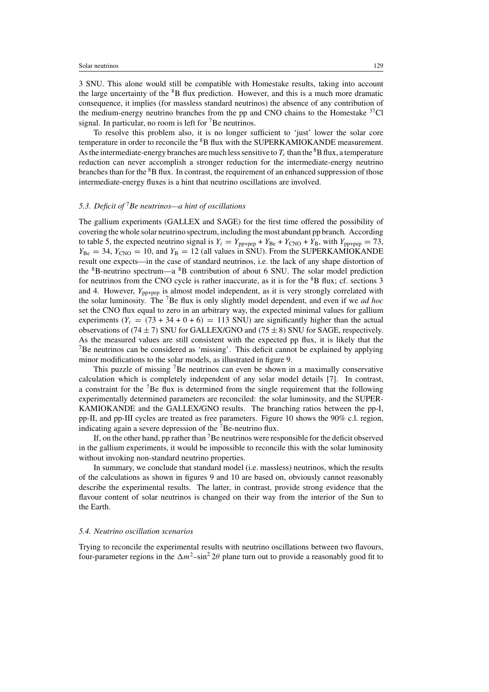3 SNU. This alone would still be compatible with Homestake results, taking into account the large uncertainty of the  ${}^{8}B$  flux prediction. However, and this is a much more dramatic consequence, it implies (for massless standard neutrinos) the absence of any contribution of the medium-energy neutrino branches from the pp and CNO chains to the Homestake  $37$ Cl signal. In particular, no room is left for  ${}^{7}$ Be neutrinos.

To resolve this problem also, it is no longer sufficient to 'just' lower the solar core temperature in order to reconcile the 8B flux with the SUPERKAMIOKANDE measurement. As the intermediate-energy branches are much less sensitive to  $T_c$  than the <sup>8</sup>B flux, a temperature reduction can never accomplish a stronger reduction for the intermediate-energy neutrino branches than for the  ${}^{8}B$  flux. In contrast, the requirement of an enhanced suppression of those intermediate-energy fluxes is a hint that neutrino oscillations are involved.

# *5.3. Deficit of* <sup>7</sup>*Be neutrinos—a hint of oscillations*

The gallium experiments (GALLEX and SAGE) for the first time offered the possibility of covering the whole solar neutrino spectrum, including the most abundant pp branch. According to table 5, the expected neutrino signal is  $Y_t = Y_{\text{pp+pep}} + Y_{\text{Be}} + Y_{\text{CNO}} + Y_{\text{B}}$ , with  $Y_{\text{pp+pep}} = 73$ ,  $Y_{\text{Be}} = 34$ ,  $Y_{\text{CNO}} = 10$ , and  $Y_{\text{B}} = 12$  (all values in SNU). From the SUPERKAMIOKANDE result one expects—in the case of standard neutrinos, i.e. the lack of any shape distortion of the 8B-neutrino spectrum—a 8B contribution of about 6 SNU. The solar model prediction for neutrinos from the CNO cycle is rather inaccurate, as it is for the  ${}^{8}B$  flux; cf. sections 3 and 4. However,  $Y_{\text{pp+pep}}$  is almost model independent, as it is very strongly correlated with the solar luminosity. The 7Be flux is only slightly model dependent, and even if we *ad hoc* set the CNO flux equal to zero in an arbitrary way, the expected minimal values for gallium experiments  $(Y_t = (73 + 34 + 0 + 6) = 113$  SNU) are significantly higher than the actual observations of (74  $\pm$  7) SNU for GALLEX/GNO and (75  $\pm$  8) SNU for SAGE, respectively. As the measured values are still consistent with the expected pp flux, it is likely that the 7Be neutrinos can be considered as 'missing'. This deficit cannot be explained by applying minor modifications to the solar models, as illustrated in figure 9.

This puzzle of missing 7Be neutrinos can even be shown in a maximally conservative calculation which is completely independent of any solar model details [7]. In contrast, a constraint for the 7Be flux is determined from the single requirement that the following experimentally determined parameters are reconciled: the solar luminosity, and the SUPER-KAMIOKANDE and the GALLEX/GNO results. The branching ratios between the pp-I, pp-II, and pp-III cycles are treated as free parameters. Figure 10 shows the 90% c.l. region, indicating again a severe depression of the  ${}^{7}$ Be-neutrino flux.

If, on the other hand, pp rather than  $<sup>7</sup>B$ e neutrinos were responsible for the deficit observed</sup> in the gallium experiments, it would be impossible to reconcile this with the solar luminosity without invoking non-standard neutrino properties.

In summary, we conclude that standard model (i.e. massless) neutrinos, which the results of the calculations as shown in figures 9 and 10 are based on, obviously cannot reasonably describe the experimental results. The latter, in contrast, provide strong evidence that the flavour content of solar neutrinos is changed on their way from the interior of the Sun to the Earth.

#### *5.4. Neutrino oscillation scenarios*

Trying to reconcile the experimental results with neutrino oscillations between two flavours, four-parameter regions in the  $\Delta m^2$ –sin<sup>2</sup> 2θ plane turn out to provide a reasonably good fit to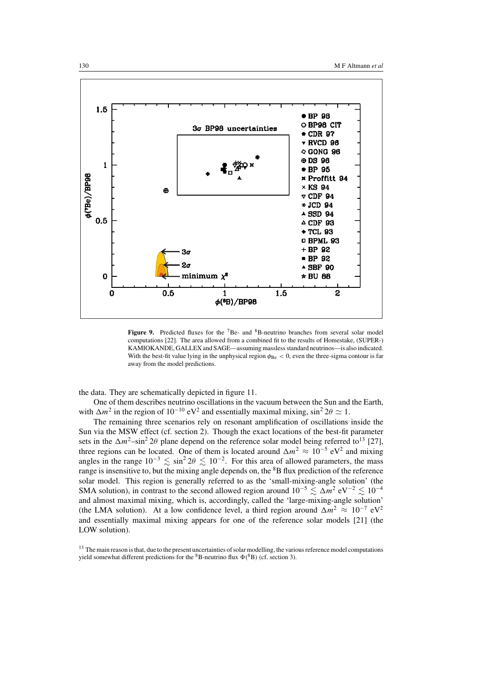

Figure 9. Predicted fluxes for the <sup>7</sup>Be- and <sup>8</sup>B-neutrino branches from several solar model computations [22]. The area allowed from a combined fit to the results of Homestake, (SUPER-) KAMIOKANDE, GALLEX and SAGE—assuming massless standard neutrinos—is also indicated. With the best-fit value lying in the unphysical region  $\phi_{\text{Be}} < 0$ , even the three-sigma contour is far away from the model predictions.

the data. They are schematically depicted in figure 11.

One of them describes neutrino oscillations in the vacuum between the Sun and the Earth, with  $\Delta m^2$  in the region of 10<sup>-10</sup> eV<sup>2</sup> and essentially maximal mixing, sin<sup>2</sup> 2θ  $\simeq$  1.

The remaining three scenarios rely on resonant amplification of oscillations inside the Sun via the MSW effect (cf. section 2). Though the exact locations of the best-fit parameter sets in the  $\Delta m^2$ –sin<sup>2</sup> 2θ plane depend on the reference solar model being referred to<sup>13</sup> [27], three regions can be located. One of them is located around  $\Delta m^2 \approx 10^{-5} \text{ eV}^2$  and mixing angles in the range  $10^{-3} \le \sin^2 2\theta \le 10^{-2}$ . For this area of allowed parameters, the mass range is insensitive to, but the mixing angle depends on, the <sup>8</sup>B flux prediction of the reference solar model. This region is generally referred to as the 'small-mixing-angle solution' (the SMA solution), in contrast to the second allowed region around  $10^{-5} \lesssim \Delta m^2 \text{ eV}^{-2} \lesssim 10^{-4}$ and almost maximal mixing, which is, accordingly, called the 'large-mixing-angle solution' (the LMA solution). At a low confidence level, a third region around  $\Delta m^2 \approx 10^{-7} \text{ eV}^2$ and essentially maximal mixing appears for one of the reference solar models [21] (the LOW solution).

<sup>&</sup>lt;sup>13</sup> The main reason is that, due to the present uncertainties of solar modelling, the various reference model computations yield somewhat different predictions for the  ${}^{8}$ B-neutrino flux  $\Phi({}^{8}B)$  (cf. section 3).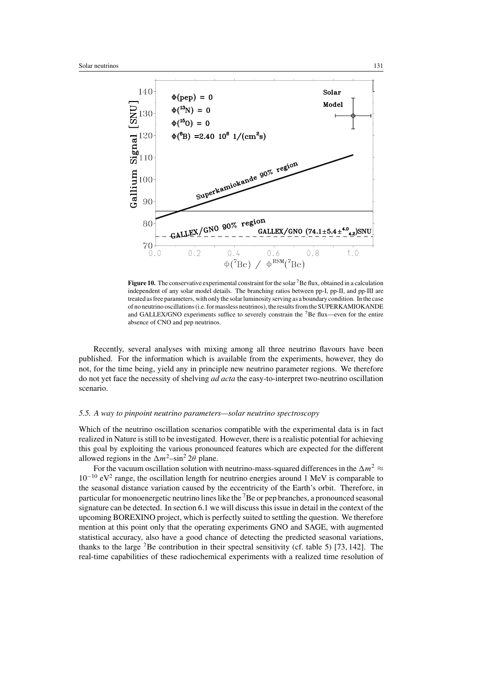

**Figure 10.** The conservative experimental constraint for the solar <sup>7</sup>Be flux, obtained in a calculation independent of any solar model details. The branching ratios between pp-I, pp-II, and pp-III are treated as free parameters, with only the solar luminosity serving as a boundary condition. In the case of no neutrino oscillations (i.e. for massless neutrinos), the results from the SUPERKAMIOKANDE and GALLEX/GNO experiments suffice to severely constrain the  ${}^{7}$ Be flux—even for the entire absence of CNO and pep neutrinos.

Recently, several analyses with mixing among all three neutrino flavours have been published. For the information which is available from the experiments, however, they do not, for the time being, yield any in principle new neutrino parameter regions. We therefore do not yet face the necessity of shelving *ad acta* the easy-to-interpret two-neutrino oscillation scenario.

#### *5.5. A way to pinpoint neutrino parameters—solar neutrino spectroscopy*

Which of the neutrino oscillation scenarios compatible with the experimental data is in fact realized in Nature is still to be investigated. However, there is a realistic potential for achieving this goal by exploiting the various pronounced features which are expected for the different allowed regions in the  $\Delta m^2$ –sin<sup>2</sup> 2θ plane.

For the vacuum oscillation solution with neutrino-mass-squared differences in the  $\Delta m^2 \approx$  $10^{-10}$  eV<sup>2</sup> range, the oscillation length for neutrino energies around 1 MeV is comparable to the seasonal distance variation caused by the eccentricity of the Earth's orbit. Therefore, in particular for monoenergetic neutrino lines like the 7Be or pep branches, a pronounced seasonal signature can be detected. In section 6.1 we will discuss this issue in detail in the context of the upcoming BOREXINO project, which is perfectly suited to settling the question. We therefore mention at this point only that the operating experiments GNO and SAGE, with augmented statistical accuracy, also have a good chance of detecting the predicted seasonal variations, thanks to the large  ${}^{7}$ Be contribution in their spectral sensitivity (cf. table 5) [73, 142]. The real-time capabilities of these radiochemical experiments with a realized time resolution of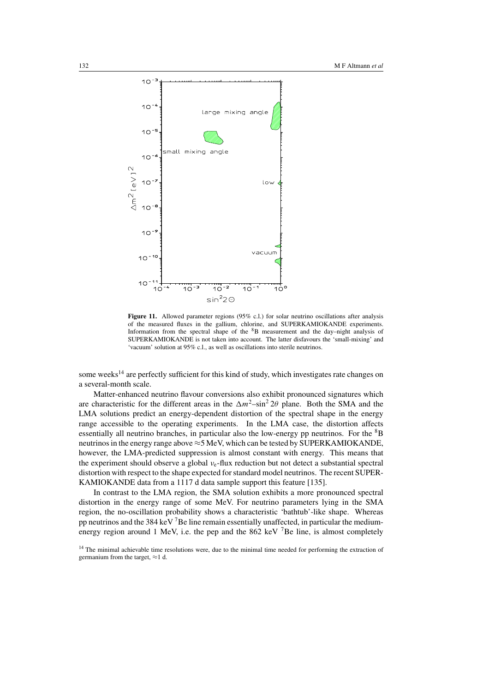

Figure 11. Allowed parameter regions (95% c.l.) for solar neutrino oscillations after analysis of the measured fluxes in the gallium, chlorine, and SUPERKAMIOKANDE experiments. Information from the spectral shape of the 8B measurement and the day–night analysis of SUPERKAMIOKANDE is not taken into account. The latter disfavours the 'small-mixing' and 'vacuum' solution at 95% c.l., as well as oscillations into sterile neutrinos.

some weeks<sup>14</sup> are perfectly sufficient for this kind of study, which investigates rate changes on a several-month scale.

Matter-enhanced neutrino flavour conversions also exhibit pronounced signatures which are characteristic for the different areas in the  $\Delta m^2$ –sin<sup>2</sup> 2θ plane. Both the SMA and the LMA solutions predict an energy-dependent distortion of the spectral shape in the energy range accessible to the operating experiments. In the LMA case, the distortion affects essentially all neutrino branches, in particular also the low-energy pp neutrinos. For the  ${}^{8}B$ neutrinos in the energy range above  $\approx$  5 MeV, which can be tested by SUPERKAMIOKANDE, however, the LMA-predicted suppression is almost constant with energy. This means that the experiment should observe a global  $v_{e}$ -flux reduction but not detect a substantial spectral distortion with respect to the shape expected for standard model neutrinos. The recent SUPER-KAMIOKANDE data from a 1117 d data sample support this feature [135].

In contrast to the LMA region, the SMA solution exhibits a more pronounced spectral distortion in the energy range of some MeV. For neutrino parameters lying in the SMA region, the no-oscillation probability shows a characteristic 'bathtub'-like shape. Whereas pp neutrinos and the 384 keV<sup>7</sup>Be line remain essentially unaffected, in particular the mediumenergy region around 1 MeV, i.e. the pep and the 862 keV  $^7$ Be line, is almost completely

<sup>&</sup>lt;sup>14</sup> The minimal achievable time resolutions were, due to the minimal time needed for performing the extraction of germanium from the target,  $\approx$ 1 d.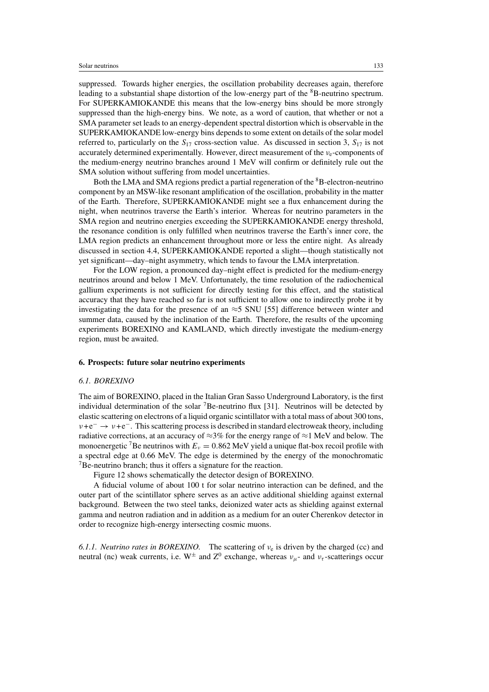suppressed. Towards higher energies, the oscillation probability decreases again, therefore leading to a substantial shape distortion of the low-energy part of the <sup>8</sup>B-neutrino spectrum. For SUPERKAMIOKANDE this means that the low-energy bins should be more strongly suppressed than the high-energy bins. We note, as a word of caution, that whether or not a SMA parameter set leads to an energy-dependent spectral distortion which is observable in the SUPERKAMIOKANDE low-energy bins depends to some extent on details of the solar model referred to, particularly on the  $S_{17}$  cross-section value. As discussed in section 3,  $S_{17}$  is not accurately determined experimentally. However, direct measurement of the  $v_e$ -components of the medium-energy neutrino branches around 1 MeV will confirm or definitely rule out the SMA solution without suffering from model uncertainties.

Both the LMA and SMA regions predict a partial regeneration of the <sup>8</sup>B-electron-neutrino component by an MSW-like resonant amplification of the oscillation, probability in the matter of the Earth. Therefore, SUPERKAMIOKANDE might see a flux enhancement during the night, when neutrinos traverse the Earth's interior. Whereas for neutrino parameters in the SMA region and neutrino energies exceeding the SUPERKAMIOKANDE energy threshold, the resonance condition is only fulfilled when neutrinos traverse the Earth's inner core, the LMA region predicts an enhancement throughout more or less the entire night. As already discussed in section 4.4, SUPERKAMIOKANDE reported a slight—though statistically not yet significant—day–night asymmetry, which tends to favour the LMA interpretation.

For the LOW region, a pronounced day–night effect is predicted for the medium-energy neutrinos around and below 1 MeV. Unfortunately, the time resolution of the radiochemical gallium experiments is not sufficient for directly testing for this effect, and the statistical accuracy that they have reached so far is not sufficient to allow one to indirectly probe it by investigating the data for the presence of an  $\approx$ 5 SNU [55] difference between winter and summer data, caused by the inclination of the Earth. Therefore, the results of the upcoming experiments BOREXINO and KAMLAND, which directly investigate the medium-energy region, must be awaited.

#### **6. Prospects: future solar neutrino experiments**

#### *6.1. BOREXINO*

The aim of BOREXINO, placed in the Italian Gran Sasso Underground Laboratory, is the first individual determination of the solar  ${}^{7}$ Be-neutrino flux [31]. Neutrinos will be detected by elastic scattering on electrons of a liquid organic scintillator with a total mass of about 300 tons,  $v + e^- \rightarrow v + e^-$ . This scattering process is described in standard electroweak theory, including radiative corrections, at an accuracy of  $\approx$ 3% for the energy range of  $\approx$ 1 MeV and below. The monoenergetic <sup>7</sup>Be neutrinos with  $E_v = 0.862$  MeV yield a unique flat-box recoil profile with a spectral edge at 0.66 MeV. The edge is determined by the energy of the monochromatic 7Be-neutrino branch; thus it offers a signature for the reaction.

Figure 12 shows schematically the detector design of BOREXINO.

A fiducial volume of about 100 t for solar neutrino interaction can be defined, and the outer part of the scintillator sphere serves as an active additional shielding against external background. Between the two steel tanks, deionized water acts as shielding against external gamma and neutron radiation and in addition as a medium for an outer Cherenkov detector in order to recognize high-energy intersecting cosmic muons.

6.1.1. *Neutrino rates in BOREXINO*. The scattering of  $v_e$  is driven by the charged (cc) and neutral (nc) weak currents, i.e.  $W^{\pm}$  and  $Z^{0}$  exchange, whereas  $v_{\mu}$ - and  $v_{\tau}$ -scatterings occur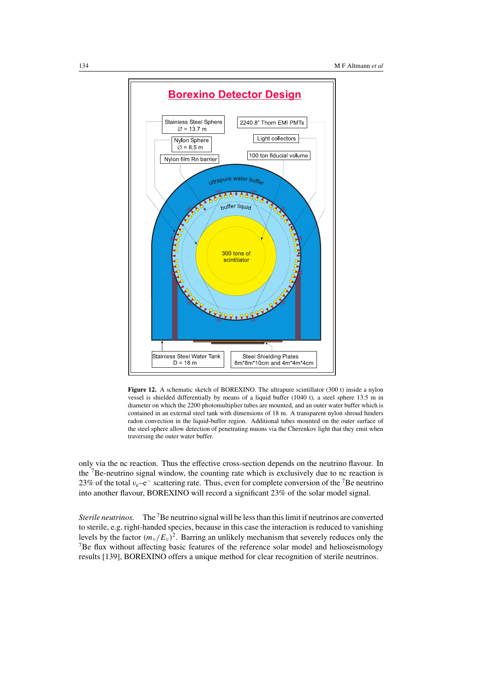

**Figure 12.** A schematic sketch of BOREXINO. The ultrapure scintillator (300 t) inside a nylon vessel is shielded differentially by means of a liquid buffer (1040 t), a steel sphere 13.5 m in diameter on which the 2200 photomultiplier tubes are mounted, and an outer water buffer which is contained in an external steel tank with dimensions of 18 m. A transparent nylon shroud hinders radon convection in the liquid-buffer region. Additional tubes mounted on the outer surface of the steel sphere allow detection of penetrating muons via the Cherenkov light that they emit when traversing the outer water buffer.

only via the nc reaction. Thus the effective cross-section depends on the neutrino flavour. In the 7Be-neutrino signal window, the counting rate which is exclusively due to nc reaction is 23% of the total  $v_e-e^-$  scattering rate. Thus, even for complete conversion of the <sup>7</sup>Be neutrino into another flavour, BOREXINO will record a significant 23% of the solar model signal.

*Sterile neutrinos.* The <sup>7</sup>Be neutrino signal will be less than this limit if neutrinos are converted to sterile, e.g. right-handed species, because in this case the interaction is reduced to vanishing levels by the factor  $(m_v/E_v)^2$ . Barring an unlikely mechanism that severely reduces only the  ${}^{7}$ Be flux without affecting basic features of the reference solar model and helioseismology results [139], BOREXINO offers a unique method for clear recognition of sterile neutrinos.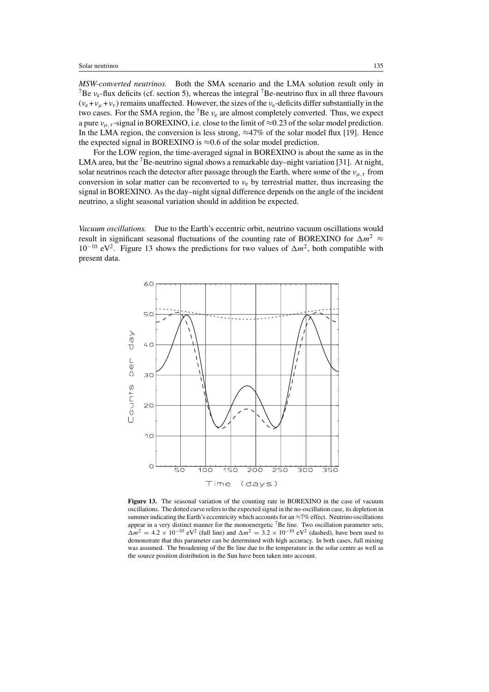*MSW-converted neutrinos.* Both the SMA scenario and the LMA solution result only in <sup>7</sup>Be  $v_e$ -flux deficits (cf. section 5), whereas the integral <sup>7</sup>Be-neutrino flux in all three flavours  $(v_e + v_u + v_\tau)$  remains unaffected. However, the sizes of the  $v_e$ -deficits differ substantially in the two cases. For the SMA region, the <sup>7</sup>Be  $v_e$  are almost completely converted. Thus, we expect a pure  $v_{\mu,\tau}$ -signal in BOREXINO, i.e. close to the limit of  $\approx 0.23$  of the solar model prediction. In the LMA region, the conversion is less strong,  $\approx$ 47% of the solar model flux [19]. Hence the expected signal in BOREXINO is  $\approx 0.6$  of the solar model prediction.

For the LOW region, the time-averaged signal in BOREXINO is about the same as in the LMA area, but the  $7B$ e-neutrino signal shows a remarkable day–night variation [31]. At night, solar neutrinos reach the detector after passage through the Earth, where some of the  $v_{\mu,\tau}$  from conversion in solar matter can be reconverted to  $v_e$  by terrestrial matter, thus increasing the signal in BOREXINO. As the day–night signal difference depends on the angle of the incident neutrino, a slight seasonal variation should in addition be expected.

*Vacuum oscillations.* Due to the Earth's eccentric orbit, neutrino vacuum oscillations would result in significant seasonal fluctuations of the counting rate of BOREXINO for  $\Delta m^2 \approx$  $10^{-10}$  eV<sup>2</sup>. Figure 13 shows the predictions for two values of  $\Delta m^2$ , both compatible with present data.



Figure 13. The seasonal variation of the counting rate in BOREXINO in the case of vacuum oscillations. The dotted curve refers to the expected signal in the no-oscillation case, its depletion in summer indicating the Earth's eccentricity which accounts for an  $\approx$ 7% effect. Neutrino oscillations appear in a very distinct manner for the monoenergetic <sup>7</sup>Be line. Two oscillation parameter sets,  $\Delta m^2 = 4.2 \times 10^{-10}$  eV<sup>2</sup> (full line) and  $\Delta m^2 = 3.2 \times 10^{-10}$  eV<sup>2</sup> (dashed), have been used to demonstrate that this parameter can be determined with high accuracy. In both cases, full mixing was assumed. The broadening of the Be line due to the temperature in the solar centre as well as the source position distribution in the Sun have been taken into account.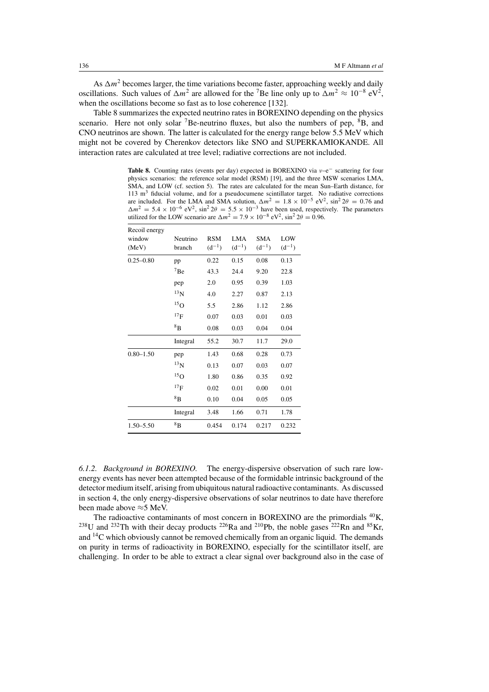As  $\Delta m^2$  becomes larger, the time variations become faster, approaching weekly and daily oscillations. Such values of  $\Delta m^2$  are allowed for the <sup>7</sup>Be line only up to  $\Delta m^2 \approx 10^{-8} \text{ eV}^2$ , when the oscillations become so fast as to lose coherence [132].

Table 8 summarizes the expected neutrino rates in BOREXINO depending on the physics scenario. Here not only solar <sup>7</sup>Be-neutrino fluxes, but also the numbers of pep,  ${}^{8}B$ , and CNO neutrinos are shown. The latter is calculated for the energy range below 5.5 MeV which might not be covered by Cherenkov detectors like SNO and SUPERKAMIOKANDE. All interaction rates are calculated at tree level; radiative corrections are not included.

Table 8. Counting rates (events per day) expected in BOREXINO via ν–e<sup>−</sup> scattering for four physics scenarios: the reference solar model (RSM) [19], and the three MSW scenarios LMA, SMA, and LOW (cf. section 5). The rates are calculated for the mean Sun–Earth distance, for 113 m<sup>3</sup> fiducial volume, and for a pseudocumene scintillator target. No radiative corrections are included. For the LMA and SMA solution,  $\Delta m^2 = 1.8 \times 10^{-5}$  eV<sup>2</sup>, sin<sup>2</sup> 2 $\theta = 0.76$  and  $\Delta m^2 = 5.4 \times 10^{-6} \text{ eV}^2$ ,  $\sin^2 2\theta = 5.5 \times 10^{-3}$  have been used, respectively. The parameters utilized for the LOW scenario are  $\Delta m^2 = 7.9 \times 10^{-8} \text{ eV}^2$ , sin<sup>2</sup> 2θ = 0.96.

| Recoil energy<br>window<br>(MeV) | Neutrino<br>branch | <b>RSM</b><br>$(d^{-1})$ | <b>LMA</b><br>$(d^{-1})$ | <b>SMA</b><br>$(d^{-1})$ | LOW<br>$(d^{-1})$ |
|----------------------------------|--------------------|--------------------------|--------------------------|--------------------------|-------------------|
| $0.25 - 0.80$                    | pp                 | 0.22                     | 0.15                     | 0.08                     | 0.13              |
|                                  | $7_{\rm Be}$       | 43.3                     | 24.4                     | 9.20                     | 22.8              |
|                                  | pep                | 2.0                      | 0.95                     | 0.39                     | 1.03              |
|                                  | $^{13}N$           | 4.0                      | 2.27                     | 0.87                     | 2.13              |
|                                  | $^{15}$ O          | 5.5                      | 2.86                     | 1.12                     | 2.86              |
|                                  | 17 <sub>F</sub>    | 0.07                     | 0.03                     | 0.01                     | 0.03              |
|                                  | 8 <sub>B</sub>     | 0.08                     | 0.03                     | 0.04                     | 0.04              |
|                                  | Integral           | 55.2                     | 30.7                     | 11.7                     | 29.0              |
| $0.80 - 1.50$                    | pep                | 1.43                     | 0.68                     | 0.28                     | 0.73              |
|                                  | $^{13}N$           | 0.13                     | 0.07                     | 0.03                     | 0.07              |
|                                  | $^{15}$ O          | 1.80                     | 0.86                     | 0.35                     | 0.92              |
|                                  | 17 <sub>F</sub>    | 0.02                     | 0.01                     | 0.00                     | 0.01              |
|                                  | 8B                 | 0.10                     | 0.04                     | 0.05                     | 0.05              |
|                                  | Integral           | 3.48                     | 1.66                     | 0.71                     | 1.78              |
| $1.50 - 5.50$                    | 8B                 | 0.454                    | 0.174                    | 0.217                    | 0.232             |

*6.1.2. Background in BOREXINO.* The energy-dispersive observation of such rare lowenergy events has never been attempted because of the formidable intrinsic background of the detector medium itself, arising from ubiquitous natural radioactive contaminants. As discussed in section 4, the only energy-dispersive observations of solar neutrinos to date have therefore been made above ≈5 MeV.

The radioactive contaminants of most concern in BOREXINO are the primordials <sup>40</sup>K, <sup>238</sup>U and <sup>232</sup>Th with their decay products <sup>226</sup>Ra and <sup>210</sup>Pb, the noble gases <sup>222</sup>Rn and <sup>85</sup>Kr, and 14C which obviously cannot be removed chemically from an organic liquid. The demands on purity in terms of radioactivity in BOREXINO, especially for the scintillator itself, are challenging. In order to be able to extract a clear signal over background also in the case of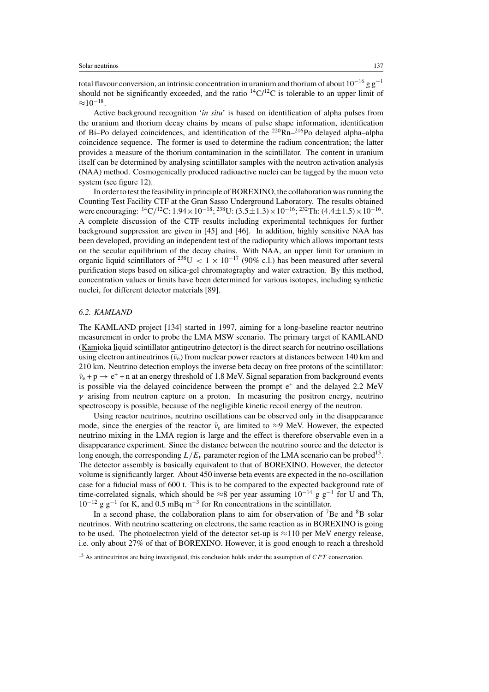total flavour conversion, an intrinsic concentration in uranium and thorium of about  $10^{-16}$  g g<sup>-1</sup> should not be significantly exceeded, and the ratio  ${}^{14}C/{}^{12}C$  is tolerable to an upper limit of  $\approx 10^{-18}$ .

Active background recognition '*in situ*' is based on identification of alpha pulses from the uranium and thorium decay chains by means of pulse shape information, identification of Bi–Po delayed coincidences, and identification of the  $^{220}Rn-^{216}P$ o delayed alpha–alpha coincidence sequence. The former is used to determine the radium concentration; the latter provides a measure of the thorium contamination in the scintillator. The content in uranium itself can be determined by analysing scintillator samples with the neutron activation analysis (NAA) method. Cosmogenically produced radioactive nuclei can be tagged by the muon veto system (see figure 12).

In order to test the feasibility in principle of BOREXINO, the collaboration was running the Counting Test Facility CTF at the Gran Sasso Underground Laboratory. The results obtained were encouraging:  ${}^{14}C/{}^{12}C$ : 1.94 × 10<sup>-18</sup>; <sup>238</sup>U: (3.5±1.3) × 10<sup>-16</sup>; <sup>232</sup>Th: (4.4±1.5) × 10<sup>-16</sup>. A complete discussion of the CTF results including experimental techniques for further background suppression are given in [45] and [46]. In addition, highly sensitive NAA has been developed, providing an independent test of the radiopurity which allows important tests on the secular equilibrium of the decay chains. With NAA, an upper limit for uranium in organic liquid scintillators of <sup>238</sup>U < 1 × 10<sup>-17</sup> (90% c.l.) has been measured after several purification steps based on silica-gel chromatography and water extraction. By this method, concentration values or limits have been determined for various isotopes, including synthetic nuclei, for different detector materials [89].

## *6.2. KAMLAND*

The KAMLAND project [134] started in 1997, aiming for a long-baseline reactor neutrino measurement in order to probe the LMA MSW scenario. The primary target of KAMLAND (Kamioka liquid scintillator antineutrino detector) is the direct search for neutrino oscillations using electron antineutrinos ( $\bar{v}_e$ ) from nuclear power reactors at distances between 140 km and 210 km. Neutrino detection employs the inverse beta decay on free protons of the scintillator:  $\bar{\nu}_e$  + p  $\rightarrow$  e<sup>+</sup> + n at an energy threshold of 1.8 MeV. Signal separation from background events is possible via the delayed coincidence between the prompt e<sup>+</sup> and the delayed 2.2 MeV  $\gamma$  arising from neutron capture on a proton. In measuring the positron energy, neutrino spectroscopy is possible, because of the negligible kinetic recoil energy of the neutron.

Using reactor neutrinos, neutrino oscillations can be observed only in the disappearance mode, since the energies of the reactor  $\bar{\nu}_e$  are limited to ≈9 MeV. However, the expected neutrino mixing in the LMA region is large and the effect is therefore observable even in a disappearance experiment. Since the distance between the neutrino source and the detector is long enough, the corresponding  $L/E_v$  parameter region of the LMA scenario can be probed<sup>15</sup>. The detector assembly is basically equivalent to that of BOREXINO. However, the detector volume is significantly larger. About 450 inverse beta events are expected in the no-oscillation case for a fiducial mass of 600 t. This is to be compared to the expected background rate of time-correlated signals, which should be ≈8 per year assuming  $10^{-14}$  g g<sup>-1</sup> for U and Th,  $10^{-12}$  g g<sup>-1</sup> for K, and 0.5 mBq m<sup>-3</sup> for Rn concentrations in the scintillator.

In a second phase, the collaboration plans to aim for observation of  $7Be$  and  $8B$  solar neutrinos. With neutrino scattering on electrons, the same reaction as in BOREXINO is going to be used. The photoelectron yield of the detector set-up is  $\approx$ 110 per MeV energy release, i.e. only about 27% of that of BOREXINO. However, it is good enough to reach a threshold

 $15$  As antineutrinos are being investigated, this conclusion holds under the assumption of  $CPT$  conservation.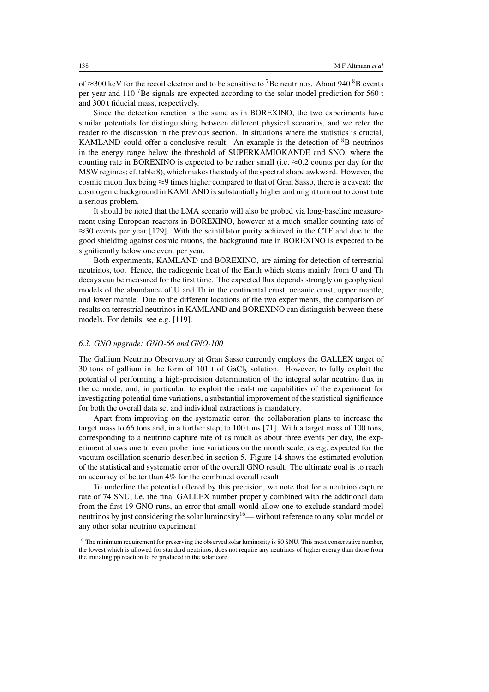of  $\approx$ 300 keV for the recoil electron and to be sensitive to <sup>7</sup>Be neutrinos. About 940 <sup>8</sup>B events per year and 110 7Be signals are expected according to the solar model prediction for 560 t and 300 t fiducial mass, respectively.

Since the detection reaction is the same as in BOREXINO, the two experiments have similar potentials for distinguishing between different physical scenarios, and we refer the reader to the discussion in the previous section. In situations where the statistics is crucial, KAMLAND could offer a conclusive result. An example is the detection of  ${}^{8}B$  neutrinos in the energy range below the threshold of SUPERKAMIOKANDE and SNO, where the counting rate in BOREXINO is expected to be rather small (i.e.  $\approx 0.2$  counts per day for the MSW regimes; cf. table 8), which makes the study of the spectral shape awkward. However, the cosmic muon flux being  $\approx$ 9 times higher compared to that of Gran Sasso, there is a caveat: the cosmogenic background in KAMLAND is substantially higher and might turn out to constitute a serious problem.

It should be noted that the LMA scenario will also be probed via long-baseline measurement using European reactors in BOREXINO, however at a much smaller counting rate of  $\approx$ 30 events per year [129]. With the scintillator purity achieved in the CTF and due to the good shielding against cosmic muons, the background rate in BOREXINO is expected to be significantly below one event per year.

Both experiments, KAMLAND and BOREXINO, are aiming for detection of terrestrial neutrinos, too. Hence, the radiogenic heat of the Earth which stems mainly from U and Th decays can be measured for the first time. The expected flux depends strongly on geophysical models of the abundance of U and Th in the continental crust, oceanic crust, upper mantle, and lower mantle. Due to the different locations of the two experiments, the comparison of results on terrestrial neutrinos in KAMLAND and BOREXINO can distinguish between these models. For details, see e.g. [119].

## *6.3. GNO upgrade: GNO-66 and GNO-100*

The Gallium Neutrino Observatory at Gran Sasso currently employs the GALLEX target of 30 tons of gallium in the form of 101 t of  $GaCl<sub>3</sub>$  solution. However, to fully exploit the potential of performing a high-precision determination of the integral solar neutrino flux in the cc mode, and, in particular, to exploit the real-time capabilities of the experiment for investigating potential time variations, a substantial improvement of the statistical significance for both the overall data set and individual extractions is mandatory.

Apart from improving on the systematic error, the collaboration plans to increase the target mass to 66 tons and, in a further step, to 100 tons [71]. With a target mass of 100 tons, corresponding to a neutrino capture rate of as much as about three events per day, the experiment allows one to even probe time variations on the month scale, as e.g. expected for the vacuum oscillation scenario described in section 5. Figure 14 shows the estimated evolution of the statistical and systematic error of the overall GNO result. The ultimate goal is to reach an accuracy of better than 4% for the combined overall result.

To underline the potential offered by this precision, we note that for a neutrino capture rate of 74 SNU, i.e. the final GALLEX number properly combined with the additional data from the first 19 GNO runs, an error that small would allow one to exclude standard model neutrinos by just considering the solar luminosity<sup>16</sup>— without reference to any solar model or any other solar neutrino experiment!

<sup>&</sup>lt;sup>16</sup> The minimum requirement for preserving the observed solar luminosity is 80 SNU. This most conservative number, the lowest which is allowed for standard neutrinos, does not require any neutrinos of higher energy than those from the initiating pp reaction to be produced in the solar core.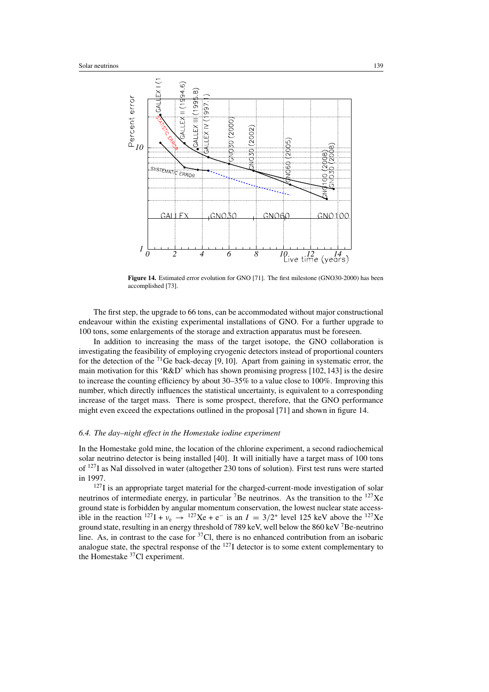

**Figure 14.** Estimated error evolution for GNO [71]. The first milestone (GNO30-2000) has been accomplished [73].

The first step, the upgrade to 66 tons, can be accommodated without major constructional endeavour within the existing experimental installations of GNO. For a further upgrade to 100 tons, some enlargements of the storage and extraction apparatus must be foreseen.

In addition to increasing the mass of the target isotope, the GNO collaboration is investigating the feasibility of employing cryogenic detectors instead of proportional counters for the detection of the  $^{71}$ Ge back-decay [9, 10]. Apart from gaining in systematic error, the main motivation for this 'R&D' which has shown promising progress [102, 143] is the desire to increase the counting efficiency by about 30–35% to a value close to 100%. Improving this number, which directly influences the statistical uncertainty, is equivalent to a corresponding increase of the target mass. There is some prospect, therefore, that the GNO performance might even exceed the expectations outlined in the proposal [71] and shown in figure 14.

## *6.4. The day–night effect in the Homestake iodine experiment*

In the Homestake gold mine, the location of the chlorine experiment, a second radiochemical solar neutrino detector is being installed [40]. It will initially have a target mass of 100 tons of 127I as NaI dissolved in water (altogether 230 tons of solution). First test runs were started in 1997.

<sup>127</sup>I is an appropriate target material for the charged-current-mode investigation of solar neutrinos of intermediate energy, in particular  ${}^{7}$ Be neutrinos. As the transition to the  $127$ Xe ground state is forbidden by angular momentum conservation, the lowest nuclear state accessible in the reaction  $^{127}I + v_e \rightarrow ^{127}Xe + e^-$  is an  $I = 3/2^+$  level 125 keV above the  $^{127}Xe$ ground state, resulting in an energy threshold of 789 keV, well below the 860 keV 7Be-neutrino line. As, in contrast to the case for  $37Cl$ , there is no enhanced contribution from an isobaric analogue state, the spectral response of the 127I detector is to some extent complementary to the Homestake 37Cl experiment.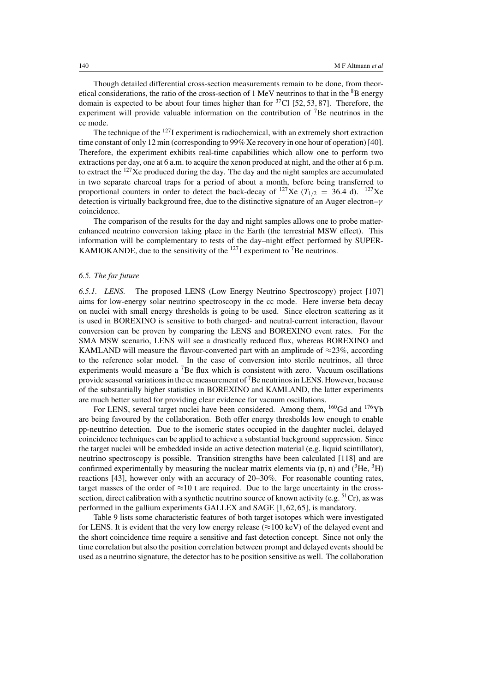Though detailed differential cross-section measurements remain to be done, from theoretical considerations, the ratio of the cross-section of 1 MeV neutrinos to that in the <sup>8</sup>B energy domain is expected to be about four times higher than for  ${}^{37}$ Cl [52, 53, 87]. Therefore, the experiment will provide valuable information on the contribution of  $^7$ Be neutrinos in the cc mode.

The technique of the  $127$ I experiment is radiochemical, with an extremely short extraction time constant of only 12 min (corresponding to 99% Xe recovery in one hour of operation) [40]. Therefore, the experiment exhibits real-time capabilities which allow one to perform two extractions per day, one at 6 a.m. to acquire the xenon produced at night, and the other at 6 p.m. to extract the 127Xe produced during the day. The day and the night samples are accumulated in two separate charcoal traps for a period of about a month, before being transferred to proportional counters in order to detect the back-decay of <sup>127</sup>Xe ( $T_{1/2}$  = 36.4 d). <sup>127</sup>Xe detection is virtually background free, due to the distinctive signature of an Auger electron–γ coincidence.

The comparison of the results for the day and night samples allows one to probe matterenhanced neutrino conversion taking place in the Earth (the terrestrial MSW effect). This information will be complementary to tests of the day–night effect performed by SUPER-KAMIOKANDE, due to the sensitivity of the  $^{127}$ I experiment to <sup>7</sup>Be neutrinos.

## *6.5. The far future*

*6.5.1. LENS.* The proposed LENS (Low Energy Neutrino Spectroscopy) project [107] aims for low-energy solar neutrino spectroscopy in the cc mode. Here inverse beta decay on nuclei with small energy thresholds is going to be used. Since electron scattering as it is used in BOREXINO is sensitive to both charged- and neutral-current interaction, flavour conversion can be proven by comparing the LENS and BOREXINO event rates. For the SMA MSW scenario, LENS will see a drastically reduced flux, whereas BOREXINO and KAMLAND will measure the flavour-converted part with an amplitude of  $\approx$ 23%, according to the reference solar model. In the case of conversion into sterile neutrinos, all three experiments would measure a 7Be flux which is consistent with zero. Vacuum oscillations provide seasonal variations in the cc measurement of  $<sup>7</sup>B$ e neutrinos in LENS. However, because</sup> of the substantially higher statistics in BOREXINO and KAMLAND, the latter experiments are much better suited for providing clear evidence for vacuum oscillations.

For LENS, several target nuclei have been considered. Among them, <sup>160</sup>Gd and <sup>176</sup>Yb are being favoured by the collaboration. Both offer energy thresholds low enough to enable pp-neutrino detection. Due to the isomeric states occupied in the daughter nuclei, delayed coincidence techniques can be applied to achieve a substantial background suppression. Since the target nuclei will be embedded inside an active detection material (e.g. liquid scintillator), neutrino spectroscopy is possible. Transition strengths have been calculated [118] and are confirmed experimentally by measuring the nuclear matrix elements via  $(p, n)$  and  $({}^{3}He, {}^{3}H)$ reactions [43], however only with an accuracy of 20–30%. For reasonable counting rates, target masses of the order of  $\approx$ 10 t are required. Due to the large uncertainty in the crosssection, direct calibration with a synthetic neutrino source of known activity (e.g.  ${}^{51}Cr$ ), as was performed in the gallium experiments GALLEX and SAGE [1, 62, 65], is mandatory.

Table 9 lists some characteristic features of both target isotopes which were investigated for LENS. It is evident that the very low energy release ( $\approx$ 100 keV) of the delayed event and the short coincidence time require a sensitive and fast detection concept. Since not only the time correlation but also the position correlation between prompt and delayed events should be used as a neutrino signature, the detector has to be position sensitive as well. The collaboration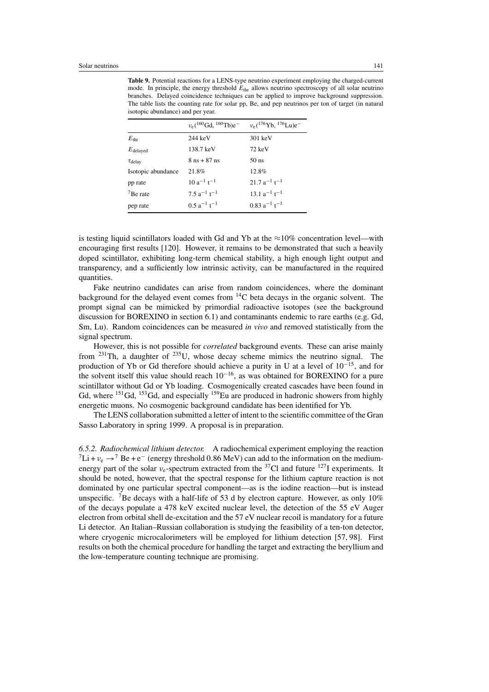| hotopic abundance, and per year. |                                |                                                              |  |  |  |
|----------------------------------|--------------------------------|--------------------------------------------------------------|--|--|--|
|                                  | $v_e(^{160}Gd,~^{160}Tb)e^-$   | $v_e$ ( <sup>176</sup> Yb, <sup>176</sup> Lu)e <sup>-1</sup> |  |  |  |
| $E_{\rm thr}$                    | 244 keV                        | $301 \text{ keV}$                                            |  |  |  |
| $E_{\rm delayed}$                | 138.7 keV                      | $72 \text{ keV}$                                             |  |  |  |
| $\tau_{\text{delay}}$            | $8 \text{ ns} + 87 \text{ ns}$ | 50 <sub>ns</sub>                                             |  |  |  |
| Isotopic abundance               | 21.8%                          | 12.8%                                                        |  |  |  |
| pp rate                          | $10a^{-1}$ t <sup>-1</sup>     | $21.7 a^{-1} t^{-1}$                                         |  |  |  |
| $7$ Be rate                      | 7.5 $a^{-1}$ t <sup>-1</sup>   | $13.1 a^{-1} t^{-1}$                                         |  |  |  |
| pep rate                         | $0.5a^{-1}t^{-1}$              | $0.83 a^{-1} t^{-1}$                                         |  |  |  |

**Table 9.** Potential reactions for a LENS-type neutrino experiment employing the charged-current mode. In principle, the energy threshold  $E_{thr}$  allows neutrino spectroscopy of all solar neutrino branches. Delayed coincidence techniques can be applied to improve background suppression. The table lists the counting rate for solar pp, Be, and pep neutrinos per ton of target (in natural isotopic abundance) and pe

is testing liquid scintillators loaded with Gd and Yb at the  $\approx 10\%$  concentration level—with encouraging first results [120]. However, it remains to be demonstrated that such a heavily doped scintillator, exhibiting long-term chemical stability, a high enough light output and transparency, and a sufficiently low intrinsic activity, can be manufactured in the required quantities.

Fake neutrino candidates can arise from random coincidences, where the dominant background for the delayed event comes from  ${}^{14}$ C beta decays in the organic solvent. The prompt signal can be mimicked by primordial radioactive isotopes (see the background discussion for BOREXINO in section 6.1) and contaminants endemic to rare earths (e.g. Gd, Sm, Lu). Random coincidences can be measured *in vivo* and removed statistically from the signal spectrum.

However, this is not possible for *correlated* background events. These can arise mainly from  $^{231}$ Th, a daughter of  $^{235}$ U, whose decay scheme mimics the neutrino signal. The production of Yb or Gd therefore should achieve a purity in U at a level of 10−15, and for the solvent itself this value should reach  $10^{-16}$ , as was obtained for BOREXINO for a pure scintillator without Gd or Yb loading. Cosmogenically created cascades have been found in Gd, where  $^{151}$ Gd,  $^{153}$ Gd, and especially  $^{159}$ Eu are produced in hadronic showers from highly energetic muons. No cosmogenic background candidate has been identified for Yb.

The LENS collaboration submitted a letter of intent to the scientific committee of the Gran Sasso Laboratory in spring 1999. A proposal is in preparation.

*6.5.2. Radiochemical lithium detector.* A radiochemical experiment employing the reaction  $^7Li + v_e \rightarrow ^7Be + e^-$  (energy threshold 0.86 MeV) can add to the information on the mediumenergy part of the solar  $v_e$ -spectrum extracted from the <sup>37</sup>Cl and future <sup>127</sup>I experiments. It should be noted, however, that the spectral response for the lithium capture reaction is not dominated by one particular spectral component—as is the iodine reaction—but is instead unspecific. <sup>7</sup>Be decays with a half-life of 53 d by electron capture. However, as only  $10\%$ of the decays populate a 478 keV excited nuclear level, the detection of the 55 eV Auger electron from orbital shell de-excitation and the 57 eV nuclear recoil is mandatory for a future Li detector. An Italian–Russian collaboration is studying the feasibility of a ten-ton detector, where cryogenic microcalorimeters will be employed for lithium detection [57, 98]. First results on both the chemical procedure for handling the target and extracting the beryllium and the low-temperature counting technique are promising.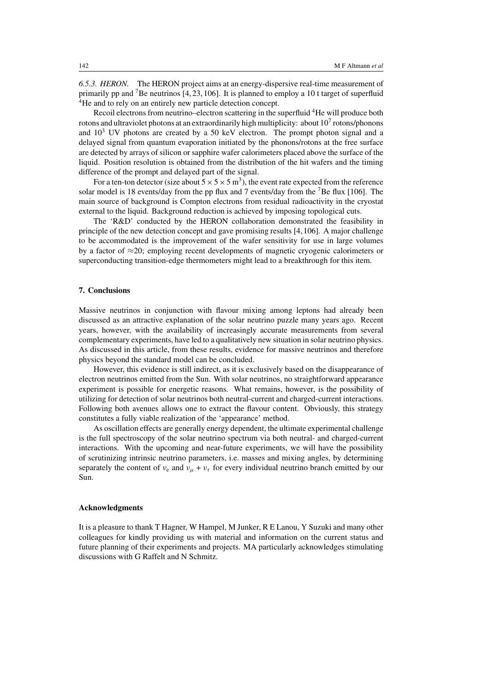*6.5.3. HERON.* The HERON project aims at an energy-dispersive real-time measurement of primarily pp and 7Be neutrinos [4, 23, 106]. It is planned to employ a 10 t target of superfluid <sup>4</sup>He and to rely on an entirely new particle detection concept.

Recoil electrons from neutrino–electron scattering in the superfluid <sup>4</sup>He will produce both rotons and ultraviolet photons at an extraordinarily high multiplicity: about  $10<sup>7</sup>$  rotons/phonons and  $10<sup>3</sup>$  UV photons are created by a 50 keV electron. The prompt photon signal and a delayed signal from quantum evaporation initiated by the phonons/rotons at the free surface are detected by arrays of silicon or sapphire wafer calorimeters placed above the surface of the liquid. Position resolution is obtained from the distribution of the hit wafers and the timing difference of the prompt and delayed part of the signal.

For a ten-ton detector (size about  $5 \times 5 \times 5$  m<sup>3</sup>), the event rate expected from the reference solar model is 18 events/day from the pp flux and 7 events/day from the  $\frac{7}{106}$ . The main source of background is Compton electrons from residual radioactivity in the cryostat external to the liquid. Background reduction is achieved by imposing topological cuts.

The 'R&D' conducted by the HERON collaboration demonstrated the feasibility in principle of the new detection concept and gave promising results [4,106]. A major challenge to be accommodated is the improvement of the wafer sensitivity for use in large volumes by a factor of  $\approx$ 20; employing recent developments of magnetic cryogenic calorimeters or superconducting transition-edge thermometers might lead to a breakthrough for this item.

## **7. Conclusions**

Massive neutrinos in conjunction with flavour mixing among leptons had already been discussed as an attractive explanation of the solar neutrino puzzle many years ago. Recent years, however, with the availability of increasingly accurate measurements from several complementary experiments, have led to a qualitatively new situation in solar neutrino physics. As discussed in this article, from these results, evidence for massive neutrinos and therefore physics beyond the standard model can be concluded.

However, this evidence is still indirect, as it is exclusively based on the disappearance of electron neutrinos emitted from the Sun. With solar neutrinos, no straightforward appearance experiment is possible for energetic reasons. What remains, however, is the possibility of utilizing for detection of solar neutrinos both neutral-current and charged-current interactions. Following both avenues allows one to extract the flavour content. Obviously, this strategy constitutes a fully viable realization of the 'appearance' method.

As oscillation effects are generally energy dependent, the ultimate experimental challenge is the full spectroscopy of the solar neutrino spectrum via both neutral- and charged-current interactions. With the upcoming and near-future experiments, we will have the possibility of scrutinizing intrinsic neutrino parameters, i.e. masses and mixing angles, by determining separately the content of  $v_e$  and  $v_\mu + v_\tau$  for every individual neutrino branch emitted by our Sun.

#### **Acknowledgments**

It is a pleasure to thank T Hagner, W Hampel, M Junker, R E Lanou, Y Suzuki and many other colleagues for kindly providing us with material and information on the current status and future planning of their experiments and projects. MA particularly acknowledges stimulating discussions with G Raffelt and N Schmitz.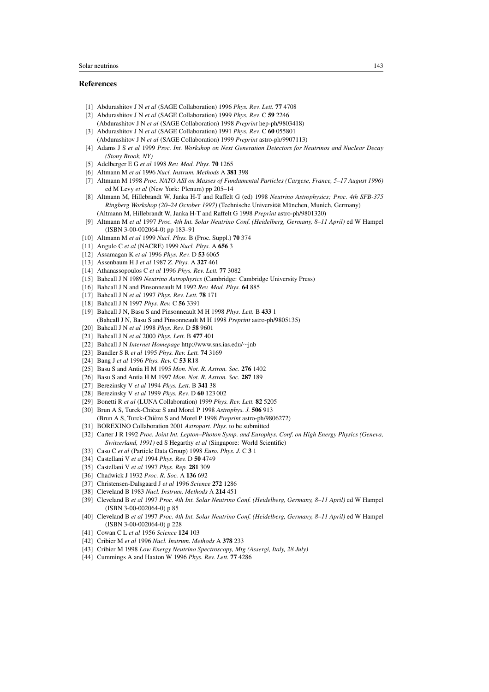# **References**

- [1] Abdurashitov J N *et al* (SAGE Collaboration) 1996 *Phys. Rev. Lett.* **77** 4708
- [2] Abdurashitov J N *et al* (SAGE Collaboration) 1999 *Phys. Rev.* C **59** 2246
- (Abdurashitov J N *et al* (SAGE Collaboration) 1998 *Preprint* hep-ph/9803418) [3] Abdurashitov J N *et al* (SAGE Collaboration) 1991 *Phys. Rev.* C **60** 055801
	- (Abdurashitov J N *et al* (SAGE Collaboration) 1999 *Preprint* astro-ph/9907113)
- [4] Adams J S *et al* 1999 *Proc. Int. Workshop on Next Generation Detectors for Neutrinos and Nuclear Decay (Stony Brook, NY)*
- [5] Adelberger E G *et al* 1998 *Rev. Mod. Phys.* **70** 1265
- [6] Altmann M *et al* 1996 *Nucl. Instrum. Methods* A **381** 398
- [7] Altmann M 1998 *Proc. NATO ASI on Masses of Fundamental Particles (Cargese, France, 5–17 August 1996)* ed M Levy *et al* (New York: Plenum) pp 205–14
- [8] Altmann M, Hillebrandt W, Janka H-T and Raffelt G (ed) 1998 *Neutrino Astrophysics; Proc. 4th SFB-375 Ringberg Workshop (20–24 October 1997)* (Technische Universität München, Munich, Germany) (Altmann M, Hillebrandt W, Janka H-T and Raffelt G 1998 *Preprint* astro-ph/9801320)
- [9] Altmann M *et al* 1997 *Proc. 4th Int. Solar Neutrino Conf. (Heidelberg, Germany, 8–11 April)* ed W Hampel (ISBN 3-00-002064-0) pp 183–91
- [10] Altmann M *et al* 1999 *Nucl. Phys.* B (Proc. Suppl.) **70** 374
- [11] Angulo C *et al* (NACRE) 1999 *Nucl. Phys.* A **656** 3
- [12] Assamagan K *et al* 1996 *Phys. Rev.* D **53** 6065
- [13] Assenbaum H J *et al* 1987 *Z. Phys.* A **327** 461
- [14] Athanassopoulos C *et al* 1996 *Phys. Rev. Lett.* **77** 3082
- [15] Bahcall J N 1989 *Neutrino Astrophysics* (Cambridge: Cambridge University Press)
- [16] Bahcall J N and Pinsonneault M 1992 *Rev. Mod. Phys.* **64** 885
- [17] Bahcall J N *et al* 1997 *Phys. Rev. Lett.* **78** 171
- [18] Bahcall J N 1997 *Phys. Rev.* C **56** 3391
- [19] Bahcall J N, Basu S and Pinsonneault M H 1998 *Phys. Lett.* B **433** 1 (Bahcall J N, Basu S and Pinsonneault M H 1998 *Preprint* astro-ph/9805135) [20] Bahcall J N *et al* 1998 *Phys. Rev.* D **58** 9601
- 
- [21] Bahcall J N *et al* 2000 *Phys. Lett.* B **477** 401 [22] Bahcall J N *Internet Homepage* http://www.sns.ias.edu/∼jnb
- 
- [23] Bandler S R *et al* 1995 *Phys. Rev. Lett.* **74** 3169
- [24] Bang J *et al* 1996 *Phys. Rev.* C **53** R18
- [25] Basu S and Antia H M 1995 *Mon. Not. R. Astron. Soc.* **276** 1402
- [26] Basu S and Antia H M 1997 *Mon. Not. R. Astron. Soc.* **287** 189
- [27] Berezinsky V *et al* 1994 *Phys. Lett.* B **341** 38
- [28] Berezinsky V *et al* 1999 *Phys. Rev.* D **60** 123 002
- [29] Bonetti R *et al* (LUNA Collaboration) 1999 *Phys. Rev. Lett.* **82** 5205
- [30] Brun A S, Turck-Chieze S and Morel P 1998 ` *Astrophys. J.* **506** 913
- (Brun A S, Turck-Chièze S and Morel P 1998 *Preprint* astro-ph/9806272)
- [31] BOREXINO Collaboration 2001 *Astropart. Phys.* to be submitted
- [32] Carter J R 1992 *Proc. Joint Int. Lepton–Photon Symp. and Europhys. Conf. on High Energy Physics (Geneva, Switzerland, 1991)* ed S Hegarthy *et al* (Singapore: World Scientific)
- [33] Caso C *et al* (Particle Data Group) 1998 *Euro. Phys. J.* C **3** 1
- [34] Castellani V *et al* 1994 *Phys. Rev.* D **50** 4749
- [35] Castellani V *et al* 1997 *Phys. Rep.* **281** 309
- [36] Chadwick J 1932 *Proc. R. Soc.* A **136** 692
- [37] Christensen-Dalsgaard J *et al* 1996 *Science* **272** 1286
- [38] Cleveland B 1983 *Nucl. Instrum. Methods* A **214** 451
- [39] Cleveland B *et al* 1997 *Proc. 4th Int. Solar Neutrino Conf. (Heidelberg, Germany, 8–11 April)* ed W Hampel  $(ISBN 3-00-002064-0)$  p 85
- [40] Cleveland B *et al* 1997 *Proc. 4th Int. Solar Neutrino Conf. (Heidelberg, Germany, 8–11 April)* ed W Hampel (ISBN 3-00-002064-0) p 228
- [41] Cowan C L *et al* 1956 *Science* **124** 103
- [42] Cribier M *et al* 1996 *Nucl. Instrum. Methods* A **378** 233
- [43] Cribier M 1998 *Low Energy Neutrino Spectroscopy, Mtg (Assergi, Italy, 28 July)*
- [44] Cummings A and Haxton W 1996 *Phys. Rev. Lett.* **77** 4286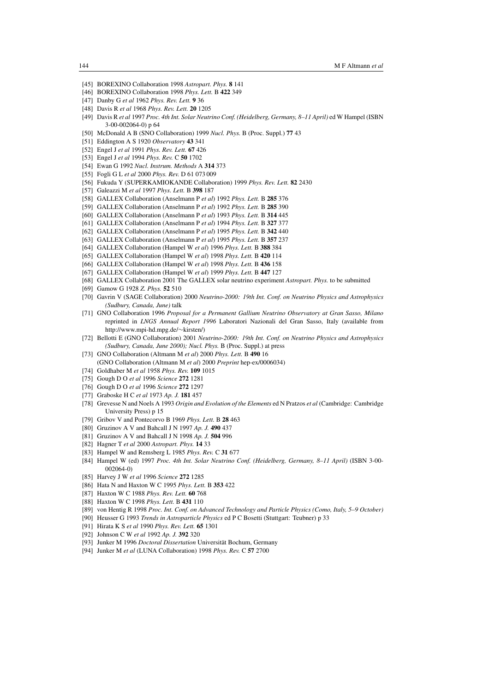- [45] BOREXINO Collaboration 1998 *Astropart. Phys.* **8** 141
- [46] BOREXINO Collaboration 1998 *Phys. Lett.* B **422** 349
- [47] Danby G *et al* 1962 *Phys. Rev. Lett.* **9** 36
- [48] Davis R *et al* 1968 *Phys. Rev. Lett.* **20** 1205
- [49] Davis R *et al* 1997 *Proc. 4th Int. Solar Neutrino Conf. (Heidelberg, Germany, 8–11 April)* ed W Hampel (ISBN 3-00-002064-0) p 64
- [50] McDonald A B (SNO Collaboration) 1999 *Nucl. Phys.* B (Proc. Suppl.) **77** 43
- [51] Eddington A S 1920 *Observatory* **43** 341
- [52] Engel J *et al* 1991 *Phys. Rev. Lett.* **67** 426
- [53] Engel J *et al* 1994 *Phys. Rev.* C **50** 1702
- [54] Ewan G 1992 *Nucl. Instrum. Methods* A **314** 373
- [55] Fogli G L *et al* 2000 *Phys. Rev.* D 61 073 009
- [56] Fukuda Y (SUPERKAMIOKANDE Collaboration) 1999 *Phys. Rev. Lett.* **82** 2430
- [57] Galeazzi M *et al* 1997 *Phys. Lett.* B **398** 187
- [58] GALLEX Collaboration (Anselmann P *et al*) 1992 *Phys. Lett.* B **285** 376
- [59] GALLEX Collaboration (Anselmann P *et al*) 1992 *Phys. Lett.* B **285** 390
- [60] GALLEX Collaboration (Anselmann P *et al*) 1993 *Phys. Lett.* B **314** 445
- [61] GALLEX Collaboration (Anselmann P *et al*) 1994 *Phys. Lett.* B **327** 377
- [62] GALLEX Collaboration (Anselmann P *et al*) 1995 *Phys. Lett.* B **342** 440
- [63] GALLEX Collaboration (Anselmann P *et al*) 1995 *Phys. Lett.* B **357** 237
- [64] GALLEX Collaboration (Hampel W *et al*) 1996 *Phys. Lett.* B **388** 384
- [65] GALLEX Collaboration (Hampel W *et al*) 1998 *Phys. Lett.* B **420** 114
- [66] GALLEX Collaboration (Hampel W *et al*) 1998 *Phys. Lett.* B **436** 158
- [67] GALLEX Collaboration (Hampel W *et al*) 1999 *Phys. Lett.* B **447** 127
- [68] GALLEX Collaboration 2001 The GALLEX solar neutrino experiment *Astropart. Phys.* to be submitted
- [69] Gamow G 1928 *Z. Phys.* **52** 510
- [70] Gavrin V (SAGE Collaboration) 2000 *Neutrino-2000: 19th Int. Conf. on Neutrino Physics and Astrophysics (Sudbury, Canada, June)* talk
- [71] GNO Collaboration 1996 *Proposal for a Permanent Gallium Neutrino Observatory at Gran Sasso, Milano* reprinted in *LNGS Annual Report 1996* Laboratori Nazionali del Gran Sasso, Italy (available from http://www.mpi-hd.mpg.de/∼kirsten/)
- [72] Bellotti E (GNO Collaboration) 2001 *Neutrino-2000: 19th Int. Conf. on Neutrino Physics and Astrophysics (Sudbury, Canada, June 2000); Nucl. Phys.* B (Proc. Suppl.) at press
- [73] GNO Collaboration (Altmann M *et al*) 2000 *Phys. Lett.* B **490** 16
- (GNO Collaboration (Altmann M *et al*) 2000 *Preprint* hep-ex/0006034)
- [74] Goldhaber M *et al* 1958 *Phys. Rev.* **109** 1015
- [75] Gough D O *et al* 1996 *Science* **272** 1281
- [76] Gough D O *et al* 1996 *Science* **272** 1297
- [77] Graboske H C *et al* 1973 *Ap. J.* **181** 457
- [78] Grevesse N and Noels A 1993 *Origin and Evolution of the Elements* ed N Pratzos *et al* (Cambridge: Cambridge University Press) p 15
- [79] Gribov V and Pontecorvo B 1969 *Phys. Lett.* B **28** 463
- [80] Gruzinov A V and Bahcall J N 1997 *Ap. J.* **490** 437
- [81] Gruzinov A V and Bahcall J N 1998 *Ap. J.* **504** 996
- [82] Hagner T *et al* 2000 *Astropart. Phys.* **14** 33
- [83] Hampel W and Remsberg L 1985 *Phys. Rev.* C **31** 677
- [84] Hampel W (ed) 1997 *Proc. 4th Int. Solar Neutrino Conf. (Heidelberg, Germany, 8–11 April)* (ISBN 3-00- 002064-0)
- [85] Harvey J W *et al* 1996 *Science* **272** 1285
- [86] Hata N and Haxton W C 1995 *Phys. Lett.* B **353** 422
- [87] Haxton W C 1988 *Phys. Rev. Lett.* **60** 768
- [88] Haxton W C 1998 *Phys. Lett.* B **431** 110
- [89] von Hentig R 1998 *Proc. Int. Conf. on Advanced Technology and Particle Physics (Como, Italy, 5–9 October)*
- [90] Heusser G 1993 *Trends in Astroparticle Physics* ed P C Bosetti (Stuttgart: Teubner) p 33
- [91] Hirata K S *et al* 1990 *Phys. Rev. Lett.* **65** 1301
- [92] Johnson C W *et al* 1992 *Ap. J.* **392** 320
- [93] Junker M 1996 *Doctoral Dissertation* Universität Bochum, Germany
- [94] Junker M *et al* (LUNA Collaboration) 1998 *Phys. Rev.* C **57** 2700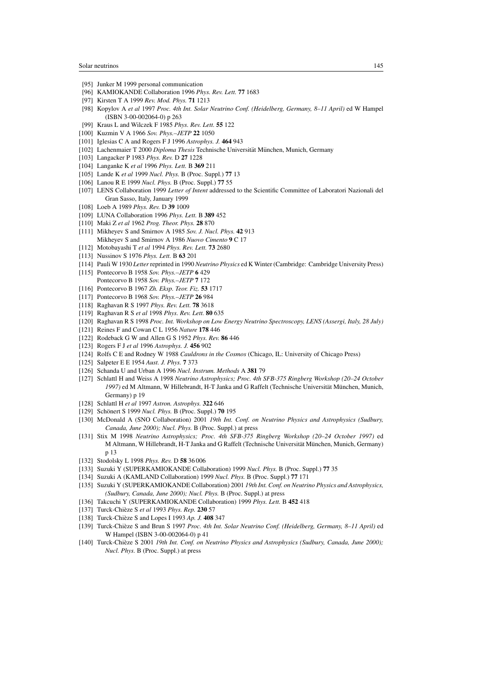- [95] Junker M 1999 personal communication
- [96] KAMIOKANDE Collaboration 1996 *Phys. Rev. Lett.* **77** 1683
- [97] Kirsten T A 1999 *Rev. Mod. Phys.* **71** 1213
- [98] Kopylov A *et al* 1997 *Proc. 4th Int. Solar Neutrino Conf. (Heidelberg, Germany, 8–11 April)* ed W Hampel (ISBN 3-00-002064-0) p 263
- [99] Kraus L and Wilczek F 1985 *Phys. Rev. Lett.* **55** 122
- [100] Kuzmin V A 1966 *Sov. Phys.–JETP* **22** 1050
- [101] Iglesias C A and Rogers F J 1996 *Astrophys. J.* **464** 943
- [102] Lachenmaier T 2000 *Diploma Thesis* Technische Universität München, Munich, Germany
- [103] Langacker P 1983 *Phys. Rev.* D **27** 1228
- [104] Langanke K *et al* 1996 *Phys. Lett.* B **369** 211
- [105] Lande K *et al* 1999 *Nucl. Phys.* B (Proc. Suppl.) **77** 13
- [106] Lanou R E 1999 *Nucl. Phys.* B (Proc. Suppl.) **77** 55
- [107] LENS Collaboration 1999 *Letter of Intent* addressed to the Scientific Committee of Laboratori Nazionali del Gran Sasso, Italy, January 1999
- [108] Loeb A 1989 *Phys. Rev.* D **39** 1009
- [109] LUNA Collaboration 1996 *Phys. Lett.* B **389** 452
- [110] Maki Z *et al* 1962 *Prog. Theor. Phys.* **28** 870
- [111] Mikheyev S and Smirnov A 1985 *Sov. J. Nucl. Phys.* **42** 913 Mikheyev S and Smirnov A 1986 *Nuovo Cimento* **9** C 17
- [112] Motobayashi T *et al* 1994 *Phys. Rev. Lett.* **73** 2680
- [113] Nussinov S 1976 *Phys. Lett.* B **63** 201
- [114] Pauli W 1930 *Letter*reprinted in 1990 *Neutrino Physics* ed K Winter (Cambridge: Cambridge University Press)
- [115] Pontecorvo B 1958 *Sov. Phys.–JETP* **6** 429 Pontecorvo B 1958 *Sov. Phys.–JETP* **7** 172
- [116] Pontecorvo B 1967 *Zh. Eksp. Teor. Fiz.* **53** 1717
- [117] Pontecorvo B 1968 *Sov. Phys.–JETP* **26** 984
- [118] Raghavan R S 1997 *Phys. Rev. Lett.* **78** 3618
- [119] Raghavan R S *et al* 1998 *Phys. Rev. Lett.* **80** 635
- [120] Raghavan R S 1998 *Proc. Int. Workshop on Low Energy Neutrino Spectroscopy, LENS (Assergi, Italy, 28 July)*
- [121] Reines F and Cowan C L 1956 *Nature* **178** 446
- [122] Rodeback G W and Allen G S 1952 *Phys. Rev.* **86** 446
- [123] Rogers F J *et al* 1996 *Astrophys. J.* **456** 902
- [124] Rolfs C E and Rodney W 1988 *Cauldrons in the Cosmos* (Chicago, IL: University of Chicago Press)
- [125] Salpeter E E 1954 *Aust. J. Phys.* **7** 373
- [126] Schanda U and Urban A 1996 *Nucl. Instrum. Methods* A **381** 79
- [127] Schlattl H and Weiss A 1998 *Neutrino Astrophysics; Proc. 4th SFB-375 Ringberg Workshop (20–24 October* 1997) ed M Altmann, W Hillebrandt, H-T Janka and G Raffelt (Technische Universität München, Munich, Germany) p 19
- [128] Schlattl H *et al* 1997 *Astron. Astrophys.* **322** 646
- [129] Schönert S 1999 Nucl. Phys. B (Proc. Suppl.) **70** 195
- [130] McDonald A (SNO Collaboration) 2001 *19th Int. Conf. on Neutrino Physics and Astrophysics (Sudbury, Canada, June 2000); Nucl. Phys.* B (Proc. Suppl.) at press
- [131] Stix M 1998 *Neutrino Astrophysics; Proc. 4th SFB-375 Ringberg Workshop (20–24 October 1997)* ed M Altmann, W Hillebrandt, H-T Janka and G Raffelt (Technische Universität München, Munich, Germany) p 13
- [132] Stodolsky L 1998 *Phys. Rev.* D **58** 36 006
- [133] Suzuki Y (SUPERKAMIOKANDE Collaboration) 1999 *Nucl. Phys.* B (Proc. Suppl.) **77** 35
- [134] Suzuki A (KAMLAND Collaboration) 1999 *Nucl. Phys.* B (Proc. Suppl.) **77** 171
- [135] Suzuki Y (SUPERKAMIOKANDE Collaboration) 2001 *19th Int. Conf. on Neutrino Physics and Astrophysics, (Sudbury, Canada, June 2000); Nucl. Phys.* B (Proc. Suppl.) at press
- [136] Takcuchi Y (SUPERKAMIOKANDE Collaboration) 1999 *Phys. Lett.* B **452** 418
- [137] Turck-Chieze S ` *et al* 1993 *Phys. Rep.* **230** 57
- [138] Turck-Chièze S and Lopes I 1993 Ap. J. 408 347
- [139] Turck-Chièze S and Brun S 1997 Proc. 4th Int. Solar Neutrino Conf. (Heidelberg, Germany, 8-11 April) ed W Hampel (ISBN 3-00-002064-0) p 41
- [140] Turck-Chièze S 2001 19th Int. Conf. on Neutrino Physics and Astrophysics (Sudbury, Canada, June 2000); *Nucl. Phys.* B (Proc. Suppl.) at press